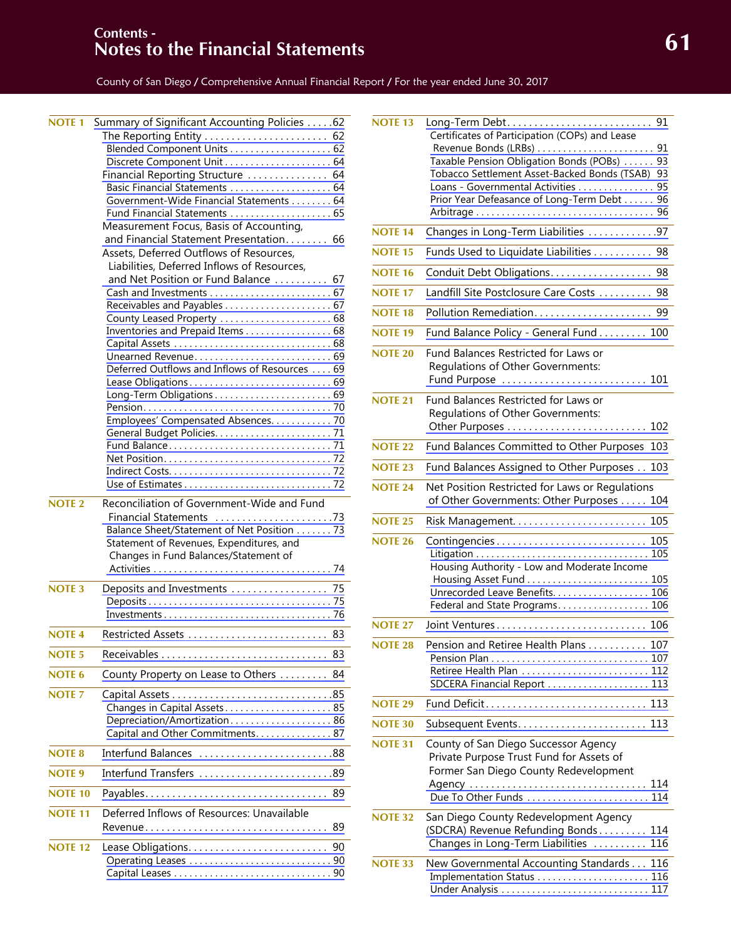# **61 Contents - Notes to the Financial Statements**

County of San Diego / Comprehensive Annual Financial Report / For the year ended June 30, 2017

| <b>NOTE 1</b>  | Summary of Significant Accounting Policies 62  |    |
|----------------|------------------------------------------------|----|
|                | The Reporting Entity  62                       |    |
|                |                                                |    |
|                | Discrete Component Unit  64                    |    |
|                | Financial Reporting Structure  64              |    |
|                | Basic Financial Statements  64                 |    |
|                | Government-Wide Financial Statements 64        |    |
|                | Fund Financial Statements  65                  |    |
|                | Measurement Focus, Basis of Accounting,        |    |
|                | and Financial Statement Presentation 66        |    |
|                | Assets, Deferred Outflows of Resources,        |    |
|                | Liabilities, Deferred Inflows of Resources,    |    |
|                | and Net Position or Fund Balance  67           |    |
|                |                                                |    |
|                |                                                |    |
|                | County Leased Property  68                     |    |
|                | Inventories and Prepaid Items 68               |    |
|                |                                                |    |
|                | Deferred Outflows and Inflows of Resources  69 |    |
|                |                                                |    |
|                |                                                |    |
|                |                                                |    |
|                | Employees' Compensated Absences. 70            |    |
|                |                                                |    |
|                |                                                |    |
|                |                                                |    |
|                |                                                |    |
|                |                                                |    |
|                |                                                |    |
|                |                                                |    |
| <b>NOTE 2</b>  | Reconciliation of Government-Wide and Fund     |    |
|                | Financial Statements 73                        |    |
|                | Balance Sheet/Statement of Net Position 73     |    |
|                | Statement of Revenues, Expenditures, and       |    |
|                | Changes in Fund Balances/Statement of          |    |
|                |                                                |    |
| <b>NOTE 3</b>  |                                                |    |
|                |                                                |    |
|                |                                                |    |
| <b>NOTE 4</b>  |                                                | 83 |
|                | Restricted Assets                              |    |
| <b>NOTE 5</b>  |                                                | 83 |
| NOTE 6         | County Property on Lease to Others             | 84 |
| <b>NOTE 7</b>  |                                                |    |
|                | Changes in Capital Assets 85                   |    |
|                | Depreciation/Amortization86                    |    |
|                | Capital and Other Commitments. 87              |    |
| <b>NOTE 8</b>  | <b>Interfund Balances</b>                      |    |
| NOTE 9         | Interfund Transfers 89                         |    |
| <b>NOTE 10</b> |                                                | 89 |
| <b>NOTE 11</b> |                                                |    |
|                | Deferred Inflows of Resources: Unavailable     |    |
|                | Revenue                                        | 89 |
| <b>NOTE 12</b> |                                                | 90 |
|                |                                                |    |

|                | <u> 1980 - Johann Barn, amerikansk politiker (</u>                                                                                                                                                                                           |
|----------------|----------------------------------------------------------------------------------------------------------------------------------------------------------------------------------------------------------------------------------------------|
| <b>NOTE 13</b> | Certificates of Participation (COPs) and Lease<br>Taxable Pension Obligation Bonds (POBs)<br>93<br>Tobacco Settlement Asset-Backed Bonds (TSAB)<br>93<br>Loans - Governmental Activities<br>95<br>Prior Year Defeasance of Long-Term Debt 96 |
| <b>NOTE 14</b> | Changes in Long-Term Liabilities 97                                                                                                                                                                                                          |
| <b>NOTE 15</b> | Funds Used to Liquidate Liabilities 98                                                                                                                                                                                                       |
| <b>NOTE 16</b> | Conduit Debt Obligations 98                                                                                                                                                                                                                  |
| <b>NOTE 17</b> | Landfill Site Postclosure Care Costs  98                                                                                                                                                                                                     |
| <b>NOTE 18</b> | Pollution Remediation 99                                                                                                                                                                                                                     |
| <b>NOTE 19</b> | Fund Balance Policy - General Fund 100                                                                                                                                                                                                       |
| <b>NOTE 20</b> | Fund Balances Restricted for Laws or<br>Regulations of Other Governments:<br>Fund Purpose  101                                                                                                                                               |
| <b>NOTE 21</b> | <b>Fund Balances Restricted for Laws or</b><br>Regulations of Other Governments:                                                                                                                                                             |
| <b>NOTE 22</b> | Fund Balances Committed to Other Purposes 103                                                                                                                                                                                                |
| <b>NOTE 23</b> | Fund Balances Assigned to Other Purposes 103                                                                                                                                                                                                 |
| <b>NOTE 24</b> | Net Position Restricted for Laws or Regulations<br>of Other Governments: Other Purposes<br>104                                                                                                                                               |
| <b>NOTE 25</b> |                                                                                                                                                                                                                                              |
| <b>NOTE 26</b> | Contingencies 105<br>Housing Authority - Low and Moderate Income<br>Unrecorded Leave Benefits. 106<br>Federal and State Programs 106                                                                                                         |
| NOTE 27        | Joint Ventures 106                                                                                                                                                                                                                           |
| <b>NOTE 28</b> | Pension and Retiree Health Plans 107<br>Retiree Health Plan  112<br>SDCERA Financial Report  113                                                                                                                                             |
| <b>NOTF 29</b> | Fund Deficit<br>113                                                                                                                                                                                                                          |
| <b>NOTE 30</b> |                                                                                                                                                                                                                                              |
| <b>NOTE 31</b> | County of San Diego Successor Agency<br>Private Purpose Trust Fund for Assets of<br>Former San Diego County Redevelopment<br>Agency  114<br>Due To Other Funds  114                                                                          |
| <b>NOTE 32</b> | San Diego County Redevelopment Agency<br>(SDCRA) Revenue Refunding Bonds 114<br>Changes in Long-Term Liabilities<br>116                                                                                                                      |
| <b>NOTE 33</b> | New Governmental Accounting Standards 116                                                                                                                                                                                                    |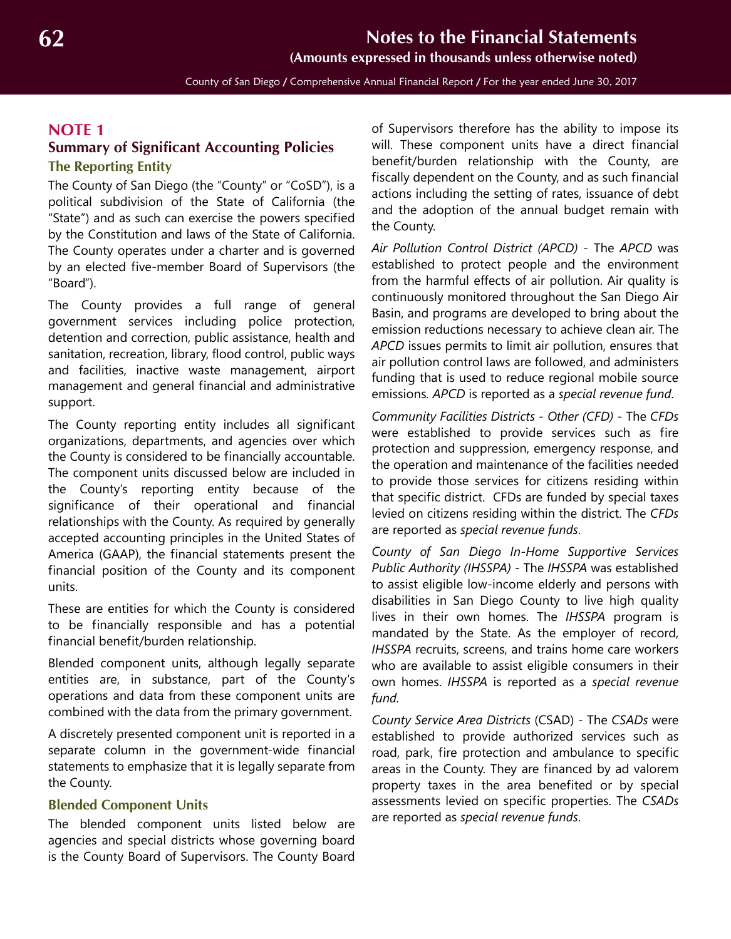County of San Diego / Comprehensive Annual Financial Report / For the year ended June 30, 2017

## <span id="page-1-2"></span>**NOTE 1**

## <span id="page-1-0"></span>**Summary of Significant Accounting Policies The Reporting Entity**

The County of San Diego (the "County" or "CoSD"), is a political subdivision of the State of California (the "State") and as such can exercise the powers specified by the Constitution and laws of the State of California. The County operates under a charter and is governed by an elected five-member Board of Supervisors (the "Board").

The County provides a full range of general government services including police protection, detention and correction, public assistance, health and sanitation, recreation, library, flood control, public ways and facilities, inactive waste management, airport management and general financial and administrative support.

The County reporting entity includes all significant organizations, departments, and agencies over which the County is considered to be financially accountable. The component units discussed below are included in the County's reporting entity because of the significance of their operational and financial relationships with the County. As required by generally accepted accounting principles in the United States of America (GAAP), the financial statements present the financial position of the County and its component units.

These are entities for which the County is considered to be financially responsible and has a potential financial benefit/burden relationship.

Blended component units, although legally separate entities are, in substance, part of the County's operations and data from these component units are combined with the data from the primary government.

A discretely presented component unit is reported in a separate column in the government-wide financial statements to emphasize that it is legally separate from the County.

#### <span id="page-1-1"></span>**Blended Component Units**

The blended component units listed below are agencies and special districts whose governing board is the County Board of Supervisors. The County Board

of Supervisors therefore has the ability to impose its will. These component units have a direct financial benefit/burden relationship with the County, are fiscally dependent on the County, and as such financial actions including the setting of rates, issuance of debt and the adoption of the annual budget remain with the County.

*Air Pollution Control District (APCD)* - The *APCD* was established to protect people and the environment from the harmful effects of air pollution. Air quality is continuously monitored throughout the San Diego Air Basin, and programs are developed to bring about the emission reductions necessary to achieve clean air. The *APCD* issues permits to limit air pollution, ensures that air pollution control laws are followed, and administers funding that is used to reduce regional mobile source emissions*. APCD* is reported as a *special revenue fund*.

*Community Facilities Districts - Other (CFD)* - The *CFDs* were established to provide services such as fire protection and suppression, emergency response, and the operation and maintenance of the facilities needed to provide those services for citizens residing within that specific district. CFDs are funded by special taxes levied on citizens residing within the district. The *CFDs* are reported as *special revenue funds*.

*County of San Diego In-Home Supportive Services Public Authority (IHSSPA)* - The *IHSSPA* was established to assist eligible low-income elderly and persons with disabilities in San Diego County to live high quality lives in their own homes. The *IHSSPA* program is mandated by the State. As the employer of record, *IHSSPA* recruits, screens, and trains home care workers who are available to assist eligible consumers in their own homes. *IHSSPA* is reported as a *special revenue fund.* 

*County Service Area Districts* (CSAD) - The *CSADs* were established to provide authorized services such as road, park, fire protection and ambulance to specific areas in the County. They are financed by ad valorem property taxes in the area benefited or by special assessments levied on specific properties. The *CSADs* are reported as *special revenue funds*.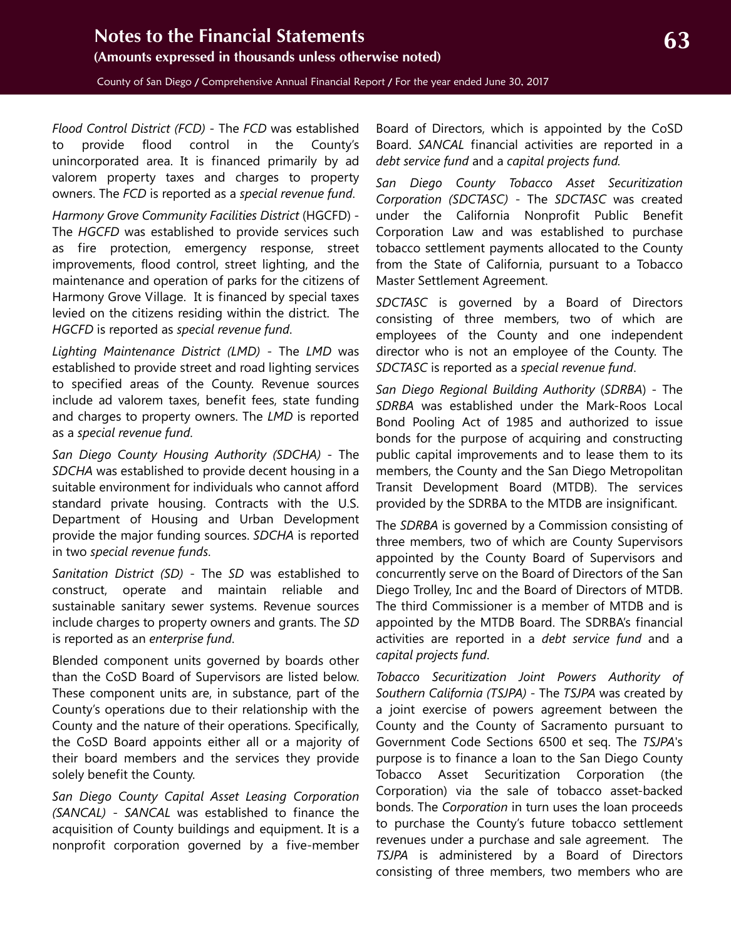*Flood Control District (FCD)* - The *FCD* was established to provide flood control in the County's unincorporated area. It is financed primarily by ad valorem property taxes and charges to property owners. The *FCD* is reported as a *special revenue fund*.

*Harmony Grove Community Facilities District* (HGCFD) - The *HGCFD* was established to provide services such as fire protection, emergency response, street improvements, flood control, street lighting, and the maintenance and operation of parks for the citizens of Harmony Grove Village. It is financed by special taxes levied on the citizens residing within the district. The *HGCFD* is reported as *special revenue fund*.

*Lighting Maintenance District (LMD)* - The *LMD* was established to provide street and road lighting services to specified areas of the County. Revenue sources include ad valorem taxes, benefit fees, state funding and charges to property owners. The *LMD* is reported as a *special revenue fund*.

*San Diego County Housing Authority (SDCHA)* - The *SDCHA* was established to provide decent housing in a suitable environment for individuals who cannot afford standard private housing. Contracts with the U.S. Department of Housing and Urban Development provide the major funding sources. *SDCHA* is reported in two *special revenue funds*.

*Sanitation District (SD)* - The *SD* was established to construct, operate and maintain reliable and sustainable sanitary sewer systems. Revenue sources include charges to property owners and grants. The *SD* is reported as an *enterprise fund*.

Blended component units governed by boards other than the CoSD Board of Supervisors are listed below. These component units are, in substance, part of the County's operations due to their relationship with the County and the nature of their operations. Specifically, the CoSD Board appoints either all or a majority of their board members and the services they provide solely benefit the County.

*San Diego County Capital Asset Leasing Corporation (SANCAL)* - *SANCAL* was established to finance the acquisition of County buildings and equipment. It is a nonprofit corporation governed by a five-member

Board of Directors, which is appointed by the CoSD Board. *SANCAL* financial activities are reported in a *debt service fund* and a *capital projects fund.*

*San Diego County Tobacco Asset Securitization Corporation (SDCTASC)* - The *SDCTASC* was created under the California Nonprofit Public Benefit Corporation Law and was established to purchase tobacco settlement payments allocated to the County from the State of California, pursuant to a Tobacco Master Settlement Agreement.

*SDCTASC* is governed by a Board of Directors consisting of three members, two of which are employees of the County and one independent director who is not an employee of the County. The *SDCTASC* is reported as a *special revenue fund*.

*San Diego Regional Building Authority* (*SDRBA*) - The *SDRBA* was established under the Mark-Roos Local Bond Pooling Act of 1985 and authorized to issue bonds for the purpose of acquiring and constructing public capital improvements and to lease them to its members, the County and the San Diego Metropolitan Transit Development Board (MTDB). The services provided by the SDRBA to the MTDB are insignificant.

The *SDRBA* is governed by a Commission consisting of three members, two of which are County Supervisors appointed by the County Board of Supervisors and concurrently serve on the Board of Directors of the San Diego Trolley, Inc and the Board of Directors of MTDB. The third Commissioner is a member of MTDB and is appointed by the MTDB Board. The SDRBA's financial activities are reported in a *debt service fund* and a *capital projects fund*.

*Tobacco Securitization Joint Powers Authority of Southern California (TSJPA)* - The *TSJPA* was created by a joint exercise of powers agreement between the County and the County of Sacramento pursuant to Government Code Sections 6500 et seq. The *TSJPA*'s purpose is to finance a loan to the San Diego County Tobacco Asset Securitization Corporation (the Corporation) via the sale of tobacco asset-backed bonds. The *Corporation* in turn uses the loan proceeds to purchase the County's future tobacco settlement revenues under a purchase and sale agreement. The *TSJPA* is administered by a Board of Directors consisting of three members, two members who are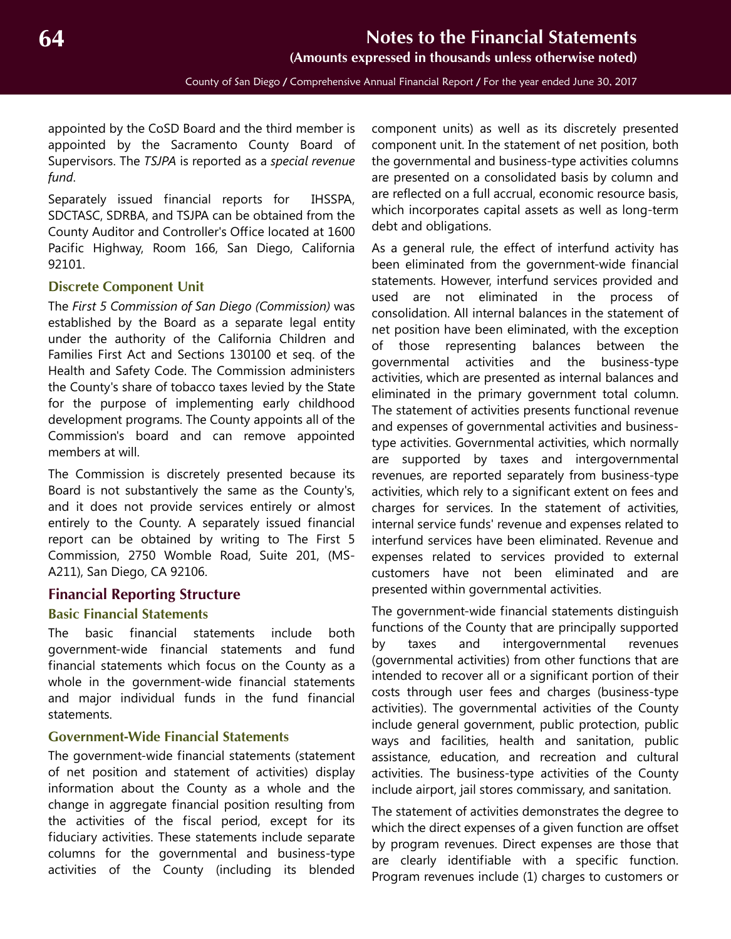**(Amounts expressed in thousands unless otherwise noted)**

County of San Diego / Comprehensive Annual Financial Report / For the year ended June 30, 2017

<span id="page-3-2"></span>appointed by the CoSD Board and the third member is appointed by the Sacramento County Board of Supervisors. The *TSJPA* is reported as a *special revenue fund*.

Separately issued financial reports for IHSSPA, SDCTASC, SDRBA, and TSJPA can be obtained from the County Auditor and Controller's Office located at 1600 Pacific Highway, Room 166, San Diego, California 92101.

#### <span id="page-3-0"></span>**Discrete Component Unit**

The *First 5 Commission of San Diego (Commission)* was established by the Board as a separate legal entity under the authority of the California Children and Families First Act and Sections 130100 et seq. of the Health and Safety Code. The Commission administers the County's share of tobacco taxes levied by the State for the purpose of implementing early childhood development programs. The County appoints all of the Commission's board and can remove appointed members at will.

The Commission is discretely presented because its Board is not substantively the same as the County's, and it does not provide services entirely or almost entirely to the County. A separately issued financial report can be obtained by writing to The First 5 Commission, 2750 Womble Road, Suite 201, (MS-A211), San Diego, CA 92106.

#### **Financial Reporting Structure**

#### **Basic Financial Statements**

The basic financial statements include both government-wide financial statements and fund financial statements which focus on the County as a whole in the government-wide financial statements and major individual funds in the fund financial statements.

#### <span id="page-3-1"></span>**Government-Wide Financial Statements**

The government-wide financial statements (statement of net position and statement of activities) display information about the County as a whole and the change in aggregate financial position resulting from the activities of the fiscal period, except for its fiduciary activities. These statements include separate columns for the governmental and business-type activities of the County (including its blended

component units) as well as its discretely presented component unit. In the statement of net position, both the governmental and business-type activities columns are presented on a consolidated basis by column and are reflected on a full accrual, economic resource basis, which incorporates capital assets as well as long-term debt and obligations.

As a general rule, the effect of interfund activity has been eliminated from the government-wide financial statements. However, interfund services provided and used are not eliminated in the process of consolidation. All internal balances in the statement of net position have been eliminated, with the exception of those representing balances between the governmental activities and the business-type activities, which are presented as internal balances and eliminated in the primary government total column. The statement of activities presents functional revenue and expenses of governmental activities and businesstype activities. Governmental activities, which normally are supported by taxes and intergovernmental revenues, are reported separately from business-type activities, which rely to a significant extent on fees and charges for services. In the statement of activities, internal service funds' revenue and expenses related to interfund services have been eliminated. Revenue and expenses related to services provided to external customers have not been eliminated and are presented within governmental activities.

The government-wide financial statements distinguish functions of the County that are principally supported by taxes and intergovernmental revenues (governmental activities) from other functions that are intended to recover all or a significant portion of their costs through user fees and charges (business-type activities). The governmental activities of the County include general government, public protection, public ways and facilities, health and sanitation, public assistance, education, and recreation and cultural activities. The business-type activities of the County include airport, jail stores commissary, and sanitation.

The statement of activities demonstrates the degree to which the direct expenses of a given function are offset by program revenues. Direct expenses are those that are clearly identifiable with a specific function. Program revenues include (1) charges to customers or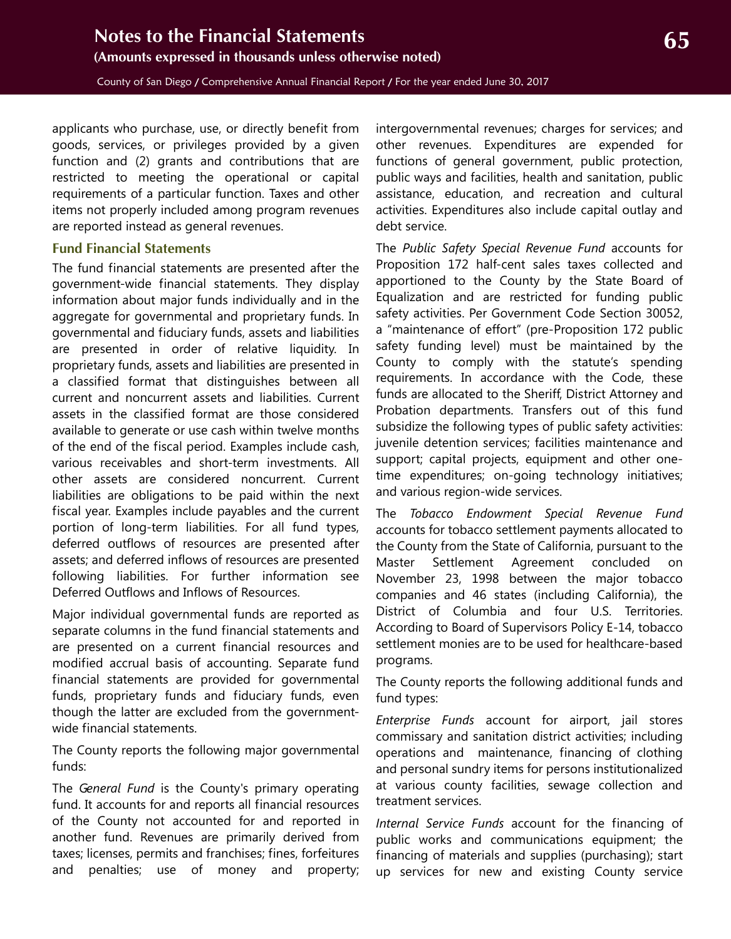<span id="page-4-1"></span>County of San Diego / Comprehensive Annual Financial Report / For the year ended June 30, 2017

applicants who purchase, use, or directly benefit from goods, services, or privileges provided by a given function and (2) grants and contributions that are restricted to meeting the operational or capital requirements of a particular function. Taxes and other items not properly included among program revenues are reported instead as general revenues.

#### <span id="page-4-0"></span>**Fund Financial Statements**

The fund financial statements are presented after the government-wide financial statements. They display information about major funds individually and in the aggregate for governmental and proprietary funds. In governmental and fiduciary funds, assets and liabilities are presented in order of relative liquidity. In proprietary funds, assets and liabilities are presented in a classified format that distinguishes between all current and noncurrent assets and liabilities. Current assets in the classified format are those considered available to generate or use cash within twelve months of the end of the fiscal period. Examples include cash, various receivables and short-term investments. All other assets are considered noncurrent. Current liabilities are obligations to be paid within the next fiscal year. Examples include payables and the current portion of long-term liabilities. For all fund types, deferred outflows of resources are presented after assets; and deferred inflows of resources are presented following liabilities. For further information see Deferred Outflows and Inflows of Resources.

Major individual governmental funds are reported as separate columns in the fund financial statements and are presented on a current financial resources and modified accrual basis of accounting. Separate fund financial statements are provided for governmental funds, proprietary funds and fiduciary funds, even though the latter are excluded from the governmentwide financial statements.

The County reports the following major governmental funds:

The *General Fund* is the County's primary operating fund. It accounts for and reports all financial resources of the County not accounted for and reported in another fund. Revenues are primarily derived from taxes; licenses, permits and franchises; fines, forfeitures and penalties; use of money and property;

intergovernmental revenues; charges for services; and other revenues. Expenditures are expended for functions of general government, public protection, public ways and facilities, health and sanitation, public assistance, education, and recreation and cultural activities. Expenditures also include capital outlay and debt service.

The *Public Safety Special Revenue Fund* accounts for Proposition 172 half-cent sales taxes collected and apportioned to the County by the State Board of Equalization and are restricted for funding public safety activities. Per Government Code Section 30052, a "maintenance of effort" (pre-Proposition 172 public safety funding level) must be maintained by the County to comply with the statute's spending requirements. In accordance with the Code, these funds are allocated to the Sheriff, District Attorney and Probation departments. Transfers out of this fund subsidize the following types of public safety activities: juvenile detention services; facilities maintenance and support; capital projects, equipment and other onetime expenditures; on-going technology initiatives; and various region-wide services.

The *Tobacco Endowment Special Revenue Fund* accounts for tobacco settlement payments allocated to the County from the State of California, pursuant to the Master Settlement Agreement concluded on November 23, 1998 between the major tobacco companies and 46 states (including California), the District of Columbia and four U.S. Territories. According to Board of Supervisors Policy E-14, tobacco settlement monies are to be used for healthcare-based programs.

The County reports the following additional funds and fund types:

*Enterprise Funds* account for airport, jail stores commissary and sanitation district activities; including operations and maintenance, financing of clothing and personal sundry items for persons institutionalized at various county facilities, sewage collection and treatment services.

*Internal Service Funds* account for the financing of public works and communications equipment; the financing of materials and supplies (purchasing); start up services for new and existing County service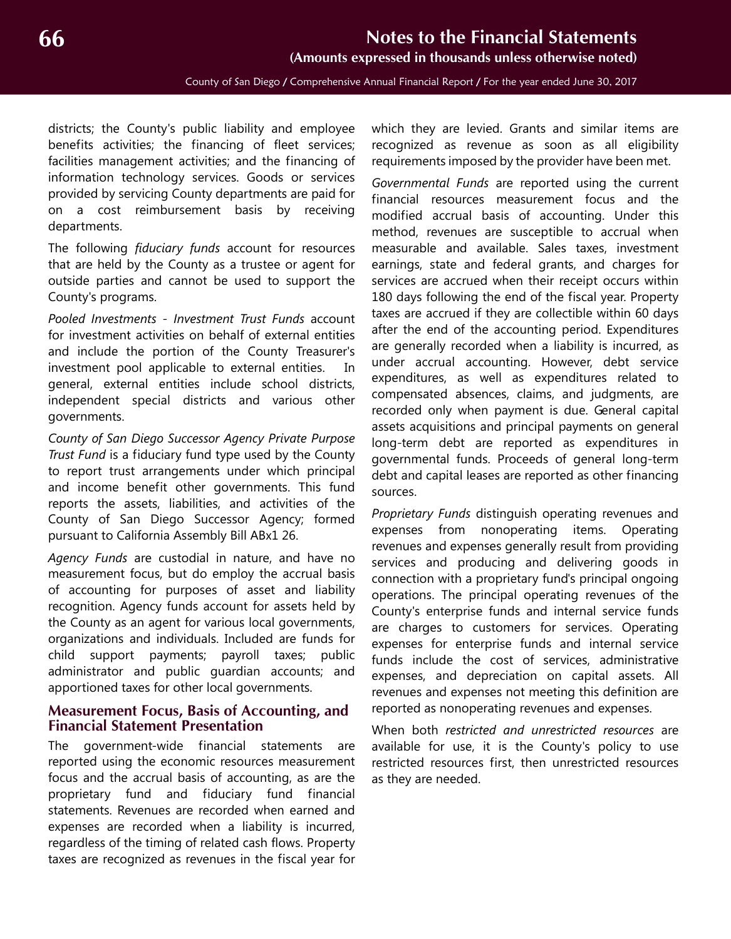County of San Diego / Comprehensive Annual Financial Report / For the year ended June 30, 2017

<span id="page-5-1"></span>districts; the County's public liability and employee benefits activities; the financing of fleet services; facilities management activities; and the financing of information technology services. Goods or services provided by servicing County departments are paid for on a cost reimbursement basis by receiving departments.

The following *fiduciary funds* account for resources that are held by the County as a trustee or agent for outside parties and cannot be used to support the County's programs.

*Pooled Investments - Investment Trust Funds* account for investment activities on behalf of external entities and include the portion of the County Treasurer's investment pool applicable to external entities. In general, external entities include school districts, independent special districts and various other governments.

*County of San Diego Successor Agency Private Purpose Trust Fund* is a fiduciary fund type used by the County to report trust arrangements under which principal and income benefit other governments. This fund reports the assets, liabilities, and activities of the County of San Diego Successor Agency; formed pursuant to California Assembly Bill ABx1 26.

*Agency Funds* are custodial in nature, and have no measurement focus, but do employ the accrual basis of accounting for purposes of asset and liability recognition. Agency funds account for assets held by the County as an agent for various local governments, organizations and individuals. Included are funds for child support payments; payroll taxes; public administrator and public guardian accounts; and apportioned taxes for other local governments.

#### <span id="page-5-0"></span>**Measurement Focus, Basis of Accounting, and Financial Statement Presentation**

The government-wide financial statements are reported using the economic resources measurement focus and the accrual basis of accounting, as are the proprietary fund and fiduciary fund financial statements. Revenues are recorded when earned and expenses are recorded when a liability is incurred, regardless of the timing of related cash flows. Property taxes are recognized as revenues in the fiscal year for

which they are levied. Grants and similar items are recognized as revenue as soon as all eligibility requirements imposed by the provider have been met.

*Governmental Funds* are reported using the current financial resources measurement focus and the modified accrual basis of accounting. Under this method, revenues are susceptible to accrual when measurable and available. Sales taxes, investment earnings, state and federal grants, and charges for services are accrued when their receipt occurs within 180 days following the end of the fiscal year. Property taxes are accrued if they are collectible within 60 days after the end of the accounting period. Expenditures are generally recorded when a liability is incurred, as under accrual accounting. However, debt service expenditures, as well as expenditures related to compensated absences, claims, and judgments, are recorded only when payment is due. General capital assets acquisitions and principal payments on general long-term debt are reported as expenditures in governmental funds. Proceeds of general long-term debt and capital leases are reported as other financing sources.

*Proprietary Funds* distinguish operating revenues and expenses from nonoperating items. Operating revenues and expenses generally result from providing services and producing and delivering goods in connection with a proprietary fund's principal ongoing operations. The principal operating revenues of the County's enterprise funds and internal service funds are charges to customers for services. Operating expenses for enterprise funds and internal service funds include the cost of services, administrative expenses, and depreciation on capital assets. All revenues and expenses not meeting this definition are reported as nonoperating revenues and expenses.

When both *restricted and unrestricted resources* are available for use, it is the County's policy to use restricted resources first, then unrestricted resources as they are needed.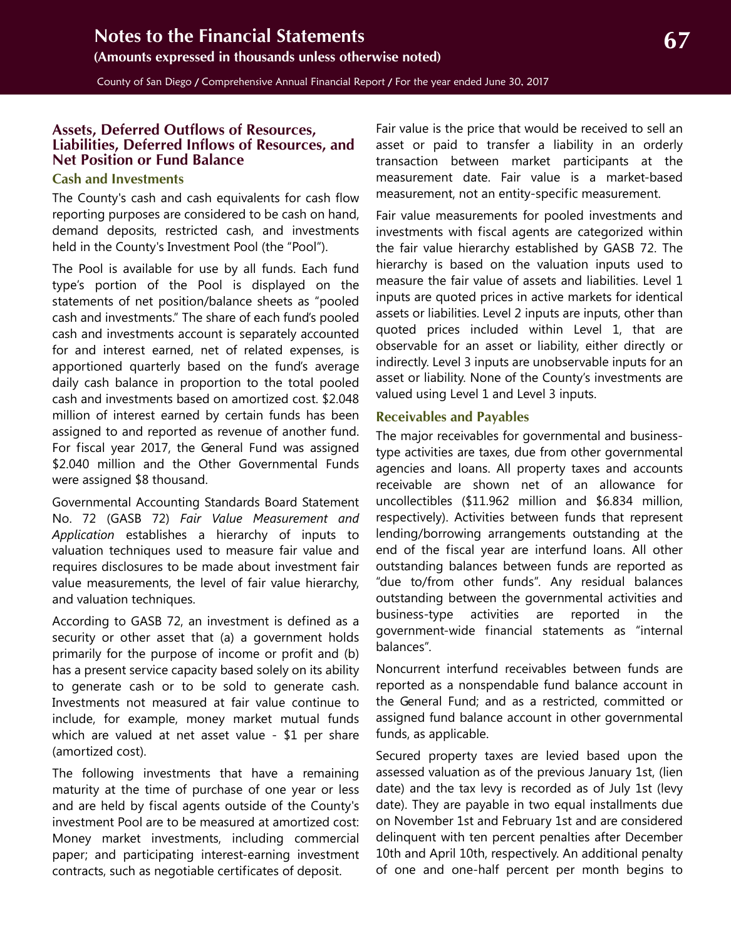<span id="page-6-2"></span>County of San Diego / Comprehensive Annual Financial Report / For the year ended June 30, 2017

#### <span id="page-6-0"></span>**Assets, Deferred Outflows of Resources, Liabilities, Deferred Inflows of Resources, and Net Position or Fund Balance**

#### <span id="page-6-1"></span>**Cash and Investments**

The County's cash and cash equivalents for cash flow reporting purposes are considered to be cash on hand, demand deposits, restricted cash, and investments held in the County's Investment Pool (the "Pool").

The Pool is available for use by all funds. Each fund type's portion of the Pool is displayed on the statements of net position/balance sheets as "pooled cash and investments." The share of each fund's pooled cash and investments account is separately accounted for and interest earned, net of related expenses, is apportioned quarterly based on the fund's average daily cash balance in proportion to the total pooled cash and investments based on amortized cost. \$2.048 million of interest earned by certain funds has been assigned to and reported as revenue of another fund. For fiscal year 2017, the General Fund was assigned \$2.040 million and the Other Governmental Funds were assigned \$8 thousand.

Governmental Accounting Standards Board Statement No. 72 (GASB 72) *Fair Value Measurement and Application* establishes a hierarchy of inputs to valuation techniques used to measure fair value and requires disclosures to be made about investment fair value measurements, the level of fair value hierarchy, and valuation techniques.

According to GASB 72, an investment is defined as a security or other asset that (a) a government holds primarily for the purpose of income or profit and (b) has a present service capacity based solely on its ability to generate cash or to be sold to generate cash. Investments not measured at fair value continue to include, for example, money market mutual funds which are valued at net asset value - \$1 per share (amortized cost).

The following investments that have a remaining maturity at the time of purchase of one year or less and are held by fiscal agents outside of the County's investment Pool are to be measured at amortized cost: Money market investments, including commercial paper; and participating interest-earning investment contracts, such as negotiable certificates of deposit.

Fair value is the price that would be received to sell an asset or paid to transfer a liability in an orderly transaction between market participants at the measurement date. Fair value is a market-based measurement, not an entity-specific measurement.

Fair value measurements for pooled investments and investments with fiscal agents are categorized within the fair value hierarchy established by GASB 72. The hierarchy is based on the valuation inputs used to measure the fair value of assets and liabilities. Level 1 inputs are quoted prices in active markets for identical assets or liabilities. Level 2 inputs are inputs, other than quoted prices included within Level 1, that are observable for an asset or liability, either directly or indirectly. Level 3 inputs are unobservable inputs for an asset or liability. None of the County's investments are valued using Level 1 and Level 3 inputs.

#### **Receivables and Payables**

The major receivables for governmental and businesstype activities are taxes, due from other governmental agencies and loans. All property taxes and accounts receivable are shown net of an allowance for uncollectibles (\$11.962 million and \$6.834 million, respectively). Activities between funds that represent lending/borrowing arrangements outstanding at the end of the fiscal year are interfund loans. All other outstanding balances between funds are reported as "due to/from other funds". Any residual balances outstanding between the governmental activities and business-type activities are reported in the government-wide financial statements as "internal balances".

Noncurrent interfund receivables between funds are reported as a nonspendable fund balance account in the General Fund; and as a restricted, committed or assigned fund balance account in other governmental funds, as applicable.

Secured property taxes are levied based upon the assessed valuation as of the previous January 1st, (lien date) and the tax levy is recorded as of July 1st (levy date). They are payable in two equal installments due on November 1st and February 1st and are considered delinquent with ten percent penalties after December 10th and April 10th, respectively. An additional penalty of one and one-half percent per month begins to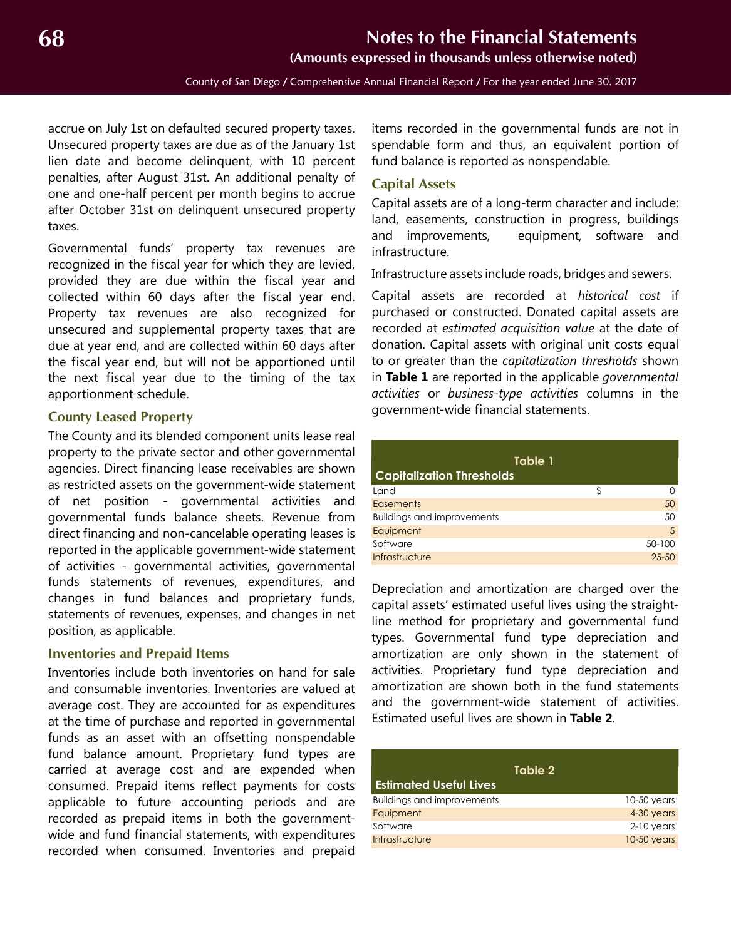County of San Diego / Comprehensive Annual Financial Report / For the year ended June 30, 2017

<span id="page-7-3"></span>accrue on July 1st on defaulted secured property taxes. Unsecured property taxes are due as of the January 1st lien date and become delinquent, with 10 percent penalties, after August 31st. An additional penalty of one and one-half percent per month begins to accrue after October 31st on delinquent unsecured property taxes.

Governmental funds' property tax revenues are recognized in the fiscal year for which they are levied, provided they are due within the fiscal year and collected within 60 days after the fiscal year end. Property tax revenues are also recognized for unsecured and supplemental property taxes that are due at year end, and are collected within 60 days after the fiscal year end, but will not be apportioned until the next fiscal year due to the timing of the tax apportionment schedule.

#### <span id="page-7-0"></span>**County Leased Property**

The County and its blended component units lease real property to the private sector and other governmental agencies. Direct financing lease receivables are shown as restricted assets on the government-wide statement of net position - governmental activities and governmental funds balance sheets. Revenue from direct financing and non-cancelable operating leases is reported in the applicable government-wide statement of activities - governmental activities, governmental funds statements of revenues, expenditures, and changes in fund balances and proprietary funds, statements of revenues, expenses, and changes in net position, as applicable.

#### <span id="page-7-1"></span>**Inventories and Prepaid Items**

Inventories include both inventories on hand for sale and consumable inventories. Inventories are valued at average cost. They are accounted for as expenditures at the time of purchase and reported in governmental funds as an asset with an offsetting nonspendable fund balance amount. Proprietary fund types are carried at average cost and are expended when consumed. Prepaid items reflect payments for costs applicable to future accounting periods and are recorded as prepaid items in both the governmentwide and fund financial statements, with expenditures recorded when consumed. Inventories and prepaid

items recorded in the governmental funds are not in spendable form and thus, an equivalent portion of fund balance is reported as nonspendable.

#### <span id="page-7-2"></span>**Capital Assets**

Capital assets are of a long-term character and include: land, easements, construction in progress, buildings and improvements, equipment, software and infrastructure.

Infrastructure assets include roads, bridges and sewers.

Capital assets are recorded at *historical cost* if purchased or constructed. Donated capital assets are recorded at *estimated acquisition value* at the date of donation. Capital assets with original unit costs equal to or greater than the *capitalization thresholds* shown in **Table 1** are reported in the applicable *governmental activities* or *business-type activities* columns in the government-wide financial statements.

| Table 1<br><b>Capitalization Thresholds</b> |  |           |  |  |  |  |
|---------------------------------------------|--|-----------|--|--|--|--|
| Land                                        |  |           |  |  |  |  |
| Easements                                   |  | 50        |  |  |  |  |
| <b>Buildings and improvements</b>           |  | 50        |  |  |  |  |
| Equipment                                   |  | .5        |  |  |  |  |
| Software                                    |  | 50-100    |  |  |  |  |
| Infrastructure                              |  | $25 - 50$ |  |  |  |  |

Depreciation and amortization are charged over the capital assets' estimated useful lives using the straightline method for proprietary and governmental fund types. Governmental fund type depreciation and amortization are only shown in the statement of activities. Proprietary fund type depreciation and amortization are shown both in the fund statements and the government-wide statement of activities. Estimated useful lives are shown in **Table 2**.

| <b>Estimated Useful Lives</b>     | Table 2       |
|-----------------------------------|---------------|
| <b>Buildings and improvements</b> | $10-50$ years |
| Equipment                         | 4-30 years    |
| Software                          | $2-10$ years  |
| Infrastructure                    | 10-50 years   |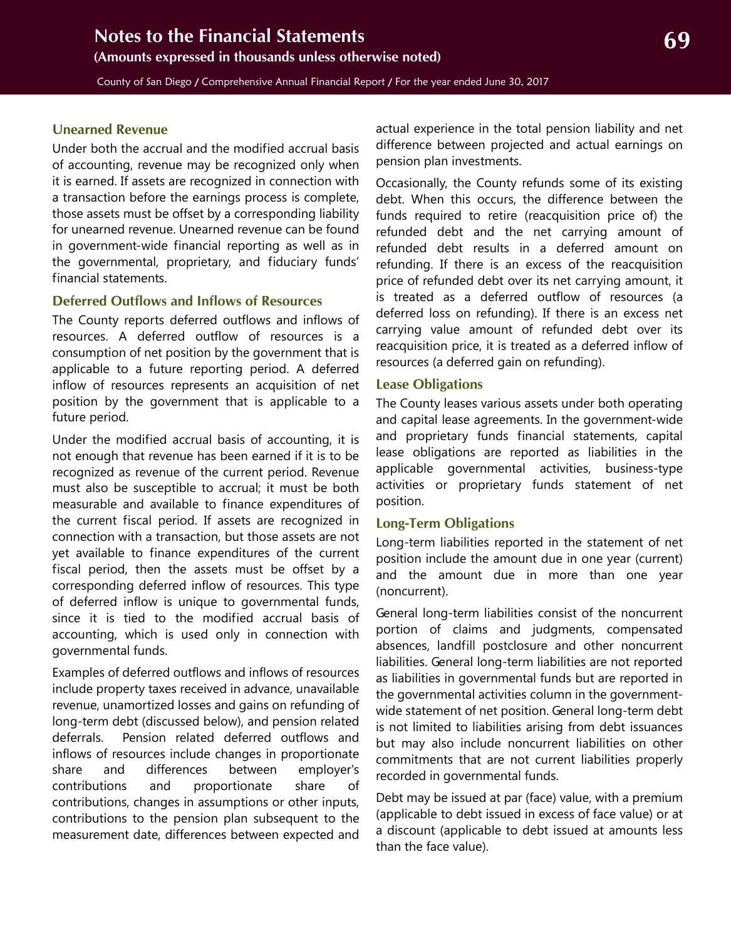#### <span id="page-8-1"></span>**Unearned Revenue**

Under both the accrual and the modified accrual basis of accounting, revenue may be recognized only when it is earned. If assets are recognized in connection with a transaction before the earnings process is complete, those assets must be offset by a corresponding liability for unearned revenue. Unearned revenue can be found in government-wide financial reporting as well as in the governmental, proprietary, and fiduciary funds' financial statements.

#### **Deferred Outflows and Inflows of Resources**

The County reports deferred outflows and inflows of resources. A deferred outflow of resources is a consumption of net position by the government that is applicable to a future reporting period. A deferred inflow of resources represents an acquisition of net position by the government that is applicable to a future period.

Under the modified accrual basis of accounting, it is not enough that revenue has been earned if it is to be recognized as revenue of the current period. Revenue must also be susceptible to accrual; it must be both measurable and available to finance expenditures of the current fiscal period. If assets are recognized in connection with a transaction, but those assets are not yet available to finance expenditures of the current fiscal period, then the assets must be offset by a corresponding deferred inflow of resources. This type of deferred inflow is unique to governmental funds, since it is tied to the modified accrual basis of accounting, which is used only in connection with governmental funds.

Examples of deferred outflows and inflows of resources include property taxes received in advance, unavailable revenue, unamortized losses and gains on refunding of long-term debt (discussed below), and pension related deferrals. Pension related deferred outflows and inflows of resources include changes in proportionate share and differences between employer's contributions and proportionate share of contributions, changes in assumptions or other inputs, contributions to the pension plan subsequent to the measurement date, differences between expected and actual experience in the total pension liability and net difference between projected and actual earnings on pension plan investments.

Occasionally, the County refunds some of its existing debt. When this occurs, the difference between the funds required to retire (reacquisition price of) the refunded debt and the net carrying amount of refunded debt results in a deferred amount on refunding. If there is an excess of the reacquisition price of refunded debt over its net carrying amount, it is treated as a deferred outflow of resources (a deferred loss on refunding). If there is an excess net carrying value amount of refunded debt over its reacquisition price, it is treated as a deferred inflow of resources (a deferred gain on refunding).

#### **Lease Obligations**

The County leases various assets under both operating and capital lease agreements. In the government-wide and proprietary funds financial statements, capital lease obligations are reported as liabilities in the applicable governmental activities, business-type activities or proprietary funds statement of net position.

#### <span id="page-8-0"></span>**Long-Term Obligations**

Long-term liabilities reported in the statement of net position include the amount due in one year (current) and the amount due in more than one year (noncurrent).

General long-term liabilities consist of the noncurrent portion of claims and judgments, compensated absences, landfill postclosure and other noncurrent liabilities. General long-term liabilities are not reported as liabilities in governmental funds but are reported in the governmental activities column in the governmentwide statement of net position. General long-term debt is not limited to liabilities arising from debt issuances but may also include noncurrent liabilities on other commitments that are not current liabilities properly recorded in governmental funds.

Debt may be issued at par (face) value, with a premium (applicable to debt issued in excess of face value) or at a discount (applicable to debt issued at amounts less than the face value).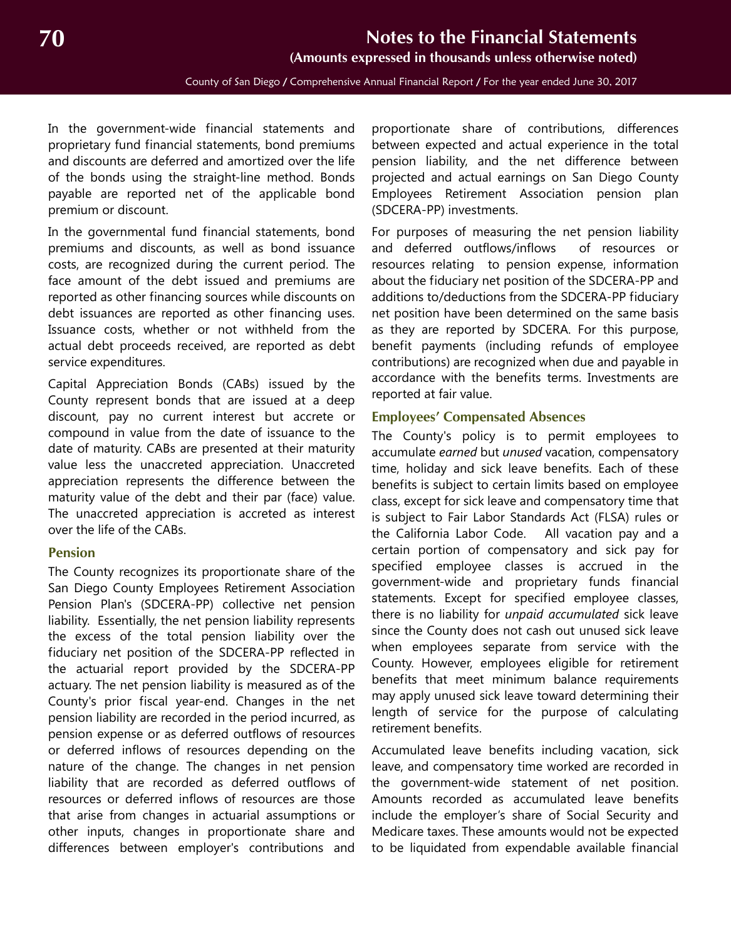County of San Diego / Comprehensive Annual Financial Report / For the year ended June 30, 2017

<span id="page-9-1"></span>In the government-wide financial statements and proprietary fund financial statements, bond premiums and discounts are deferred and amortized over the life of the bonds using the straight-line method. Bonds payable are reported net of the applicable bond premium or discount.

In the governmental fund financial statements, bond premiums and discounts, as well as bond issuance costs, are recognized during the current period. The face amount of the debt issued and premiums are reported as other financing sources while discounts on debt issuances are reported as other financing uses. Issuance costs, whether or not withheld from the actual debt proceeds received, are reported as debt service expenditures.

Capital Appreciation Bonds (CABs) issued by the County represent bonds that are issued at a deep discount, pay no current interest but accrete or compound in value from the date of issuance to the date of maturity. CABs are presented at their maturity value less the unaccreted appreciation. Unaccreted appreciation represents the difference between the maturity value of the debt and their par (face) value. The unaccreted appreciation is accreted as interest over the life of the CABs.

#### **Pension**

The County recognizes its proportionate share of the San Diego County Employees Retirement Association Pension Plan's (SDCERA-PP) collective net pension liability. Essentially, the net pension liability represents the excess of the total pension liability over the fiduciary net position of the SDCERA-PP reflected in the actuarial report provided by the SDCERA-PP actuary. The net pension liability is measured as of the County's prior fiscal year-end. Changes in the net pension liability are recorded in the period incurred, as pension expense or as deferred outflows of resources or deferred inflows of resources depending on the nature of the change. The changes in net pension liability that are recorded as deferred outflows of resources or deferred inflows of resources are those that arise from changes in actuarial assumptions or other inputs, changes in proportionate share and differences between employer's contributions and

proportionate share of contributions, differences between expected and actual experience in the total pension liability, and the net difference between projected and actual earnings on San Diego County Employees Retirement Association pension plan (SDCERA-PP) investments.

For purposes of measuring the net pension liability and deferred outflows/inflows of resources or resources relating to pension expense, information about the fiduciary net position of the SDCERA-PP and additions to/deductions from the SDCERA-PP fiduciary net position have been determined on the same basis as they are reported by SDCERA. For this purpose, benefit payments (including refunds of employee contributions) are recognized when due and payable in accordance with the benefits terms. Investments are reported at fair value.

#### <span id="page-9-0"></span>**Employees' Compensated Absences**

The County's policy is to permit employees to accumulate *earned* but *unused* vacation, compensatory time, holiday and sick leave benefits. Each of these benefits is subject to certain limits based on employee class, except for sick leave and compensatory time that is subject to Fair Labor Standards Act (FLSA) rules or the California Labor Code. All vacation pay and a certain portion of compensatory and sick pay for specified employee classes is accrued in the government-wide and proprietary funds financial statements. Except for specified employee classes, there is no liability for *unpaid accumulated* sick leave since the County does not cash out unused sick leave when employees separate from service with the County. However, employees eligible for retirement benefits that meet minimum balance requirements may apply unused sick leave toward determining their length of service for the purpose of calculating retirement benefits.

Accumulated leave benefits including vacation, sick leave, and compensatory time worked are recorded in the government-wide statement of net position. Amounts recorded as accumulated leave benefits include the employer's share of Social Security and Medicare taxes. These amounts would not be expected to be liquidated from expendable available financial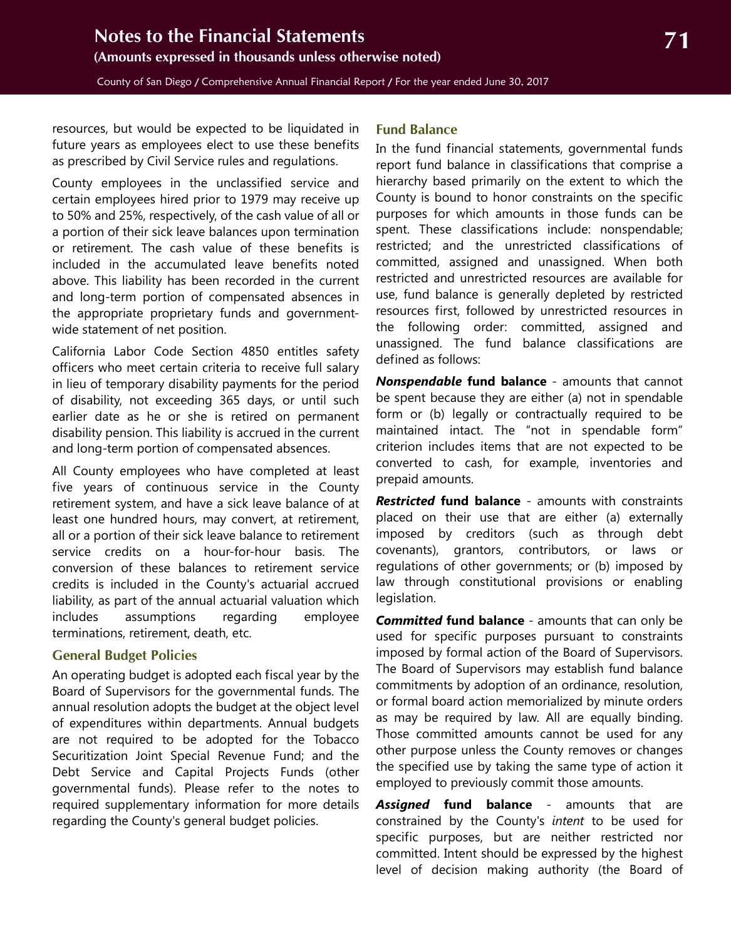<span id="page-10-2"></span>resources, but would be expected to be liquidated in future years as employees elect to use these benefits as prescribed by Civil Service rules and regulations.

County employees in the unclassified service and certain employees hired prior to 1979 may receive up to 50% and 25%, respectively, of the cash value of all or a portion of their sick leave balances upon termination or retirement. The cash value of these benefits is included in the accumulated leave benefits noted above. This liability has been recorded in the current and long-term portion of compensated absences in the appropriate proprietary funds and governmentwide statement of net position.

California Labor Code Section 4850 entitles safety officers who meet certain criteria to receive full salary in lieu of temporary disability payments for the period of disability, not exceeding 365 days, or until such earlier date as he or she is retired on permanent disability pension. This liability is accrued in the current and long-term portion of compensated absences.

All County employees who have completed at least five years of continuous service in the County retirement system, and have a sick leave balance of at least one hundred hours, may convert, at retirement, all or a portion of their sick leave balance to retirement service credits on a hour-for-hour basis. The conversion of these balances to retirement service credits is included in the County's actuarial accrued liability, as part of the annual actuarial valuation which includes assumptions regarding employee terminations, retirement, death, etc.

#### <span id="page-10-0"></span>**General Budget Policies**

An operating budget is adopted each fiscal year by the Board of Supervisors for the governmental funds. The annual resolution adopts the budget at the object level of expenditures within departments. Annual budgets are not required to be adopted for the Tobacco Securitization Joint Special Revenue Fund; and the Debt Service and Capital Projects Funds (other governmental funds). Please refer to the notes to required supplementary information for more details regarding the County's general budget policies.

#### <span id="page-10-1"></span>**Fund Balance**

In the fund financial statements, governmental funds report fund balance in classifications that comprise a hierarchy based primarily on the extent to which the County is bound to honor constraints on the specific purposes for which amounts in those funds can be spent. These classifications include: nonspendable; restricted; and the unrestricted classifications of committed, assigned and unassigned. When both restricted and unrestricted resources are available for use, fund balance is generally depleted by restricted resources first, followed by unrestricted resources in the following order: committed, assigned and unassigned. The fund balance classifications are defined as follows:

*Nonspendable* **fund balance** - amounts that cannot be spent because they are either (a) not in spendable form or (b) legally or contractually required to be maintained intact. The "not in spendable form" criterion includes items that are not expected to be converted to cash, for example, inventories and prepaid amounts.

*Restricted* **fund balance** - amounts with constraints placed on their use that are either (a) externally imposed by creditors (such as through debt covenants), grantors, contributors, or laws or regulations of other governments; or (b) imposed by law through constitutional provisions or enabling legislation.

*Committed* **fund balance** - amounts that can only be used for specific purposes pursuant to constraints imposed by formal action of the Board of Supervisors. The Board of Supervisors may establish fund balance commitments by adoption of an ordinance, resolution, or formal board action memorialized by minute orders as may be required by law. All are equally binding. Those committed amounts cannot be used for any other purpose unless the County removes or changes the specified use by taking the same type of action it employed to previously commit those amounts.

*Assigned* **fund balance** - amounts that are constrained by the County's *intent* to be used for specific purposes, but are neither restricted nor committed. Intent should be expressed by the highest level of decision making authority (the Board of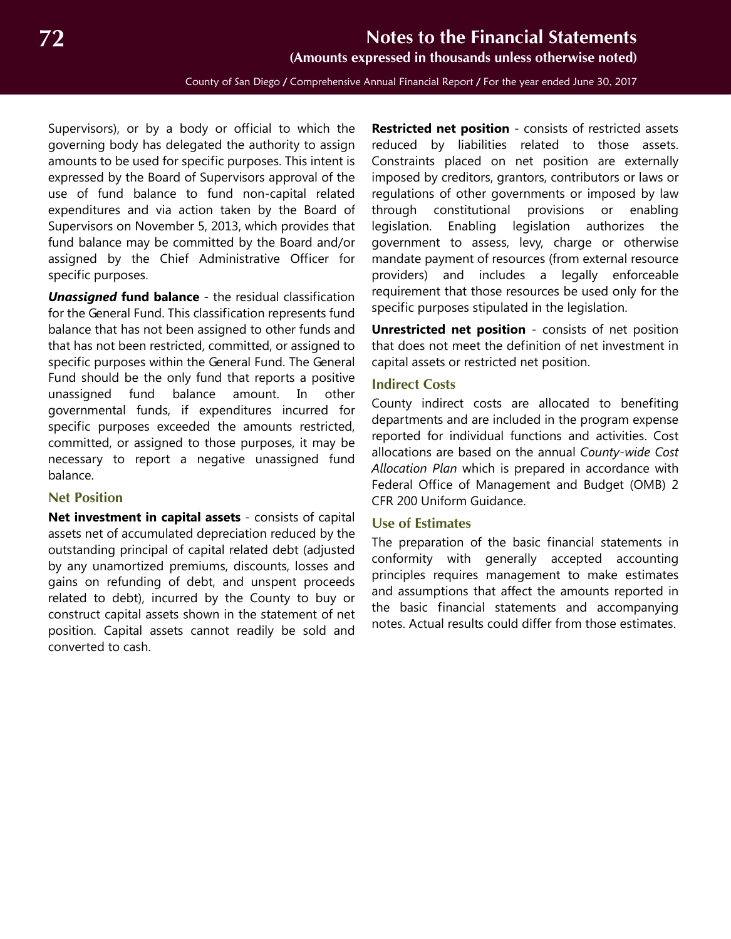**(Amounts expressed in thousands unless otherwise noted)**

<span id="page-11-2"></span>Supervisors), or by a body or official to which the governing body has delegated the authority to assign amounts to be used for specific purposes. This intent is expressed by the Board of Supervisors approval of the use of fund balance to fund non-capital related expenditures and via action taken by the Board of Supervisors on November 5, 2013, which provides that fund balance may be committed by the Board and/or assigned by the Chief Administrative Officer for specific purposes.

*Unassigned* **fund balance** - the residual classification for the General Fund. This classification represents fund balance that has not been assigned to other funds and that has not been restricted, committed, or assigned to specific purposes within the General Fund. The General Fund should be the only fund that reports a positive unassigned fund balance amount. In other governmental funds, if expenditures incurred for specific purposes exceeded the amounts restricted, committed, or assigned to those purposes, it may be necessary to report a negative unassigned fund balance.

#### <span id="page-11-0"></span>**Net Position**

**Net investment in capital assets** - consists of capital assets net of accumulated depreciation reduced by the outstanding principal of capital related debt (adjusted by any unamortized premiums, discounts, losses and gains on refunding of debt, and unspent proceeds related to debt), incurred by the County to buy or construct capital assets shown in the statement of net position. Capital assets cannot readily be sold and converted to cash.

**Restricted net position** - consists of restricted assets reduced by liabilities related to those assets. Constraints placed on net position are externally imposed by creditors, grantors, contributors or laws or regulations of other governments or imposed by law through constitutional provisions or enabling legislation. Enabling legislation authorizes the government to assess, levy, charge or otherwise mandate payment of resources (from external resource providers) and includes a legally enforceable requirement that those resources be used only for the specific purposes stipulated in the legislation.

**Unrestricted net position** - consists of net position that does not meet the definition of net investment in capital assets or restricted net position.

#### <span id="page-11-1"></span>**Indirect Costs**

County indirect costs are allocated to benefiting departments and are included in the program expense reported for individual functions and activities. Cost allocations are based on the annual *County-wide Cost Allocation Plan* which is prepared in accordance with Federal Office of Management and Budget (OMB) 2 CFR 200 Uniform Guidance.

#### **Use of Estimates**

The preparation of the basic financial statements in conformity with generally accepted accounting principles requires management to make estimates and assumptions that affect the amounts reported in the basic financial statements and accompanying notes. Actual results could differ from those estimates.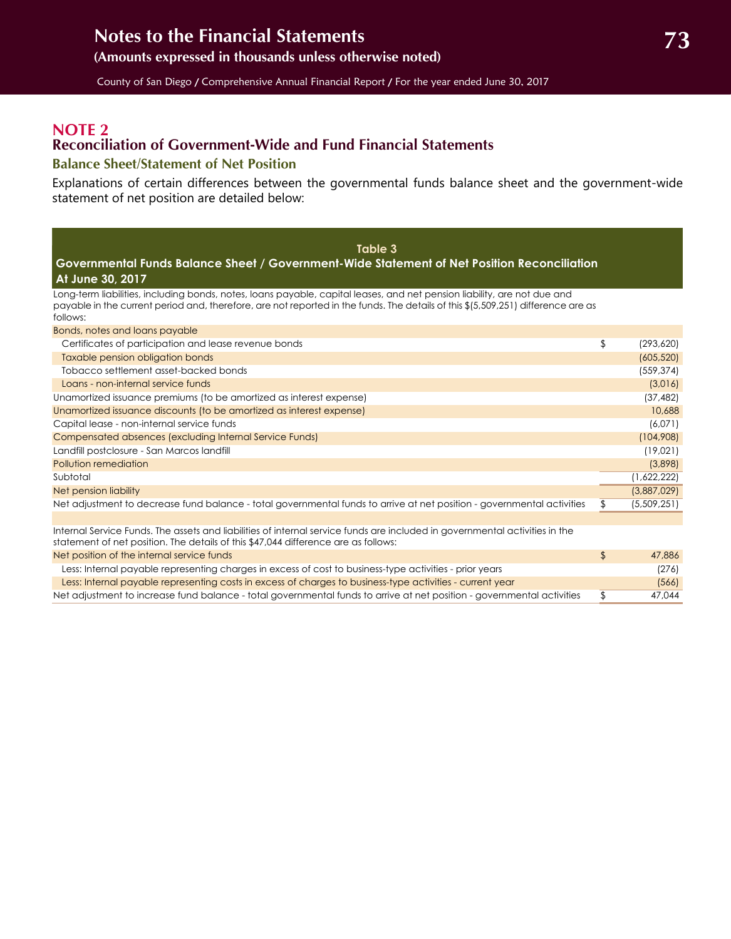### <span id="page-12-2"></span><span id="page-12-0"></span>**NOTE 2 Reconciliation of Government-Wide and Fund Financial Statements**

#### <span id="page-12-1"></span>**Balance Sheet/Statement of Net Position**

Explanations of certain differences between the governmental funds balance sheet and the government-wide statement of net position are detailed below:

| Table 3                                                                                                                                                                                                                                                                                       |                   |
|-----------------------------------------------------------------------------------------------------------------------------------------------------------------------------------------------------------------------------------------------------------------------------------------------|-------------------|
| Governmental Funds Balance Sheet / Government-Wide Statement of Net Position Reconciliation                                                                                                                                                                                                   |                   |
| At June 30, 2017                                                                                                                                                                                                                                                                              |                   |
| Long-term liabilities, including bonds, notes, loans payable, capital leases, and net pension liability, are not due and<br>payable in the current period and, therefore, are not reported in the funds. The details of this \$(5,509,251) difference are as<br>follows:                      |                   |
| Bonds, notes and loans payable                                                                                                                                                                                                                                                                |                   |
| Certificates of participation and lease revenue bonds                                                                                                                                                                                                                                         | \$<br>(293, 620)  |
| Taxable pension obligation bonds                                                                                                                                                                                                                                                              | (605, 520)        |
| Tobacco settlement asset-backed bonds                                                                                                                                                                                                                                                         | (559, 374)        |
| Loans - non-internal service funds                                                                                                                                                                                                                                                            | (3,016)           |
| Unamortized issuance premiums (to be amortized as interest expense)                                                                                                                                                                                                                           | (37, 482)         |
| Unamortized issuance discounts (to be amortized as interest expense)                                                                                                                                                                                                                          | 10,688            |
| Capital lease - non-internal service funds                                                                                                                                                                                                                                                    | (6,071)           |
| Compensated absences (excluding Internal Service Funds)                                                                                                                                                                                                                                       | (104,908)         |
| Landfill postclosure - San Marcos landfill                                                                                                                                                                                                                                                    | (19,021)          |
| Pollution remediation                                                                                                                                                                                                                                                                         | (3,898)           |
| Subtotal                                                                                                                                                                                                                                                                                      | (1,622,222)       |
| Net pension liability                                                                                                                                                                                                                                                                         | (3,887,029)       |
| Net adjustment to decrease fund balance - total governmental funds to arrive at net position - governmental activities                                                                                                                                                                        | \$<br>(5,509,251) |
|                                                                                                                                                                                                                                                                                               |                   |
| Internal Service Funds. The assets and liabilities of internal service funds are included in governmental activities in the<br>statement of net position. The details of this \$47,044 difference are as follows:                                                                             |                   |
| Net position of the internal service funds                                                                                                                                                                                                                                                    | \$<br>47,886      |
| Less: Internal payable representing charges in excess of cost to business-type activities - prior years                                                                                                                                                                                       | (276)             |
| $\frac{1}{2}$ and $\frac{1}{2}$ and $\frac{1}{2}$ and $\frac{1}{2}$ and $\frac{1}{2}$ and $\frac{1}{2}$ and $\frac{1}{2}$ and $\frac{1}{2}$ and $\frac{1}{2}$ and $\frac{1}{2}$ and $\frac{1}{2}$ and $\frac{1}{2}$ and $\frac{1}{2}$ and $\frac{1}{2}$ and $\frac{1}{2}$ and $\frac{1}{2}$ a | E/I               |

Less: Internal payable representing costs in excess of charges to business-type activities - current year (566) Net adjustment to increase fund balance - total governmental funds to arrive at net position - governmental activities \$ 47,044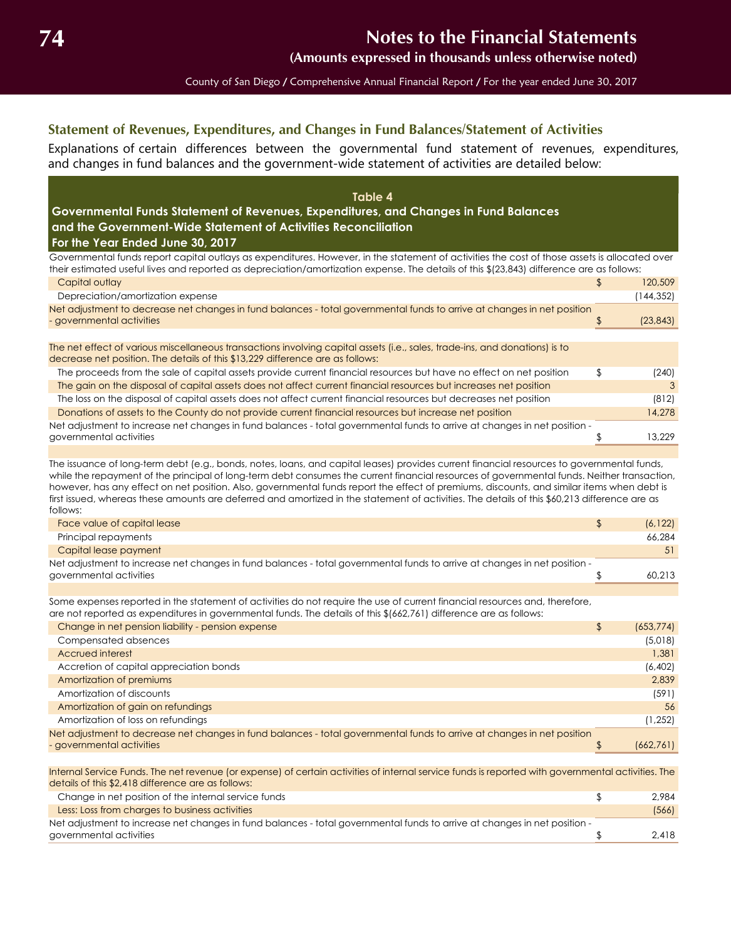**(Amounts expressed in thousands unless otherwise noted)**

County of San Diego / Comprehensive Annual Financial Report / For the year ended June 30, 2017

### <span id="page-13-0"></span>**Statement of Revenues, Expenditures, and Changes in Fund Balances/Statement of Activities**

Explanations of certain differences between the governmental fund statement of revenues, expenditures, and changes in fund balances and the government-wide statement of activities are detailed below:

| Table 4<br>Governmental Funds Statement of Revenues, Expenditures, and Changes in Fund Balances<br>and the Government-Wide Statement of Activities Reconciliation<br>For the Year Ended June 30, 2017                                                                                      |    |           |
|--------------------------------------------------------------------------------------------------------------------------------------------------------------------------------------------------------------------------------------------------------------------------------------------|----|-----------|
| Governmental funds report capital outlays as expenditures. However, in the statement of activities the cost of those assets is allocated over<br>their estimated useful lives and reported as depreciation/amortization expense. The details of this \$(23,843) difference are as follows: |    |           |
| Capital outlay                                                                                                                                                                                                                                                                             | P, | 120,509   |
| Depreciation/amortization expense                                                                                                                                                                                                                                                          |    | (144,352) |
| Net adjustment to decrease net changes in fund balances - total governmental funds to arrive at changes in net position                                                                                                                                                                    |    |           |
| - governmental activities                                                                                                                                                                                                                                                                  |    | (23, 843) |
|                                                                                                                                                                                                                                                                                            |    |           |
| The net effect of various miscellaneous transactions involving capital assets (i.e., sales, trade-ins, and donations) is to<br>decrease net position. The details of this \$13,229 difference are as follows:                                                                              |    |           |
| The proceeds from the sale of capital assets provide current financial resources but have no effect on net position                                                                                                                                                                        | \$ | (240)     |
| The gain on the disposal of capital assets does not affect current financial resources but increases net position                                                                                                                                                                          |    | 3         |
| The loss on the disposal of capital assets does not affect current financial resources but decreases net position                                                                                                                                                                          |    | (812)     |
| Donations of assets to the County do not provide current financial resources but increase net position                                                                                                                                                                                     |    | 14,278    |
| Net adjustment to increase net changes in fund balances - total governmental funds to arrive at changes in net position -                                                                                                                                                                  |    |           |
| governmental activities                                                                                                                                                                                                                                                                    |    | 13,229    |
|                                                                                                                                                                                                                                                                                            |    |           |

The issuance of long-term debt (e.g., bonds, notes, loans, and capital leases) provides current financial resources to governmental funds, while the repayment of the principal of long-term debt consumes the current financial resources of governmental funds. Neither transaction, however, has any effect on net position. Also, governmental funds report the effect of premiums, discounts, and similar items when debt is first issued, whereas these amounts are deferred and amortized in the statement of activities. The details of this \$60,213 difference are as follows:

| Face value of capital lease                                                                                               | (6.122) |
|---------------------------------------------------------------------------------------------------------------------------|---------|
| Principal repayments                                                                                                      | 66.284  |
| Capital lease payment                                                                                                     | 51      |
| Net adjustment to increase net changes in fund balances - total governmental funds to arrive at changes in net position - |         |
| governmental activities                                                                                                   | 60.213  |

Some expenses reported in the statement of activities do not require the use of current financial resources and, therefore, are not reported as expenditures in governmental funds. The details of this \$(662,761) difference are as follows:

| Change in net pension liability - pension expense                                                                                                                                                        | \$<br>(653, 774) |
|----------------------------------------------------------------------------------------------------------------------------------------------------------------------------------------------------------|------------------|
| Compensated absences                                                                                                                                                                                     | (5,018)          |
| Accrued interest                                                                                                                                                                                         | 1,381            |
| Accretion of capital appreciation bonds                                                                                                                                                                  | (6,402)          |
| Amortization of premiums                                                                                                                                                                                 | 2,839            |
| Amortization of discounts                                                                                                                                                                                | (591)            |
| Amortization of gain on refundings                                                                                                                                                                       | 56               |
| Amortization of loss on refundings                                                                                                                                                                       | (1, 252)         |
| Net adjustment to decrease net changes in fund balances - total governmental funds to arrive at changes in net position                                                                                  |                  |
| - governmental activities                                                                                                                                                                                | (662,761)        |
|                                                                                                                                                                                                          |                  |
| Internal Service Funds. The net revenue (or expense) of certain activities of internal service funds is reported with governmental activities. The<br>details of this \$2,418 difference are as follows: |                  |
| Change in net position of the internal service funds                                                                                                                                                     | \$<br>2,984      |
| Less: Loss from charges to business activities                                                                                                                                                           | (566)            |
| Net adjustment to increase net changes in fund balances - total governmental funds to arrive at changes in net position -                                                                                |                  |
| governmental activities                                                                                                                                                                                  | 2,418            |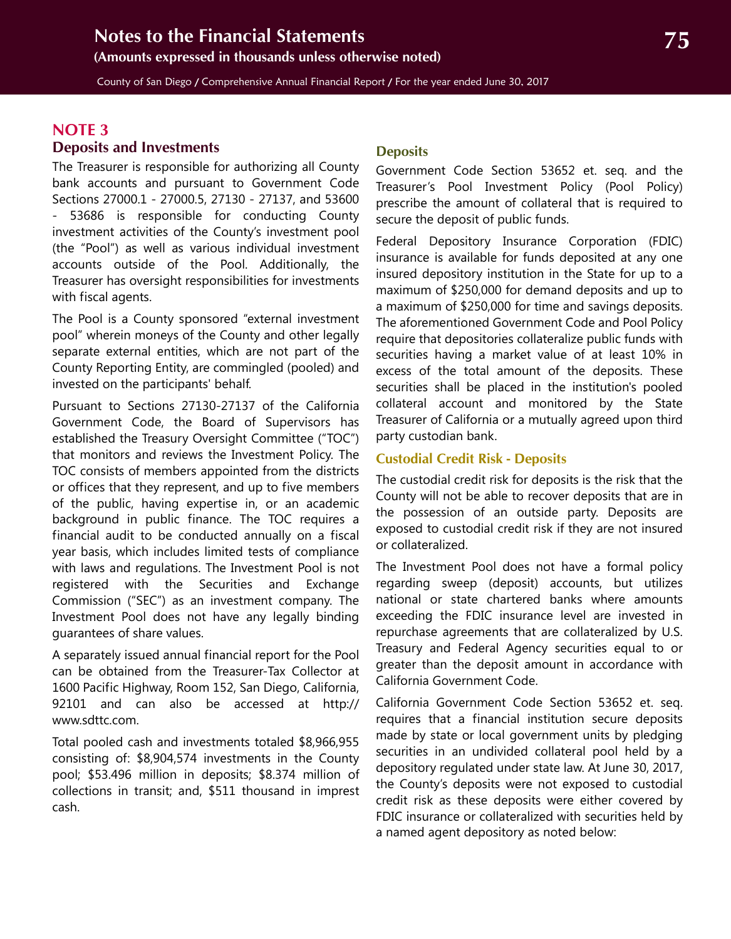<span id="page-14-1"></span>County of San Diego / Comprehensive Annual Financial Report / For the year ended June 30, 2017

## **NOTE 3**

#### **Deposits and Investments**

The Treasurer is responsible for authorizing all County bank accounts and pursuant to Government Code Sections 27000.1 - 27000.5, 27130 - 27137, and 53600 - 53686 is responsible for conducting County investment activities of the County's investment pool (the "Pool") as well as various individual investment accounts outside of the Pool. Additionally, the Treasurer has oversight responsibilities for investments with fiscal agents.

The Pool is a County sponsored "external investment pool" wherein moneys of the County and other legally separate external entities, which are not part of the County Reporting Entity, are commingled (pooled) and invested on the participants' behalf.

Pursuant to Sections 27130-27137 of the California Government Code, the Board of Supervisors has established the Treasury Oversight Committee ("TOC") that monitors and reviews the Investment Policy. The TOC consists of members appointed from the districts or offices that they represent, and up to five members of the public, having expertise in, or an academic background in public finance. The TOC requires a financial audit to be conducted annually on a fiscal year basis, which includes limited tests of compliance with laws and regulations. The Investment Pool is not registered with the Securities and Exchange Commission ("SEC") as an investment company. The Investment Pool does not have any legally binding guarantees of share values.

A separately issued annual financial report for the Pool can be obtained from the Treasurer-Tax Collector at 1600 Pacific Highway, Room 152, San Diego, California, 92101 and can also be accessed at http:// www.sdttc.com.

<span id="page-14-0"></span>Total pooled cash and investments totaled \$8,966,955 consisting of: \$8,904,574 investments in the County pool; \$53.496 million in deposits; \$8.374 million of collections in transit; and, \$511 thousand in imprest cash.

#### **Deposits**

Government Code Section 53652 et. seq. and the Treasurer's Pool Investment Policy (Pool Policy) prescribe the amount of collateral that is required to secure the deposit of public funds.

Federal Depository Insurance Corporation (FDIC) insurance is available for funds deposited at any one insured depository institution in the State for up to a maximum of \$250,000 for demand deposits and up to a maximum of \$250,000 for time and savings deposits. The aforementioned Government Code and Pool Policy require that depositories collateralize public funds with securities having a market value of at least 10% in excess of the total amount of the deposits. These securities shall be placed in the institution's pooled collateral account and monitored by the State Treasurer of California or a mutually agreed upon third party custodian bank.

#### **Custodial Credit Risk - Deposits**

The custodial credit risk for deposits is the risk that the County will not be able to recover deposits that are in the possession of an outside party. Deposits are exposed to custodial credit risk if they are not insured or collateralized.

The Investment Pool does not have a formal policy regarding sweep (deposit) accounts, but utilizes national or state chartered banks where amounts exceeding the FDIC insurance level are invested in repurchase agreements that are collateralized by U.S. Treasury and Federal Agency securities equal to or greater than the deposit amount in accordance with California Government Code.

California Government Code Section 53652 et. seq. requires that a financial institution secure deposits made by state or local government units by pledging securities in an undivided collateral pool held by a depository regulated under state law. At June 30, 2017, the County's deposits were not exposed to custodial credit risk as these deposits were either covered by FDIC insurance or collateralized with securities held by a named agent depository as noted below: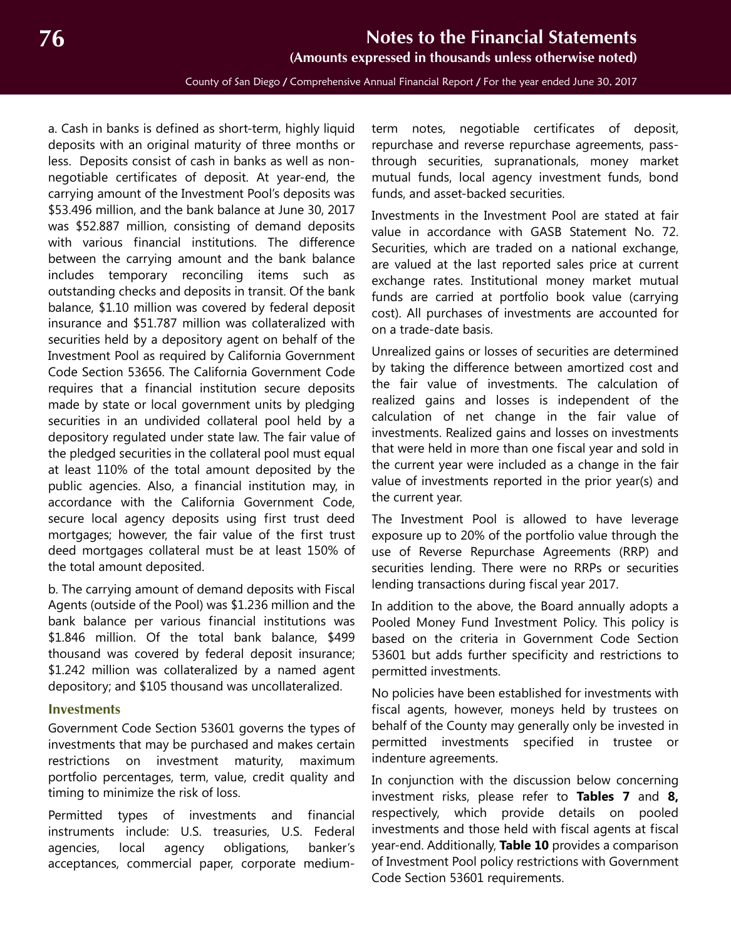**(Amounts expressed in thousands unless otherwise noted)**

County of San Diego / Comprehensive Annual Financial Report / For the year ended June 30, 2017

<span id="page-15-1"></span>a. Cash in banks is defined as short-term, highly liquid deposits with an original maturity of three months or less. Deposits consist of cash in banks as well as nonnegotiable certificates of deposit. At year-end, the carrying amount of the Investment Pool's deposits was \$53.496 million, and the bank balance at June 30, 2017 was \$52.887 million, consisting of demand deposits with various financial institutions. The difference between the carrying amount and the bank balance includes temporary reconciling items such as outstanding checks and deposits in transit. Of the bank balance, \$1.10 million was covered by federal deposit insurance and \$51.787 million was collateralized with securities held by a depository agent on behalf of the Investment Pool as required by California Government Code Section 53656. The California Government Code requires that a financial institution secure deposits made by state or local government units by pledging securities in an undivided collateral pool held by a depository regulated under state law. The fair value of the pledged securities in the collateral pool must equal at least 110% of the total amount deposited by the public agencies. Also, a financial institution may, in accordance with the California Government Code, secure local agency deposits using first trust deed mortgages; however, the fair value of the first trust deed mortgages collateral must be at least 150% of the total amount deposited.

b. The carrying amount of demand deposits with Fiscal Agents (outside of the Pool) was \$1.236 million and the bank balance per various financial institutions was \$1.846 million. Of the total bank balance, \$499 thousand was covered by federal deposit insurance; \$1.242 million was collateralized by a named agent depository; and \$105 thousand was uncollateralized.

#### <span id="page-15-0"></span>**Investments**

Government Code Section 53601 governs the types of investments that may be purchased and makes certain restrictions on investment maturity, maximum portfolio percentages, term, value, credit quality and timing to minimize the risk of loss.

Permitted types of investments and financial instruments include: U.S. treasuries, U.S. Federal agencies, local agency obligations, banker's acceptances, commercial paper, corporate mediumterm notes, negotiable certificates of deposit, repurchase and reverse repurchase agreements, passthrough securities, supranationals, money market mutual funds, local agency investment funds, bond funds, and asset-backed securities.

Investments in the Investment Pool are stated at fair value in accordance with GASB Statement No. 72. Securities, which are traded on a national exchange, are valued at the last reported sales price at current exchange rates. Institutional money market mutual funds are carried at portfolio book value (carrying cost). All purchases of investments are accounted for on a trade-date basis.

Unrealized gains or losses of securities are determined by taking the difference between amortized cost and the fair value of investments. The calculation of realized gains and losses is independent of the calculation of net change in the fair value of investments. Realized gains and losses on investments that were held in more than one fiscal year and sold in the current year were included as a change in the fair value of investments reported in the prior year(s) and the current year.

The Investment Pool is allowed to have leverage exposure up to 20% of the portfolio value through the use of Reverse Repurchase Agreements (RRP) and securities lending. There were no RRPs or securities lending transactions during fiscal year 2017.

In addition to the above, the Board annually adopts a Pooled Money Fund Investment Policy. This policy is based on the criteria in Government Code Section 53601 but adds further specificity and restrictions to permitted investments.

No policies have been established for investments with fiscal agents, however, moneys held by trustees on behalf of the County may generally only be invested in permitted investments specified in trustee or indenture agreements.

In conjunction with the discussion below concerning investment risks, please refer to **Tables 7** and **8,** respectively, which provide details on pooled investments and those held with fiscal agents at fiscal year-end. Additionally, **Table 10** provides a comparison of Investment Pool policy restrictions with Government Code Section 53601 requirements.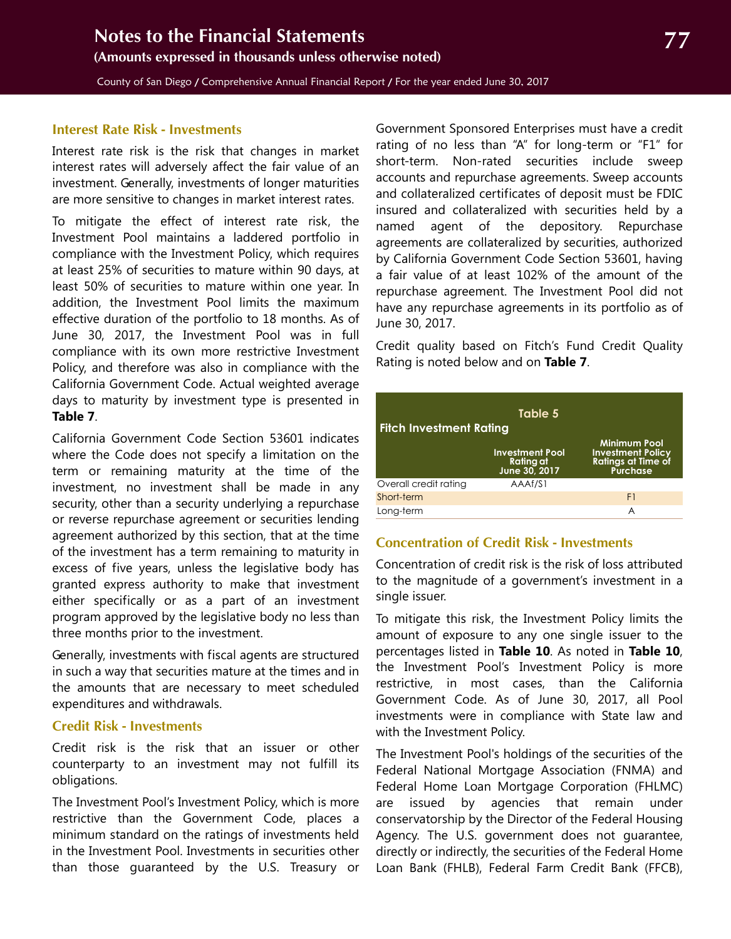#### **Interest Rate Risk - Investments**

Interest rate risk is the risk that changes in market interest rates will adversely affect the fair value of an investment. Generally, investments of longer maturities are more sensitive to changes in market interest rates.

To mitigate the effect of interest rate risk, the Investment Pool maintains a laddered portfolio in compliance with the Investment Policy, which requires at least 25% of securities to mature within 90 days, at least 50% of securities to mature within one year. In addition, the Investment Pool limits the maximum effective duration of the portfolio to 18 months. As of June 30, 2017, the Investment Pool was in full compliance with its own more restrictive Investment Policy, and therefore was also in compliance with the California Government Code. Actual weighted average days to maturity by investment type is presented in **Table 7**.

California Government Code Section 53601 indicates where the Code does not specify a limitation on the term or remaining maturity at the time of the investment, no investment shall be made in any security, other than a security underlying a repurchase or reverse repurchase agreement or securities lending agreement authorized by this section, that at the time of the investment has a term remaining to maturity in excess of five years, unless the legislative body has granted express authority to make that investment either specifically or as a part of an investment program approved by the legislative body no less than three months prior to the investment.

Generally, investments with fiscal agents are structured in such a way that securities mature at the times and in the amounts that are necessary to meet scheduled expenditures and withdrawals.

#### **Credit Risk - Investments**

Credit risk is the risk that an issuer or other counterparty to an investment may not fulfill its obligations.

The Investment Pool's Investment Policy, which is more restrictive than the Government Code, places a minimum standard on the ratings of investments held in the Investment Pool. Investments in securities other than those guaranteed by the U.S. Treasury or

Government Sponsored Enterprises must have a credit rating of no less than "A" for long-term or "F1" for short-term. Non-rated securities include sweep accounts and repurchase agreements. Sweep accounts and collateralized certificates of deposit must be FDIC insured and collateralized with securities held by a named agent of the depository. Repurchase agreements are collateralized by securities, authorized by California Government Code Section 53601, having a fair value of at least 102% of the amount of the repurchase agreement. The Investment Pool did not have any repurchase agreements in its portfolio as of June 30, 2017.

Credit quality based on Fitch's Fund Credit Quality Rating is noted below and on **Table 7**.

| Table 5<br><b>Fitch Investment Rating</b> |                                                      |                                                                                          |  |  |  |  |  |
|-------------------------------------------|------------------------------------------------------|------------------------------------------------------------------------------------------|--|--|--|--|--|
|                                           | <b>Investment Pool</b><br>Rating at<br>June 30, 2017 | <b>Minimum Pool</b><br><b>Investment Policy</b><br><b>Ratings at Time of</b><br>Purchase |  |  |  |  |  |
| Overall credit rating                     | AAAf/S1                                              |                                                                                          |  |  |  |  |  |
| Short-term                                |                                                      | F1                                                                                       |  |  |  |  |  |
| Long-term                                 |                                                      | A                                                                                        |  |  |  |  |  |

#### **Concentration of Credit Risk - Investments**

Concentration of credit risk is the risk of loss attributed to the magnitude of a government's investment in a single issuer.

To mitigate this risk, the Investment Policy limits the amount of exposure to any one single issuer to the percentages listed in **Table 10**. As noted in **Table 10**, the Investment Pool's Investment Policy is more restrictive, in most cases, than the California Government Code. As of June 30, 2017, all Pool investments were in compliance with State law and with the Investment Policy.

The Investment Pool's holdings of the securities of the Federal National Mortgage Association (FNMA) and Federal Home Loan Mortgage Corporation (FHLMC) are issued by agencies that remain under conservatorship by the Director of the Federal Housing Agency. The U.S. government does not guarantee, directly or indirectly, the securities of the Federal Home Loan Bank (FHLB), Federal Farm Credit Bank (FFCB),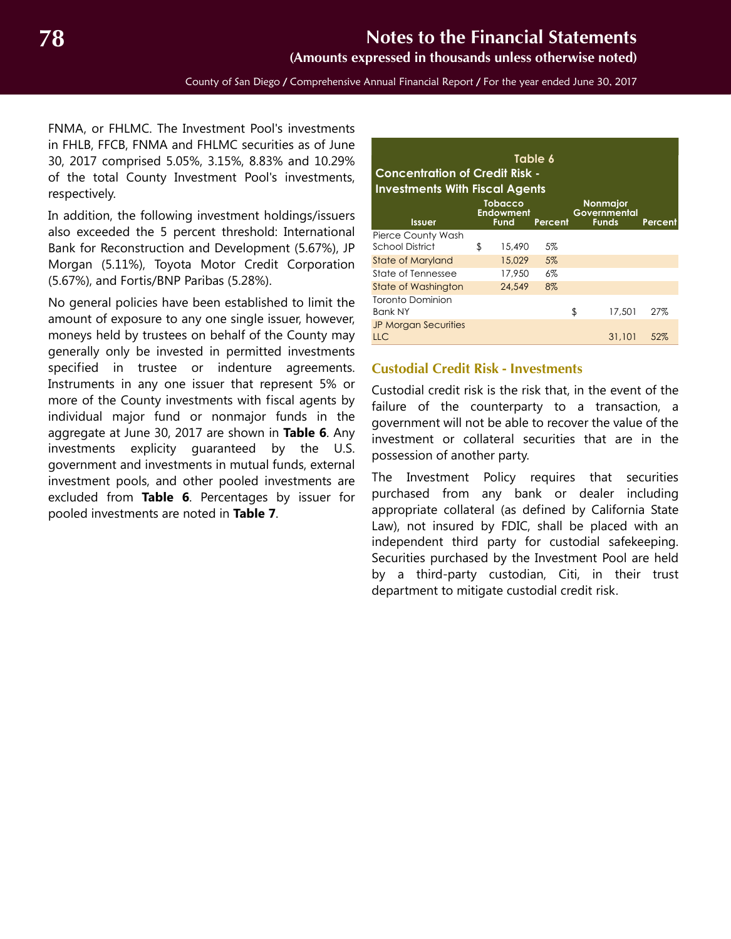**(Amounts expressed in thousands unless otherwise noted)**

FNMA, or FHLMC. The Investment Pool's investments in FHLB, FFCB, FNMA and FHLMC securities as of June 30, 2017 comprised 5.05%, 3.15%, 8.83% and 10.29% of the total County Investment Pool's investments, respectively.

In addition, the following investment holdings/issuers also exceeded the 5 percent threshold: International Bank for Reconstruction and Development (5.67%), JP Morgan (5.11%), Toyota Motor Credit Corporation (5.67%), and Fortis/BNP Paribas (5.28%).

No general policies have been established to limit the amount of exposure to any one single issuer, however, moneys held by trustees on behalf of the County may generally only be invested in permitted investments specified in trustee or indenture agreements. Instruments in any one issuer that represent 5% or more of the County investments with fiscal agents by individual major fund or nonmajor funds in the aggregate at June 30, 2017 are shown in **Table 6**. Any investments explicity guaranteed by the U.S. government and investments in mutual funds, external investment pools, and other pooled investments are excluded from **Table 6**. Percentages by issuer for pooled investments are noted in **Table 7**.

| Table 6<br><b>Concentration of Credit Risk -</b><br><b>Investments With Fiscal Agents</b> |    |                                            |         |                                                 |         |  |  |  |  |
|-------------------------------------------------------------------------------------------|----|--------------------------------------------|---------|-------------------------------------------------|---------|--|--|--|--|
| <b>Issuer</b>                                                                             |    | Tobacco<br><b>Endowment</b><br><b>Fund</b> | Percent | <b>Nonmajor</b><br>Governmental<br><b>Funds</b> | Percent |  |  |  |  |
| Pierce County Wash<br>School District                                                     | \$ | 15,490                                     | 5%      |                                                 |         |  |  |  |  |
| <b>State of Maryland</b>                                                                  |    | 15,029                                     | 5%      |                                                 |         |  |  |  |  |
| State of Tennessee                                                                        |    | 17.950                                     | 6%      |                                                 |         |  |  |  |  |
| <b>State of Washington</b>                                                                |    | 24,549                                     | $8\%$   |                                                 |         |  |  |  |  |
| Toronto Dominion<br><b>Bank NY</b>                                                        |    |                                            |         | \$<br>17,501                                    | 27%     |  |  |  |  |
| <b>JP Morgan Securities</b><br><b>LLC</b>                                                 |    |                                            |         | 31,101                                          | 52%     |  |  |  |  |

#### **Custodial Credit Risk - Investments**

Custodial credit risk is the risk that, in the event of the failure of the counterparty to a transaction, a government will not be able to recover the value of the investment or collateral securities that are in the possession of another party.

The Investment Policy requires that securities purchased from any bank or dealer including appropriate collateral (as defined by California State Law), not insured by FDIC, shall be placed with an independent third party for custodial safekeeping. Securities purchased by the Investment Pool are held by a third-party custodian, Citi, in their trust department to mitigate custodial credit risk.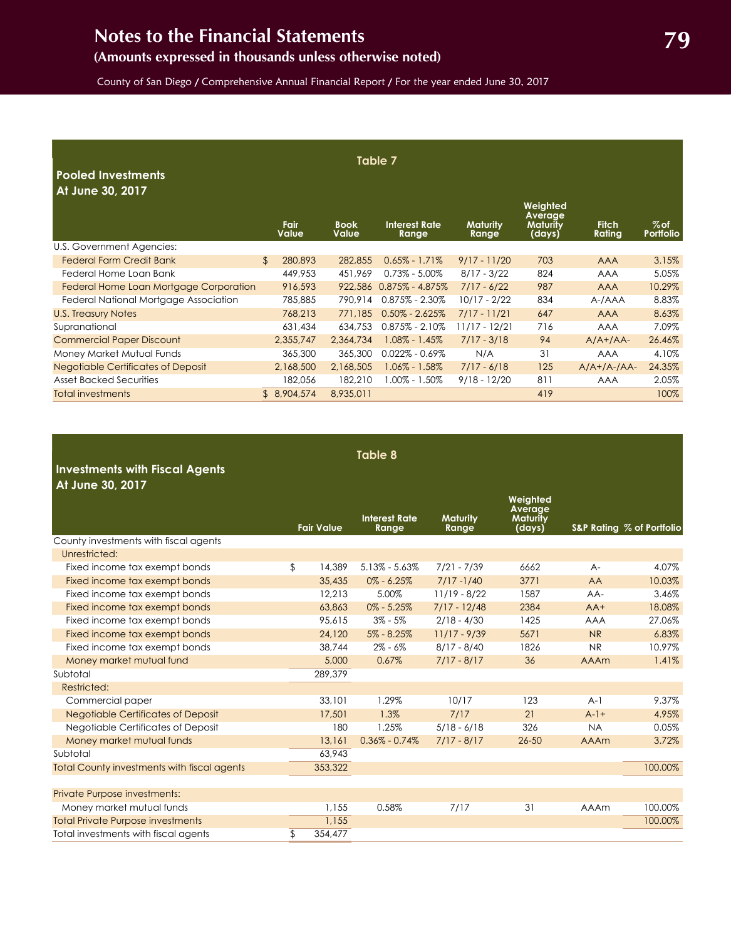## **(Amounts expressed in thousands unless otherwise noted)**

County of San Diego / Comprehensive Annual Financial Report / For the year ended June 30, 2017

| Table 7<br><b>Pooled Investments</b><br>At June 30, 2017 |                           |                             |                               |                          |                                                  |                        |                            |  |
|----------------------------------------------------------|---------------------------|-----------------------------|-------------------------------|--------------------------|--------------------------------------------------|------------------------|----------------------------|--|
|                                                          | <b>Fair</b><br>Value      | <b>Book</b><br><b>Value</b> | <b>Interest Rate</b><br>Range | <b>Maturity</b><br>Range | Weighted<br>Average<br><b>Maturity</b><br>(days) | <b>Fitch</b><br>Rating | $%$ of<br><b>Portfolio</b> |  |
| U.S. Government Agencies:                                |                           |                             |                               |                          |                                                  |                        |                            |  |
| <b>Federal Farm Credit Bank</b>                          | $\mathfrak{L}$<br>280,893 | 282,855                     | $0.65\% - 1.71\%$             | $9/17 - 11/20$           | 703                                              | <b>AAA</b>             | 3.15%                      |  |
| Federal Home Loan Bank                                   | 449,953                   | 451.969                     | $0.73\% - 5.00\%$             | $8/17 - 3/22$            | 824                                              | <b>AAA</b>             | 5.05%                      |  |
| Federal Home Loan Mortgage Corporation                   | 916,593                   | 922,586                     | $0.875\% - 4.875\%$           | $7/17 - 6/22$            | 987                                              | <b>AAA</b>             | 10.29%                     |  |
| Federal National Mortgage Association                    | 785,885                   | 790.914                     | $0.875\% - 2.30\%$            | $10/17 - 2/22$           | 834                                              | A-/AAA                 | 8.83%                      |  |
| <b>U.S. Treasury Notes</b>                               | 768,213                   | 771,185                     | $0.50\% - 2.625\%$            | $7/17 - 11/21$           | 647                                              | <b>AAA</b>             | 8.63%                      |  |
| Supranational                                            | 631,434                   | 634,753                     | $0.875\% - 2.10\%$            | $11/17 - 12/21$          | 716                                              | <b>AAA</b>             | 7.09%                      |  |
| <b>Commercial Paper Discount</b>                         | 2,355,747                 | 2,364,734                   | $1.08\% - 1.45\%$             | $7/17 - 3/18$            | 94                                               | $A/A+ /AA-$            | 26.46%                     |  |
| Money Market Mutual Funds                                | 365,300                   | 365,300                     | $0.022\% - 0.69\%$            | N/A                      | 31                                               | <b>AAA</b>             | 4.10%                      |  |
| <b>Negotiable Certificates of Deposit</b>                | 2,168,500                 | 2,168,505                   | $1.06\% - 1.58\%$             | $7/17 - 6/18$            | 125                                              | $A/A+ /A- /AA-$        | 24.35%                     |  |
| <b>Asset Backed Securities</b>                           | 182,056                   | 182,210                     | $1.00\% - 1.50\%$             | $9/18 - 12/20$           | 811                                              | <b>AAA</b>             | 2.05%                      |  |
| <b>Total investments</b>                                 | \$8,904,574               | 8,935,011                   |                               |                          | 419                                              |                        | 100%                       |  |

| <b>Investments with Fiscal Agents</b><br>At June 30, 2017 | <b>Table 8</b> |                   |                               |                          |                                                  |             |                           |  |
|-----------------------------------------------------------|----------------|-------------------|-------------------------------|--------------------------|--------------------------------------------------|-------------|---------------------------|--|
|                                                           |                | <b>Fair Value</b> | <b>Interest Rate</b><br>Range | <b>Maturity</b><br>Range | Weighted<br>Average<br><b>Maturity</b><br>(days) |             | S&P Rating % of Portfolio |  |
| County investments with fiscal agents                     |                |                   |                               |                          |                                                  |             |                           |  |
| Unrestricted:                                             |                |                   |                               |                          |                                                  |             |                           |  |
| Fixed income tax exempt bonds                             | \$             | 14,389            | $5.13\% - 5.63\%$             | $7/21 - 7/39$            | 6662                                             | $A -$       | 4.07%                     |  |
| Fixed income tax exempt bonds                             |                | 35,435            | $0\% - 6.25\%$                | $7/17 - 1/40$            | 3771                                             | AA          | 10.03%                    |  |
| Fixed income tax exempt bonds                             |                | 12,213            | 5.00%                         | $11/19 - 8/22$           | 1587                                             | $AA-$       | 3.46%                     |  |
| Fixed income tax exempt bonds                             |                | 63,863            | $0\% - 5.25\%$                | $7/17 - 12/48$           | 2384                                             | $AA+$       | 18.08%                    |  |
| Fixed income tax exempt bonds                             |                | 95,615            | $3\% - 5\%$                   | $2/18 - 4/30$            | 1425                                             | <b>AAA</b>  | 27.06%                    |  |
| Fixed income tax exempt bonds                             |                | 24,120            | $5\% - 8.25\%$                | $11/17 - 9/39$           | 5671                                             | <b>NR</b>   | 6.83%                     |  |
| Fixed income tax exempt bonds                             |                | 38,744            | $2\% - 6\%$                   | $8/17 - 8/40$            | 1826                                             | NR.         | 10.97%                    |  |
| Money market mutual fund                                  |                | 5,000             | 0.67%                         | $7/17 - 8/17$            | 36                                               | <b>AAAm</b> | 1.41%                     |  |
| Subtotal                                                  |                | 289,379           |                               |                          |                                                  |             |                           |  |
| Restricted:                                               |                |                   |                               |                          |                                                  |             |                           |  |
| Commercial paper                                          |                | 33,101            | 1.29%                         | 10/17                    | 123                                              | $A-1$       | 9.37%                     |  |
| <b>Negotiable Certificates of Deposit</b>                 |                | 17,501            | 1.3%                          | 7/17                     | 21                                               | $A-1+$      | 4.95%                     |  |
| Negotiable Certificates of Deposit                        |                | 180               | 1.25%                         | $5/18 - 6/18$            | 326                                              | <b>NA</b>   | 0.05%                     |  |
| Money market mutual funds                                 |                | 13,161            | $0.36\% - 0.74\%$             | $7/17 - 8/17$            | $26 - 50$                                        | <b>AAAm</b> | 3.72%                     |  |
| Subtotal                                                  |                | 63,943            |                               |                          |                                                  |             |                           |  |
| <b>Total County investments with fiscal agents</b>        |                | 353,322           |                               |                          |                                                  |             | 100.00%                   |  |
| Private Purpose investments:                              |                |                   |                               |                          |                                                  |             |                           |  |
| Money market mutual funds                                 |                | 1.155             | 0.58%                         | 7/17                     | 31                                               | <b>AAAm</b> | 100.00%                   |  |
| <b>Total Private Purpose investments</b>                  |                | 1,155             |                               |                          |                                                  |             | 100.00%                   |  |
| Total investments with fiscal agents                      | \$             | 354,477           |                               |                          |                                                  |             |                           |  |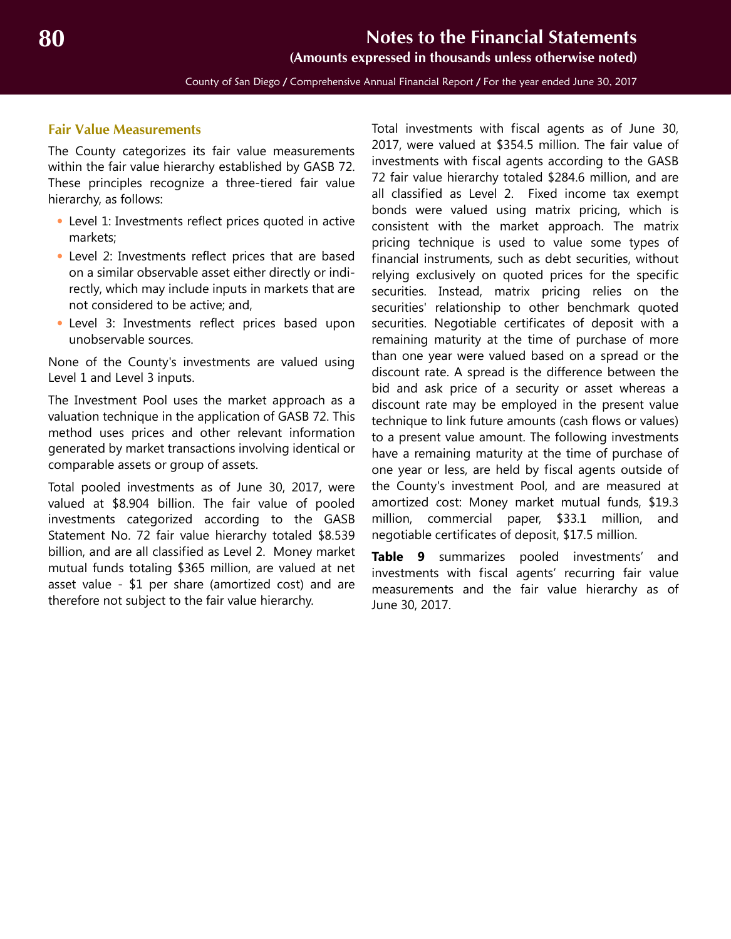**(Amounts expressed in thousands unless otherwise noted)**

County of San Diego / Comprehensive Annual Financial Report / For the year ended June 30, 2017

#### **Fair Value Measurements**

The County categorizes its fair value measurements within the fair value hierarchy established by GASB 72. These principles recognize a three-tiered fair value hierarchy, as follows:

- **•** Level 1: Investments reflect prices quoted in active markets;
- **•** Level 2: Investments reflect prices that are based on a similar observable asset either directly or indirectly, which may include inputs in markets that are not considered to be active; and,
- **•** Level 3: Investments reflect prices based upon unobservable sources.

None of the County's investments are valued using Level 1 and Level 3 inputs.

The Investment Pool uses the market approach as a valuation technique in the application of GASB 72. This method uses prices and other relevant information generated by market transactions involving identical or comparable assets or group of assets.

Total pooled investments as of June 30, 2017, were valued at \$8.904 billion. The fair value of pooled investments categorized according to the GASB Statement No. 72 fair value hierarchy totaled \$8.539 billion, and are all classified as Level 2. Money market mutual funds totaling \$365 million, are valued at net asset value - \$1 per share (amortized cost) and are therefore not subject to the fair value hierarchy.

Total investments with fiscal agents as of June 30, 2017, were valued at \$354.5 million. The fair value of investments with fiscal agents according to the GASB 72 fair value hierarchy totaled \$284.6 million, and are all classified as Level 2. Fixed income tax exempt bonds were valued using matrix pricing, which is consistent with the market approach. The matrix pricing technique is used to value some types of financial instruments, such as debt securities, without relying exclusively on quoted prices for the specific securities. Instead, matrix pricing relies on the securities' relationship to other benchmark quoted securities. Negotiable certificates of deposit with a remaining maturity at the time of purchase of more than one year were valued based on a spread or the discount rate. A spread is the difference between the bid and ask price of a security or asset whereas a discount rate may be employed in the present value technique to link future amounts (cash flows or values) to a present value amount. The following investments have a remaining maturity at the time of purchase of one year or less, are held by fiscal agents outside of the County's investment Pool, and are measured at amortized cost: Money market mutual funds, \$19.3 million, commercial paper, \$33.1 million, and negotiable certificates of deposit, \$17.5 million.

**Table 9** summarizes pooled investments' and investments with fiscal agents' recurring fair value measurements and the fair value hierarchy as of June 30, 2017.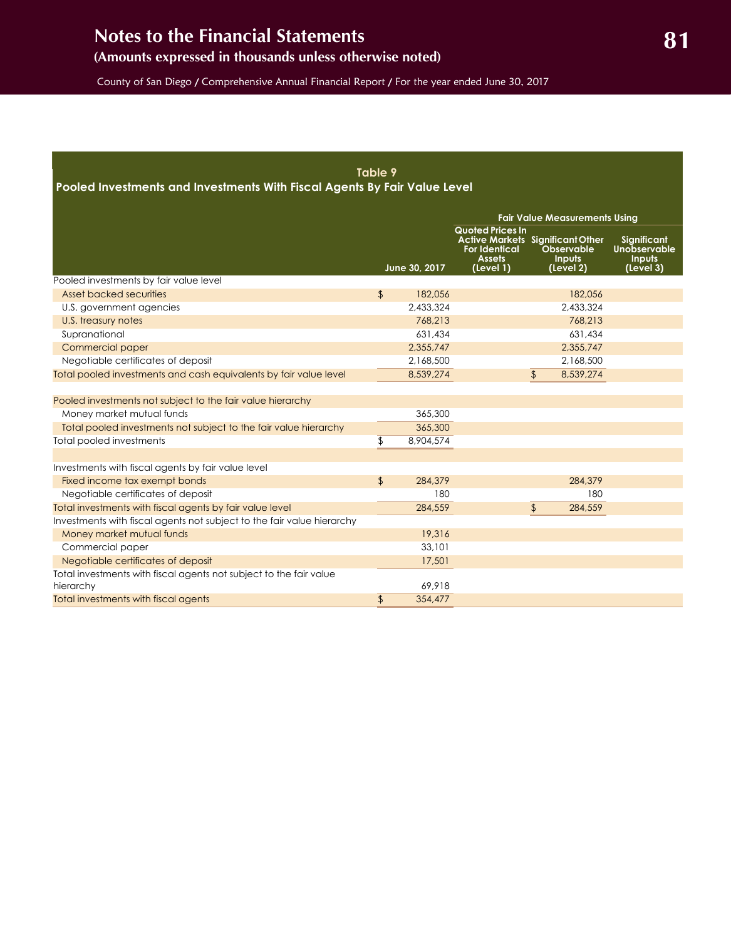## **(Amounts expressed in thousands unless otherwise noted)**

County of San Diego / Comprehensive Annual Financial Report / For the year ended June 30, 2017

#### **Table 9**

**Pooled Investments and Investments With Fiscal Agents By Fair Value Level**

|                                                                                 |                |               |                                                                               | <b>Fair Value Measurements Using</b>                                                |                                                           |
|---------------------------------------------------------------------------------|----------------|---------------|-------------------------------------------------------------------------------|-------------------------------------------------------------------------------------|-----------------------------------------------------------|
|                                                                                 |                | June 30, 2017 | <b>Quoted Prices In</b><br><b>For Identical</b><br><b>Assets</b><br>(Level 1) | <b>Active Markets Significant Other</b><br>Observable<br><b>Inputs</b><br>(Level 2) | <b>Significant</b><br>Unobservable<br>Inputs<br>(Level 3) |
| Pooled investments by fair value level                                          |                |               |                                                                               |                                                                                     |                                                           |
| Asset backed securities                                                         | $\frac{1}{2}$  | 182,056       |                                                                               | 182,056                                                                             |                                                           |
| U.S. government agencies                                                        |                | 2.433.324     |                                                                               | 2.433.324                                                                           |                                                           |
| U.S. treasury notes                                                             |                | 768,213       |                                                                               | 768,213                                                                             |                                                           |
| Supranational                                                                   |                | 631,434       |                                                                               | 631,434                                                                             |                                                           |
| Commercial paper                                                                |                | 2,355,747     |                                                                               | 2,355,747                                                                           |                                                           |
| Negotiable certificates of deposit                                              |                | 2,168,500     |                                                                               | 2,168,500                                                                           |                                                           |
| Total pooled investments and cash equivalents by fair value level               |                | 8,539,274     |                                                                               | 8,539,274<br>\$                                                                     |                                                           |
|                                                                                 |                |               |                                                                               |                                                                                     |                                                           |
| Pooled investments not subject to the fair value hierarchy                      |                |               |                                                                               |                                                                                     |                                                           |
| Money market mutual funds                                                       |                | 365,300       |                                                                               |                                                                                     |                                                           |
| Total pooled investments not subject to the fair value hierarchy                |                | 365,300       |                                                                               |                                                                                     |                                                           |
| Total pooled investments                                                        | \$             | 8,904,574     |                                                                               |                                                                                     |                                                           |
|                                                                                 |                |               |                                                                               |                                                                                     |                                                           |
| Investments with fiscal agents by fair value level                              |                |               |                                                                               |                                                                                     |                                                           |
| Fixed income tax exempt bonds                                                   | $\mathfrak{L}$ | 284,379       |                                                                               | 284,379                                                                             |                                                           |
| Negotiable certificates of deposit                                              |                | 180           |                                                                               | 180                                                                                 |                                                           |
| Total investments with fiscal agents by fair value level                        |                | 284,559       |                                                                               | \$<br>284,559                                                                       |                                                           |
| Investments with fiscal agents not subject to the fair value hierarchy          |                |               |                                                                               |                                                                                     |                                                           |
| Money market mutual funds                                                       |                | 19,316        |                                                                               |                                                                                     |                                                           |
| Commercial paper                                                                |                | 33,101        |                                                                               |                                                                                     |                                                           |
| Negotiable certificates of deposit                                              |                | 17,501        |                                                                               |                                                                                     |                                                           |
| Total investments with fiscal agents not subject to the fair value<br>hierarchy |                | 69.918        |                                                                               |                                                                                     |                                                           |
| Total investments with fiscal agents                                            | $\frac{1}{2}$  | 354,477       |                                                                               |                                                                                     |                                                           |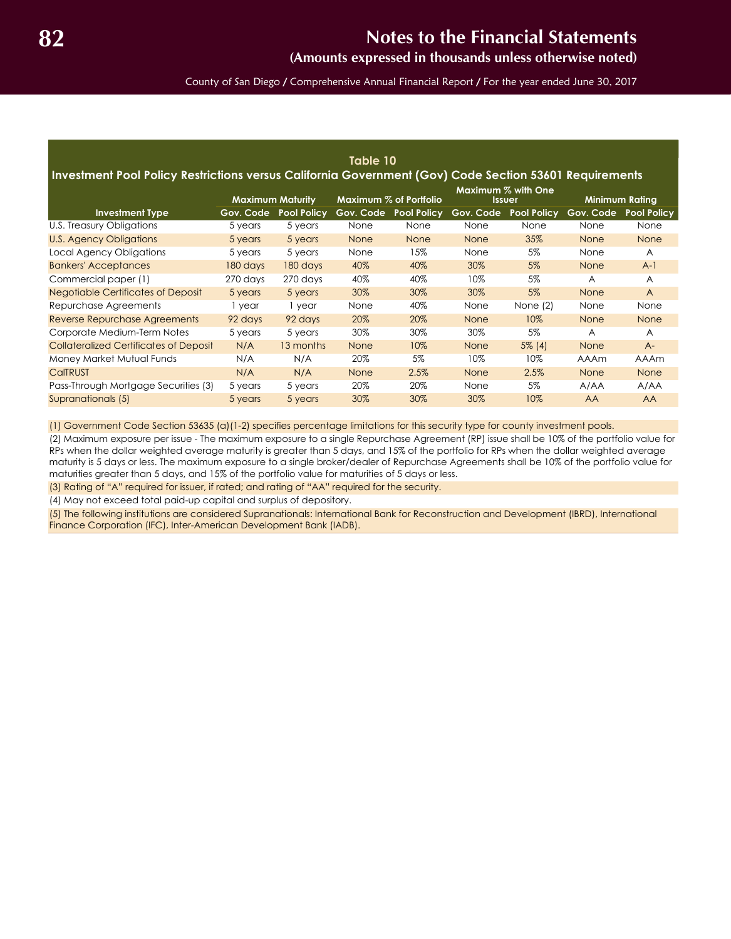**(Amounts expressed in thousands unless otherwise noted)**

County of San Diego / Comprehensive Annual Financial Report / For the year ended June 30, 2017

| Table 10<br>Investment Pool Policy Restrictions versus California Government (Gov) Code Section 53601 Requirements |           |                         |             |                        |             |                              |                       |                    |  |  |  |  |
|--------------------------------------------------------------------------------------------------------------------|-----------|-------------------------|-------------|------------------------|-------------|------------------------------|-----------------------|--------------------|--|--|--|--|
|                                                                                                                    |           | <b>Maximum Maturity</b> |             | Maximum % of Portfolio |             | Maximum % with One<br>Issuer | <b>Minimum Rating</b> |                    |  |  |  |  |
| <b>Investment Type</b>                                                                                             | Gov. Code | <b>Pool Policy</b>      | Gov. Code   | <b>Pool Policy</b>     | Gov. Code   | <b>Pool Policy</b>           | Gov. Code             | <b>Pool Policy</b> |  |  |  |  |
| U.S. Treasury Obligations                                                                                          | 5 years   | 5 years                 | None        | None                   | None        | None                         | None                  | None               |  |  |  |  |
| U.S. Agency Obligations                                                                                            | 5 years   | 5 years                 | <b>None</b> | <b>None</b>            | <b>None</b> | 35%                          | <b>None</b>           | None               |  |  |  |  |
| Local Agency Obligations                                                                                           | 5 years   | 5 years                 | None        | 15%                    | None        | 5%                           | None                  | A                  |  |  |  |  |
| <b>Bankers' Acceptances</b>                                                                                        | 180 days  | 180 days                | 40%         | 40%                    | 30%         | 5%                           | None                  | $A-1$              |  |  |  |  |
| Commercial paper (1)                                                                                               | 270 days  | 270 days                | 40%         | 40%                    | 10%         | 5%                           | A                     | A                  |  |  |  |  |
| <b>Negotiable Certificates of Deposit</b>                                                                          | 5 years   | 5 years                 | 30%         | 30%                    | 30%         | 5%                           | <b>None</b>           | $\overline{A}$     |  |  |  |  |
| Repurchase Agreements                                                                                              | 1 year    | 1 year                  | None        | 40%                    | None        | None $(2)$                   | None                  | None               |  |  |  |  |
| Reverse Repurchase Agreements                                                                                      | 92 days   | 92 days                 | 20%         | 20%                    | <b>None</b> | 10%                          | None                  | None               |  |  |  |  |
| Corporate Medium-Term Notes                                                                                        | 5 years   | 5 years                 | 30%         | 30%                    | 30%         | 5%                           | A                     | A                  |  |  |  |  |
| <b>Collateralized Certificates of Deposit</b>                                                                      | N/A       | 13 months               | <b>None</b> | 10%                    | None        | $5\%$ (4)                    | None                  | $A -$              |  |  |  |  |
| Money Market Mutual Funds                                                                                          | N/A       | N/A                     | 20%         | 5%                     | 10%         | 10%                          | <b>AAAm</b>           | AAAm               |  |  |  |  |
| <b>CalTRUST</b>                                                                                                    | N/A       | N/A                     | <b>None</b> | 2.5%                   | <b>None</b> | 2.5%                         | None                  | None               |  |  |  |  |
| Pass-Through Mortgage Securities (3)                                                                               | 5 years   | 5 years                 | 20%         | 20%                    | None        | 5%                           | A/AA                  | A/AA               |  |  |  |  |
| Supranationals (5)                                                                                                 | 5 years   | 5 years                 | 30%         | 30%                    | 30%         | 10%                          | <b>AA</b>             | <b>AA</b>          |  |  |  |  |

(1) Government Code Section 53635 (a)(1-2) specifies percentage limitations for this security type for county investment pools.

(2) Maximum exposure per issue - The maximum exposure to a single Repurchase Agreement (RP) issue shall be 10% of the portfolio value for RPs when the dollar weighted average maturity is greater than 5 days, and 15% of the portfolio for RPs when the dollar weighted average maturity is 5 days or less. The maximum exposure to a single broker/dealer of Repurchase Agreements shall be 10% of the portfolio value for maturities greater than 5 days, and 15% of the portfolio value for maturities of 5 days or less.

(3) Rating of "A" required for issuer, if rated; and rating of "AA" required for the security.

(4) May not exceed total paid-up capital and surplus of depository.

(5) The following institutions are considered Supranationals: International Bank for Reconstruction and Development (IBRD), International Finance Corporation (IFC), Inter-American Development Bank (IADB).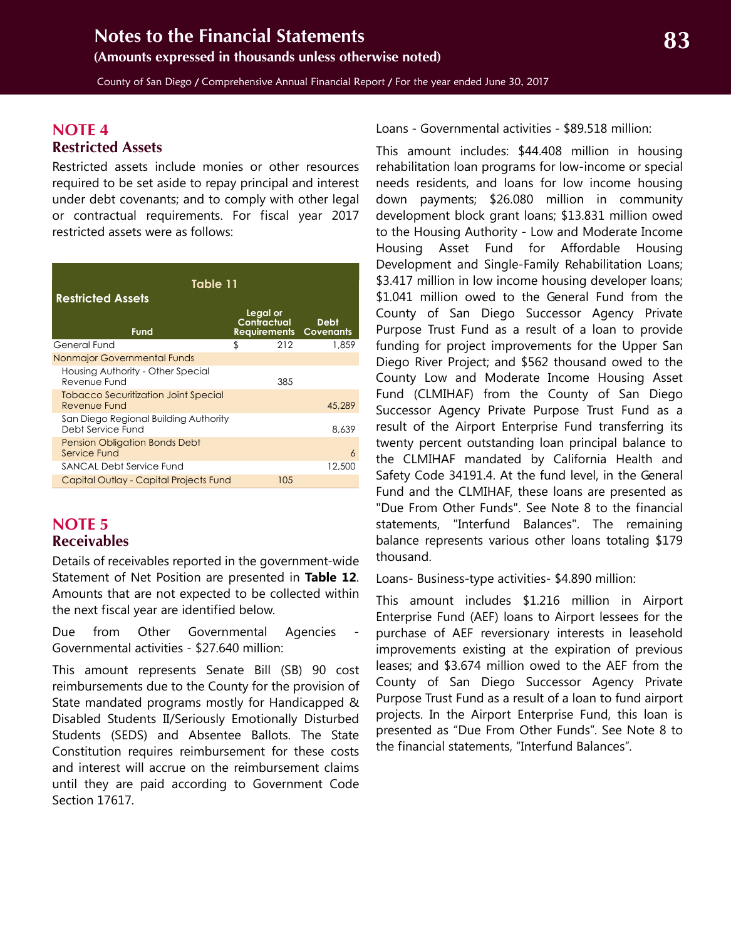<span id="page-22-1"></span>County of San Diego / Comprehensive Annual Financial Report / For the year ended June 30, 2017

### <span id="page-22-0"></span>**NOTE 4 Restricted Assets**

Restricted assets include monies or other resources required to be set aside to repay principal and interest under debt covenants; and to comply with other legal or contractual requirements. For fiscal year 2017 restricted assets were as follows:

| Table 11<br><b>Restricted Assets</b>                        |                         |     |                                              |  |  |  |  |  |  |  |  |
|-------------------------------------------------------------|-------------------------|-----|----------------------------------------------|--|--|--|--|--|--|--|--|
| Fund                                                        | Legal or<br>Contractual |     | <b>Debt</b><br><b>Requirements Covenants</b> |  |  |  |  |  |  |  |  |
| General Fund                                                | \$                      | 212 | 1,859                                        |  |  |  |  |  |  |  |  |
| Nonmajor Governmental Funds                                 |                         |     |                                              |  |  |  |  |  |  |  |  |
| Housing Authority - Other Special<br>Revenue Fund           |                         | 385 |                                              |  |  |  |  |  |  |  |  |
| <b>Tobacco Securitization Joint Special</b><br>Revenue Fund |                         |     | 45,289                                       |  |  |  |  |  |  |  |  |
| San Diego Regional Building Authority<br>Debt Service Fund  |                         |     | 8.639                                        |  |  |  |  |  |  |  |  |
| Pension Obligation Bonds Debt<br>Service Fund               |                         |     | 6                                            |  |  |  |  |  |  |  |  |
| SANCAL Debt Service Fund                                    |                         |     | 12,500                                       |  |  |  |  |  |  |  |  |
| Capital Outlay - Capital Projects Fund                      |                         | 105 |                                              |  |  |  |  |  |  |  |  |

### **NOTE 5 Receivables**

Details of receivables reported in the government-wide Statement of Net Position are presented in **Table 12**. Amounts that are not expected to be collected within the next fiscal year are identified below.

Due from Other Governmental Agencies Governmental activities - \$27.640 million:

This amount represents Senate Bill (SB) 90 cost reimbursements due to the County for the provision of State mandated programs mostly for Handicapped & Disabled Students II/Seriously Emotionally Disturbed Students (SEDS) and Absentee Ballots. The State Constitution requires reimbursement for these costs and interest will accrue on the reimbursement claims until they are paid according to Government Code Section 17617.

Loans - Governmental activities - \$89.518 million:

This amount includes: \$44.408 million in housing rehabilitation loan programs for low-income or special needs residents, and loans for low income housing down payments; \$26.080 million in community development block grant loans; \$13.831 million owed to the Housing Authority - Low and Moderate Income Housing Asset Fund for Affordable Housing Development and Single-Family Rehabilitation Loans; \$3.417 million in low income housing developer loans; \$1.041 million owed to the General Fund from the County of San Diego Successor Agency Private Purpose Trust Fund as a result of a loan to provide funding for project improvements for the Upper San Diego River Project; and \$562 thousand owed to the County Low and Moderate Income Housing Asset Fund (CLMIHAF) from the County of San Diego Successor Agency Private Purpose Trust Fund as a result of the Airport Enterprise Fund transferring its twenty percent outstanding loan principal balance to the CLMIHAF mandated by California Health and Safety Code 34191.4. At the fund level, in the General Fund and the CLMIHAF, these loans are presented as "Due From Other Funds". See Note 8 to the financial statements, "Interfund Balances". The remaining balance represents various other loans totaling \$179 thousand.

Loans- Business-type activities- \$4.890 million:

This amount includes \$1.216 million in Airport Enterprise Fund (AEF) loans to Airport lessees for the purchase of AEF reversionary interests in leasehold improvements existing at the expiration of previous leases; and \$3.674 million owed to the AEF from the County of San Diego Successor Agency Private Purpose Trust Fund as a result of a loan to fund airport projects. In the Airport Enterprise Fund, this loan is presented as "Due From Other Funds". See Note 8 to the financial statements, "Interfund Balances".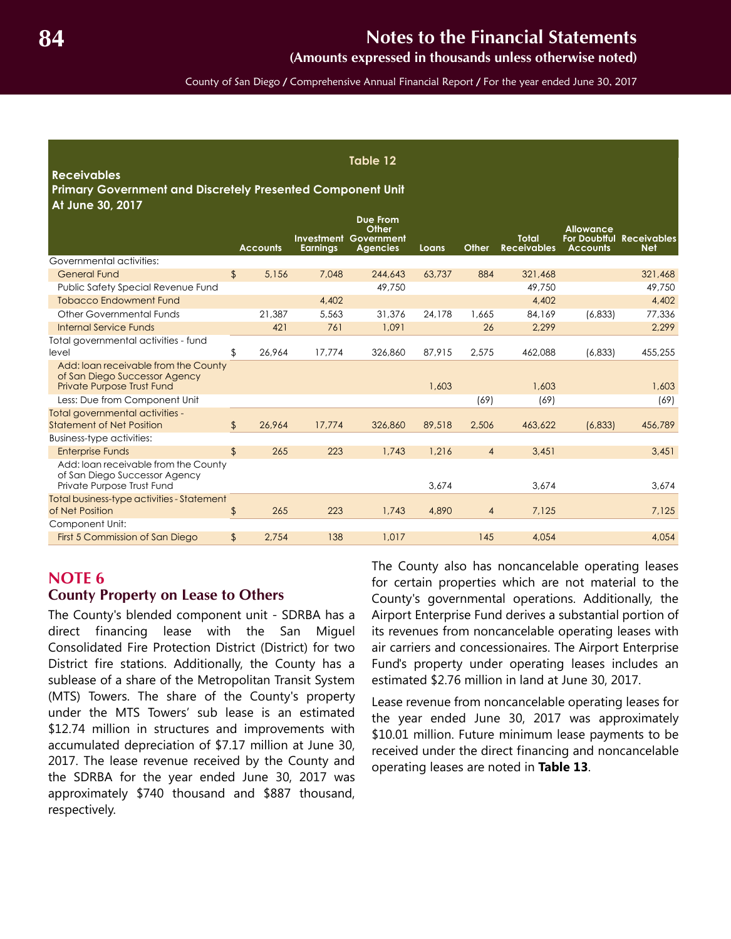**(Amounts expressed in thousands unless otherwise noted)**

County of San Diego / Comprehensive Annual Financial Report / For the year ended June 30, 2017

**Table 12**

#### <span id="page-23-0"></span>**Receivables**

#### **Primary Government and Discretely Presented Component Unit At June 30, 2017**

|                                                                                                            |               |                 | Investment      | <b>Due From</b><br>Other<br>Government |        |                | <b>Total</b>       | <b>Allowance</b> | <b>For Doubtful Receivables</b> |
|------------------------------------------------------------------------------------------------------------|---------------|-----------------|-----------------|----------------------------------------|--------|----------------|--------------------|------------------|---------------------------------|
|                                                                                                            |               | <b>Accounts</b> | <b>Earnings</b> | <b>Agencies</b>                        | Loans  | Other          | <b>Receivables</b> | <b>Accounts</b>  | <b>Net</b>                      |
| Governmental activities:                                                                                   |               |                 |                 |                                        |        |                |                    |                  |                                 |
| <b>General Fund</b>                                                                                        | \$            | 5,156           | 7,048           | 244,643                                | 63.737 | 884            | 321,468            |                  | 321,468                         |
| Public Safety Special Revenue Fund                                                                         |               |                 |                 | 49,750                                 |        |                | 49,750             |                  | 49,750                          |
| <b>Tobacco Endowment Fund</b>                                                                              |               |                 | 4,402           |                                        |        |                | 4,402              |                  | 4,402                           |
| Other Governmental Funds                                                                                   |               | 21,387          | 5,563           | 31,376                                 | 24,178 | 1.665          | 84,169             | (6,833)          | 77,336                          |
| <b>Internal Service Funds</b>                                                                              |               | 421             | 761             | 1,091                                  |        | 26             | 2,299              |                  | 2,299                           |
| Total governmental activities - fund<br>level                                                              | \$            | 26,964          | 17,774          | 326,860                                | 87,915 | 2,575          | 462,088            | (6,833)          | 455,255                         |
| Add: Ioan receivable from the County<br>of San Diego Successor Agency<br><b>Private Purpose Trust Fund</b> |               |                 |                 |                                        | 1,603  |                | 1,603              |                  | 1,603                           |
| Less: Due from Component Unit                                                                              |               |                 |                 |                                        |        | (69)           | (69)               |                  | (69)                            |
| Total governmental activities -<br><b>Statement of Net Position</b>                                        | $\frac{1}{2}$ | 26.964          | 17,774          | 326,860                                | 89,518 | 2,506          | 463,622            | (6,833)          | 456,789                         |
| Business-type activities:                                                                                  |               |                 |                 |                                        |        |                |                    |                  |                                 |
| <b>Enterprise Funds</b>                                                                                    | $\frac{1}{2}$ | 265             | 223             | 1,743                                  | 1,216  | $\overline{4}$ | 3,451              |                  | 3,451                           |
| Add: Ioan receivable from the County<br>of San Diego Successor Agency<br>Private Purpose Trust Fund        |               |                 |                 |                                        | 3,674  |                | 3,674              |                  | 3,674                           |
| Total business-type activities - Statement<br>of Net Position                                              | \$            | 265             | 223             | 1,743                                  | 4,890  | $\overline{4}$ | 7,125              |                  | 7,125                           |
| Component Unit:                                                                                            |               |                 |                 |                                        |        |                |                    |                  |                                 |
| First 5 Commission of San Diego                                                                            | \$            | 2.754           | 138             | 1,017                                  |        | 145            | 4.054              |                  | 4.054                           |

#### **NOTE 6 County Property on Lease to Others**

The County's blended component unit - SDRBA has a direct financing lease with the San Miguel Consolidated Fire Protection District (District) for two District fire stations. Additionally, the County has a sublease of a share of the Metropolitan Transit System (MTS) Towers. The share of the County's property under the MTS Towers' sub lease is an estimated \$12.74 million in structures and improvements with accumulated depreciation of \$7.17 million at June 30, 2017. The lease revenue received by the County and the SDRBA for the year ended June 30, 2017 was approximately \$740 thousand and \$887 thousand, respectively.

The County also has noncancelable operating leases for certain properties which are not material to the County's governmental operations. Additionally, the Airport Enterprise Fund derives a substantial portion of its revenues from noncancelable operating leases with air carriers and concessionaires. The Airport Enterprise Fund's property under operating leases includes an estimated \$2.76 million in land at June 30, 2017.

Lease revenue from noncancelable operating leases for the year ended June 30, 2017 was approximately \$10.01 million. Future minimum lease payments to be received under the direct financing and noncancelable operating leases are noted in **Table 13**.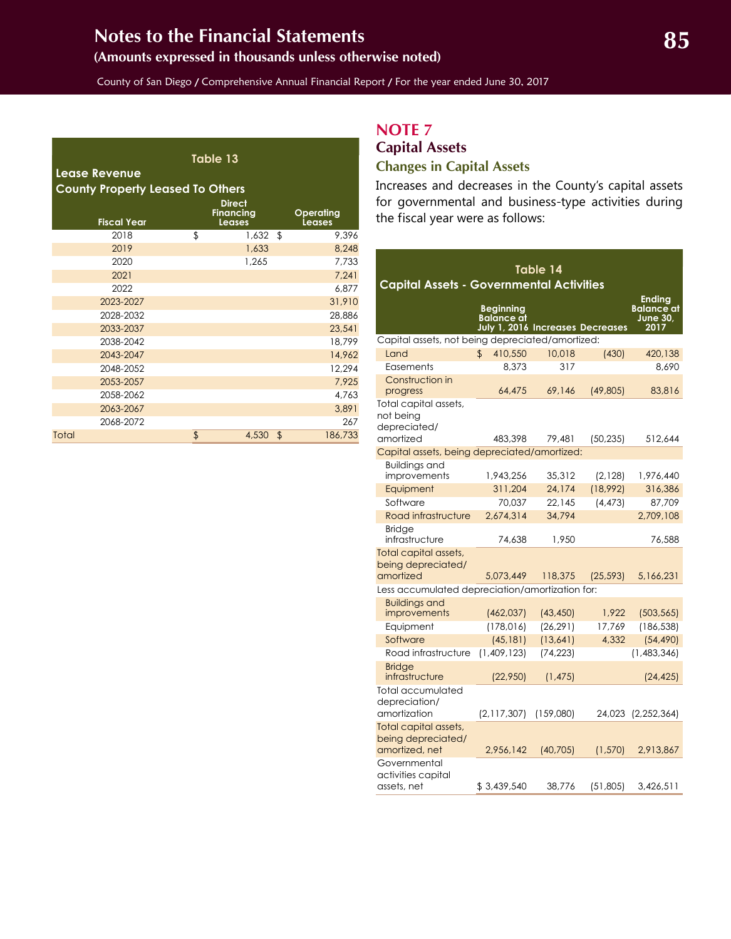## <span id="page-24-0"></span>**(Amounts expressed in thousands unless otherwise noted)**

County of San Diego / Comprehensive Annual Financial Report / For the year ended June 30, 2017

| Table 13<br><b>Lease Revenue</b><br><b>County Property Leased To Others</b> |    |                                   |    |           |  |  |  |  |  |  |  |
|-----------------------------------------------------------------------------|----|-----------------------------------|----|-----------|--|--|--|--|--|--|--|
|                                                                             |    | <b>Direct</b><br><b>Financing</b> |    | Operating |  |  |  |  |  |  |  |
| <b>Fiscal Year</b>                                                          |    | <b>Leases</b>                     |    | Leases    |  |  |  |  |  |  |  |
| 2018                                                                        | \$ | 1,632                             | \$ | 9,396     |  |  |  |  |  |  |  |
| 2019                                                                        |    | 1,633                             |    | 8,248     |  |  |  |  |  |  |  |
| 2020                                                                        |    | 1,265                             |    | 7,733     |  |  |  |  |  |  |  |
| 2021                                                                        |    |                                   |    | 7,241     |  |  |  |  |  |  |  |
| 2022                                                                        |    |                                   |    | 6,877     |  |  |  |  |  |  |  |
| 2023-2027                                                                   |    |                                   |    | 31,910    |  |  |  |  |  |  |  |
| 2028-2032                                                                   |    |                                   |    | 28,886    |  |  |  |  |  |  |  |
| 2033-2037                                                                   |    |                                   |    | 23,541    |  |  |  |  |  |  |  |
| 2038-2042                                                                   |    |                                   |    | 18,799    |  |  |  |  |  |  |  |
| 2043-2047                                                                   |    |                                   |    | 14,962    |  |  |  |  |  |  |  |
| 2048-2052                                                                   |    |                                   |    | 12,294    |  |  |  |  |  |  |  |
| 2053-2057                                                                   |    |                                   |    | 7,925     |  |  |  |  |  |  |  |
| 2058-2062                                                                   |    |                                   |    | 4,763     |  |  |  |  |  |  |  |
| 2063-2067                                                                   |    |                                   |    | 3,891     |  |  |  |  |  |  |  |
| 2068-2072                                                                   |    |                                   |    | 267       |  |  |  |  |  |  |  |
| Total                                                                       | \$ | 4,530                             | \$ | 186,733   |  |  |  |  |  |  |  |

## **NOTE 7**

## **Capital Assets Changes in Capital Assets**

Increases and decreases in the County's capital assets for governmental and business-type activities during the fiscal year were as follows:

| <b>Capital Assets - Governmental Activities</b>               |                                                                    |           |           |                                                               |
|---------------------------------------------------------------|--------------------------------------------------------------------|-----------|-----------|---------------------------------------------------------------|
|                                                               | <b>Beginning</b><br>Balance at<br>July 1, 2016 Increases Decreases |           |           | <b>Ending</b><br><b>Balance</b> at<br><b>June 30,</b><br>2017 |
| Capital assets, not being depreciated/amortized:              |                                                                    |           |           |                                                               |
| Land                                                          | \$<br>410,550                                                      | 10,018    | (430)     | 420,138                                                       |
| Easements                                                     | 8.373                                                              | 317       |           | 8,690                                                         |
| Construction in<br>progress                                   | 64,475                                                             | 69,146    | (49,805)  | 83,816                                                        |
| Total capital assets,<br>not being<br>depreciated/            |                                                                    |           |           |                                                               |
| amortized                                                     | 483,398                                                            | 79.481    | (50, 235) | 512,644                                                       |
| Capital assets, being depreciated/amortized:                  |                                                                    |           |           |                                                               |
| <b>Buildings and</b><br>improvements                          | 1,943,256                                                          | 35,312    | (2,128)   | 1,976,440                                                     |
| Equipment                                                     | 311,204                                                            | 24,174    | (18,992)  | 316,386                                                       |
| Software                                                      | 70,037                                                             | 22,145    | (4, 473)  | 87,709                                                        |
| Road infrastructure                                           | 2,674,314                                                          | 34,794    |           | 2,709,108                                                     |
| <b>Bridge</b><br>infrastructure                               | 74,638                                                             | 1,950     |           | 76,588                                                        |
| Total capital assets,<br>being depreciated/                   |                                                                    |           |           |                                                               |
| amortized                                                     | 5,073,449                                                          | 118,375   | (25, 593) | 5,166,231                                                     |
| Less accumulated depreciation/amortization for:               |                                                                    |           |           |                                                               |
| <b>Buildings and</b><br>improvements                          | (462, 037)                                                         | (43, 450) | 1,922     | (503, 565)                                                    |
| Equipment                                                     | (178, 016)                                                         | (26, 291) | 17,769    | (186, 538)                                                    |
| Software                                                      | (45, 181)                                                          | (13, 641) | 4,332     | (54, 490)                                                     |
| Road infrastructure                                           | (1,409,123)                                                        | (74, 223) |           | (1,483,346)                                                   |
| <b>Bridge</b><br>infrastructure                               | (22,950)                                                           | (1, 475)  |           | (24, 425)                                                     |
| Total accumulated<br>depreciation/<br>amortization            | (2,117,307)                                                        | (159,080) | 24,023    | (2,252,364)                                                   |
| Total capital assets,<br>being depreciated/<br>amortized, net | 2,956,142                                                          | (40, 705) | (1,570)   | 2,913,867                                                     |
| Governmental<br>activities capital<br>assets, net             | \$3,439,540                                                        | 38.776    | (51,805)  | 3,426,511                                                     |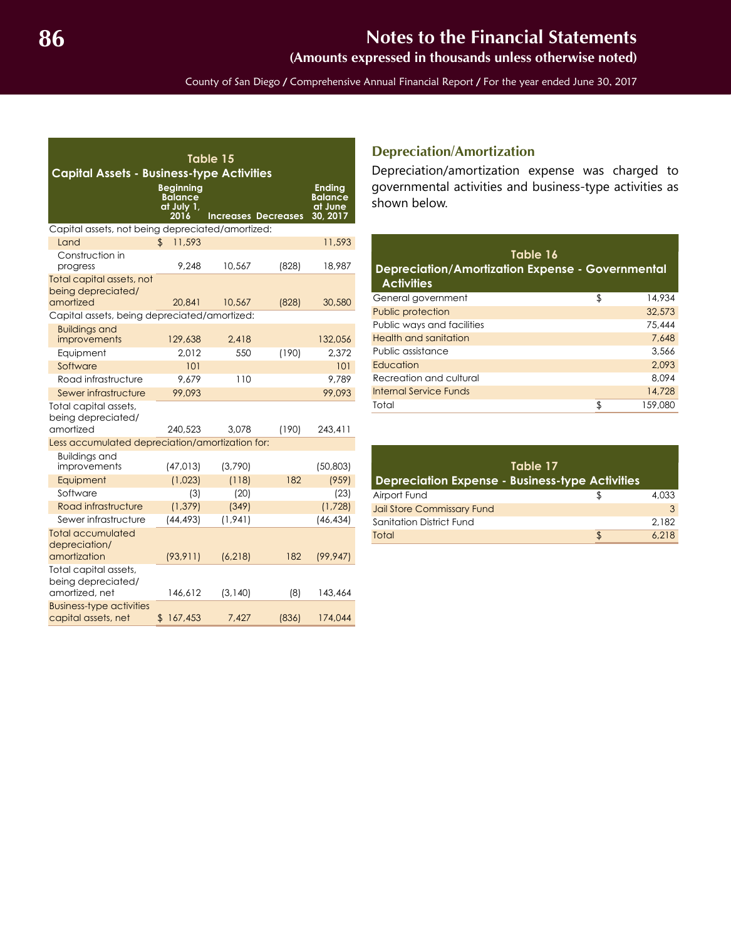**(Amounts expressed in thousands unless otherwise noted)**

County of San Diego / Comprehensive Annual Financial Report / For the year ended June 30, 2017

<span id="page-25-0"></span>

| Table 15<br><b>Capital Assets - Business-type Activities</b>  |                                                          |          |                            |                                                        |  |  |  |  |  |  |
|---------------------------------------------------------------|----------------------------------------------------------|----------|----------------------------|--------------------------------------------------------|--|--|--|--|--|--|
|                                                               | <b>Beginning</b><br><b>Balance</b><br>at July 1,<br>2016 |          | <b>Increases Decreases</b> | <b>Ending</b><br><b>Balance</b><br>at June<br>30, 2017 |  |  |  |  |  |  |
| Capital assets, not being depreciated/amortized:              |                                                          |          |                            |                                                        |  |  |  |  |  |  |
| Land                                                          | $\mathfrak{D}$<br>11,593                                 |          |                            | 11,593                                                 |  |  |  |  |  |  |
| Construction in<br>progress                                   | 9.248                                                    | 10,567   | (828)                      | 18,987                                                 |  |  |  |  |  |  |
| Total capital assets, not<br>being depreciated/<br>amortized  | 20,841                                                   | 10,567   | (828)                      | 30,580                                                 |  |  |  |  |  |  |
| Capital assets, being depreciated/amortized:                  |                                                          |          |                            |                                                        |  |  |  |  |  |  |
| <b>Buildings and</b>                                          |                                                          |          |                            |                                                        |  |  |  |  |  |  |
| improvements                                                  | 129,638                                                  | 2.418    |                            | 132,056                                                |  |  |  |  |  |  |
| Equipment                                                     | 2,012                                                    | 550      | (190)                      | 2.372                                                  |  |  |  |  |  |  |
| Software                                                      | 101                                                      |          |                            | 101                                                    |  |  |  |  |  |  |
| Road infrastructure                                           | 9.679                                                    | 110      |                            | 9.789                                                  |  |  |  |  |  |  |
| Sewer infrastructure                                          | 99,093                                                   |          |                            | 99,093                                                 |  |  |  |  |  |  |
| Total capital assets,<br>being depreciated/                   |                                                          |          |                            |                                                        |  |  |  |  |  |  |
| amortized                                                     | 240.523                                                  | 3.078    | (190)                      | 243,411                                                |  |  |  |  |  |  |
| Less accumulated depreciation/amortization for:               |                                                          |          |                            |                                                        |  |  |  |  |  |  |
| <b>Buildings and</b><br>improvements                          | (47, 013)                                                | (3,790)  |                            | (50, 803)                                              |  |  |  |  |  |  |
| Equipment                                                     | (1,023)                                                  | (118)    | 182                        | (959)                                                  |  |  |  |  |  |  |
| Software                                                      | (3)                                                      | (20)     |                            | (23)                                                   |  |  |  |  |  |  |
| Road infrastructure                                           | (1, 379)                                                 | (349)    |                            | (1,728)                                                |  |  |  |  |  |  |
| Sewer infrastructure                                          | (44, 493)                                                | (1, 941) |                            | (46, 434)                                              |  |  |  |  |  |  |
| <b>Total accumulated</b><br>depreciation/                     |                                                          |          |                            |                                                        |  |  |  |  |  |  |
| amortization                                                  | (93, 911)                                                | (6, 218) | 182                        | (99, 947)                                              |  |  |  |  |  |  |
| Total capital assets,<br>being depreciated/<br>amortized, net | 146.612                                                  | (3, 140) | (8)                        | 143,464                                                |  |  |  |  |  |  |
| <b>Business-type activities</b><br>capital assets, net        | 167,453<br>\$                                            | 7,427    | (836)                      | 174,044                                                |  |  |  |  |  |  |

### **Depreciation/Amortization**

Depreciation/amortization expense was charged to governmental activities and business-type activities as shown below.

| Table 16<br><b>Depreciation/Amortization Expense - Governmental</b><br><b>Activities</b> |              |
|------------------------------------------------------------------------------------------|--------------|
| General government                                                                       | \$<br>14,934 |
| Public protection                                                                        | 32,573       |
| Public ways and facilities                                                               | 75,444       |
| Health and sanitation                                                                    | 7.648        |
| Public assistance                                                                        | 3.566        |
| Education                                                                                | 2.093        |
| Recreation and cultural                                                                  | 8.094        |
| Internal Service Funds                                                                   | 14,728       |
| Total                                                                                    | 159,080      |

| Table 17<br><b>Depreciation Expense - Business-type Activities</b> |       |
|--------------------------------------------------------------------|-------|
| Airport Fund                                                       | 4.033 |
| Jail Store Commissary Fund                                         |       |
| Sanitation District Fund                                           | 2.182 |
| Total                                                              | 6.218 |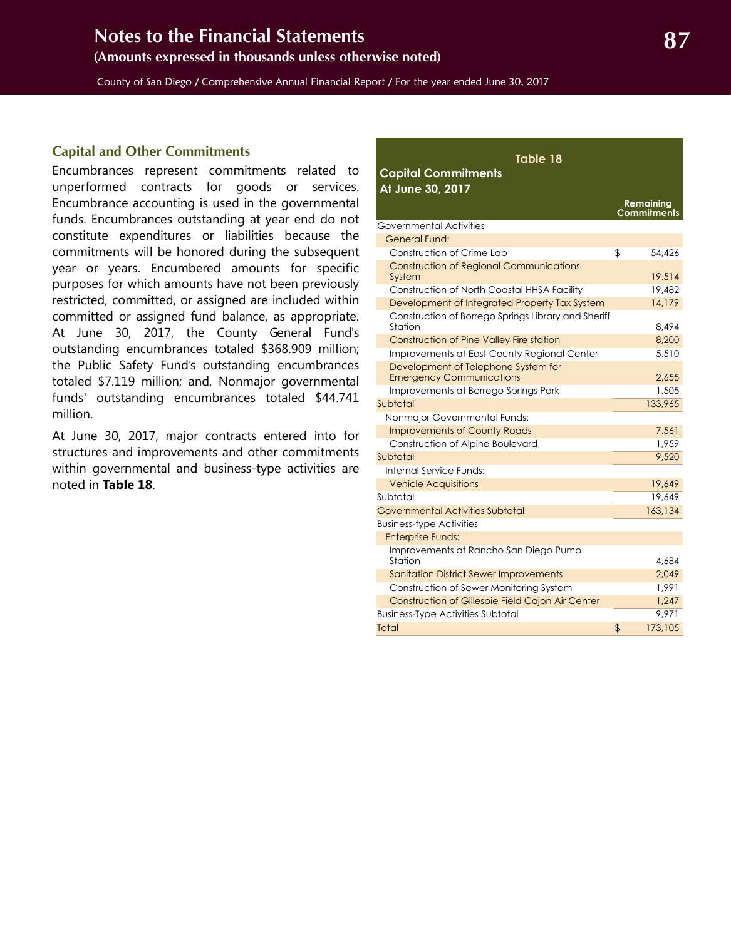<span id="page-26-0"></span>County of San Diego / Comprehensive Annual Financial Report / For the year ended June 30, 2017

#### **Capital and Other Commitments**

Encumbrances represent commitments related to unperformed contracts for goods or services. Encumbrance accounting is used in the governmental funds. Encumbrances outstanding at year end do not constitute expenditures or liabilities because the commitments will be honored during the subsequent year or years. Encumbered amounts for specific purposes for which amounts have not been previously restricted, committed, or assigned are included within committed or assigned fund balance, as appropriate. At June 30, 2017, the County General Fund's outstanding encumbrances totaled \$368.909 million; the Public Safety Fund's outstanding encumbrances totaled \$7.119 million; and, Nonmajor governmental funds' outstanding encumbrances totaled \$44.741 million.

At June 30, 2017, major contracts entered into for structures and improvements and other commitments within governmental and business-type activities are noted in **Table 18**.

| Table 18                                                               |                                 |
|------------------------------------------------------------------------|---------------------------------|
| <b>Capital Commitments</b><br>At June 30, 2017                         |                                 |
|                                                                        | Remaining<br><b>Commitments</b> |
| Governmental Activities                                                |                                 |
| General Fund:                                                          |                                 |
| Construction of Crime Lab                                              | \$<br>54,426                    |
| <b>Construction of Regional Communications</b><br>System               | 19,514                          |
| Construction of North Coastal HHSA Facility                            | 19,482                          |
| Development of Integrated Property Tax System                          | 14,179                          |
| Construction of Borrego Springs Library and Sheriff<br>Station         | 8.494                           |
| Construction of Pine Valley Fire station                               | 8,200                           |
| Improvements at East County Regional Center                            | 5,510                           |
| Development of Telephone System for<br><b>Emergency Communications</b> | 2,655                           |
| Improvements at Borrego Springs Park                                   | 1,505                           |
| Subtotal                                                               | 133,965                         |
| Nonmajor Governmental Funds:                                           |                                 |
| <b>Improvements of County Roads</b>                                    | 7,561                           |
| Construction of Alpine Boulevard                                       | 1,959                           |
| Subtotal                                                               | 9,520                           |
| Internal Service Funds:                                                |                                 |
| <b>Vehicle Acquisitions</b>                                            | 19,649                          |
| Subtotal                                                               | 19,649                          |
| <b>Governmental Activities Subtotal</b>                                | 163,134                         |
| <b>Business-type Activities</b>                                        |                                 |
| <b>Enterprise Funds:</b>                                               |                                 |
| Improvements at Rancho San Diego Pump<br>Station                       | 4,684                           |
| <b>Sanitation District Sewer Improvements</b>                          | 2,049                           |
| Construction of Sewer Monitoring System                                | 1.991                           |
| Construction of Gillespie Field Cajon Air Center                       | 1,247                           |
| <b>Business-Type Activities Subtotal</b>                               | 9,971                           |
| Total                                                                  | 173,105<br>\$                   |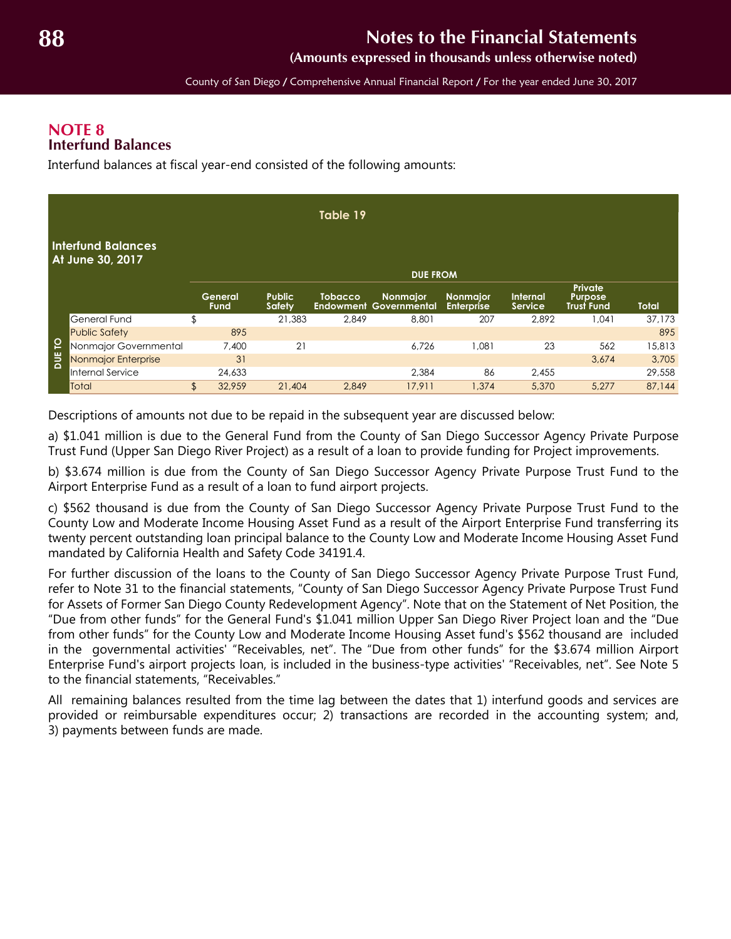**(Amounts expressed in thousands unless otherwise noted)**

County of San Diego / Comprehensive Annual Financial Report / For the year ended June 30, 2017

### <span id="page-27-1"></span><span id="page-27-0"></span>**NOTE 8 Interfund Balances**

Interfund balances at fiscal year-end consisted of the following amounts:

|        |                                               |                 |                                | Table 19       |                                           |                                      |                     |                                                |              |
|--------|-----------------------------------------------|-----------------|--------------------------------|----------------|-------------------------------------------|--------------------------------------|---------------------|------------------------------------------------|--------------|
|        | <b>Interfund Balances</b><br>At June 30, 2017 |                 |                                |                | <b>DUE FROM</b>                           |                                      |                     |                                                |              |
|        |                                               | General<br>Fund | <b>Public</b><br><b>Safety</b> | <b>Tobacco</b> | Nonmajor<br><b>Endowment Governmental</b> | <b>Nonmajor</b><br><b>Enterprise</b> | Internal<br>Service | Private<br><b>Purpose</b><br><b>Trust Fund</b> | <b>Total</b> |
|        | General Fund                                  | \$              | 21,383                         | 2,849          | 8,801                                     | 207                                  | 2,892               | 1,041                                          | 37,173       |
|        | <b>Public Safety</b>                          | 895             |                                |                |                                           |                                      |                     |                                                | 895          |
| DUE TO | Nonmajor Governmental                         | 7,400           | 21                             |                | 6,726                                     | 1,081                                | 23                  | 562                                            | 15,813       |
|        | Nonmajor Enterprise                           | 31              |                                |                |                                           |                                      |                     | 3,674                                          | 3,705        |
|        | Internal Service                              | 24,633          |                                |                | 2,384                                     | 86                                   | 2,455               |                                                | 29,558       |
|        | Total                                         | \$<br>32,959    | 21,404                         | 2,849          | 17,911                                    | 1,374                                | 5,370               | 5,277                                          | 87,144       |

Descriptions of amounts not due to be repaid in the subsequent year are discussed below:

a) \$1.041 million is due to the General Fund from the County of San Diego Successor Agency Private Purpose Trust Fund (Upper San Diego River Project) as a result of a loan to provide funding for Project improvements.

b) \$3.674 million is due from the County of San Diego Successor Agency Private Purpose Trust Fund to the Airport Enterprise Fund as a result of a loan to fund airport projects.

c) \$562 thousand is due from the County of San Diego Successor Agency Private Purpose Trust Fund to the County Low and Moderate Income Housing Asset Fund as a result of the Airport Enterprise Fund transferring its twenty percent outstanding loan principal balance to the County Low and Moderate Income Housing Asset Fund mandated by California Health and Safety Code 34191.4.

For further discussion of the loans to the County of San Diego Successor Agency Private Purpose Trust Fund, refer to Note 31 to the financial statements, "County of San Diego Successor Agency Private Purpose Trust Fund for Assets of Former San Diego County Redevelopment Agency". Note that on the Statement of Net Position, the "Due from other funds" for the General Fund's \$1.041 million Upper San Diego River Project loan and the "Due from other funds" for the County Low and Moderate Income Housing Asset fund's \$562 thousand are included in the governmental activities' "Receivables, net". The "Due from other funds" for the \$3.674 million Airport Enterprise Fund's airport projects loan, is included in the business-type activities' "Receivables, net". See Note 5 to the financial statements, "Receivables."

All remaining balances resulted from the time lag between the dates that 1) interfund goods and services are provided or reimbursable expenditures occur; 2) transactions are recorded in the accounting system; and, 3) payments between funds are made.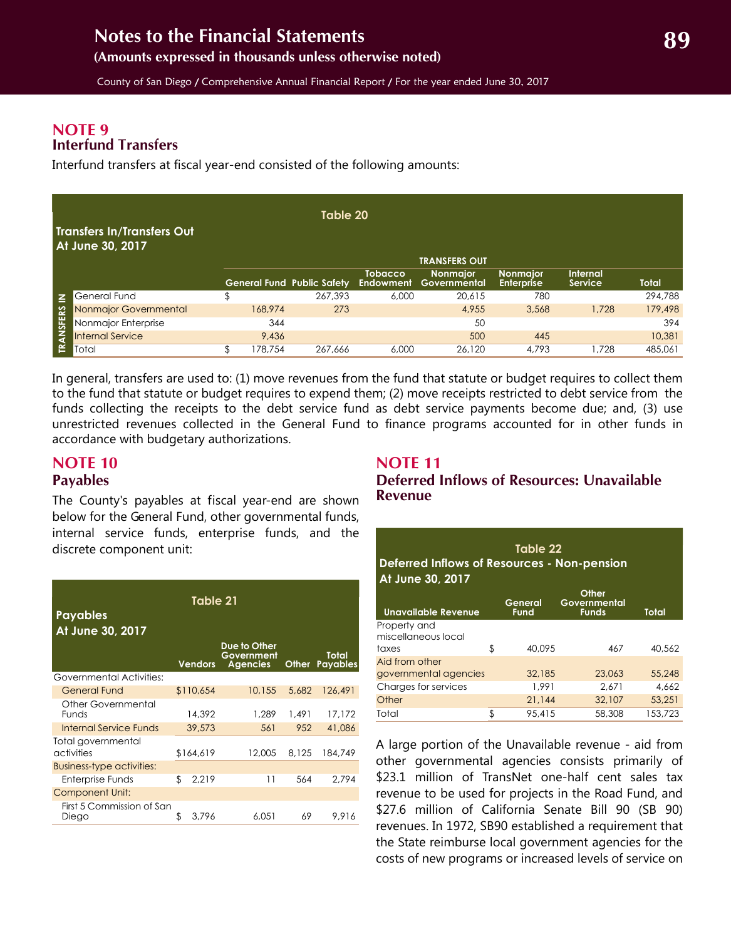### <span id="page-28-2"></span>**NOTE 9 Interfund Transfers**

Interfund transfers at fiscal year-end consisted of the following amounts:

|                  | Table 20                                       |    |         |                                   |                             |                          |                                      |                            |              |  |
|------------------|------------------------------------------------|----|---------|-----------------------------------|-----------------------------|--------------------------|--------------------------------------|----------------------------|--------------|--|
|                  | Transfers In/Transfers Out<br>At June 30, 2017 |    |         |                                   |                             | <b>TRANSFERS OUT</b>     |                                      |                            |              |  |
|                  |                                                |    |         | <b>General Fund Public Safety</b> | <b>Tobacco</b><br>Endowment | Nonmajor<br>Governmental | <b>Nonmaior</b><br><b>Enterprise</b> | <b>Internal</b><br>Service | <b>Total</b> |  |
| $\leq$           | General Fund                                   | \$ |         | 267.393                           | 6,000                       | 20.615                   | 780                                  |                            | 294,788      |  |
|                  | Nonmajor Governmental                          |    | 168,974 | 273                               |                             | 4.955                    | 3,568                                | 1,728                      | 179,498      |  |
|                  | Nonmajor Enterprise                            |    | 344     |                                   |                             | 50                       |                                      |                            | 394          |  |
| <b>TRANSFERS</b> | <b>Internal Service</b>                        |    | 9,436   |                                   |                             | 500                      | 445                                  |                            | 10,381       |  |
|                  | Total                                          |    | 178.754 | 267.666                           | 6,000                       | 26,120                   | 4.793                                | .728                       | 485,061      |  |

In general, transfers are used to: (1) move revenues from the fund that statute or budget requires to collect them to the fund that statute or budget requires to expend them; (2) move receipts restricted to debt service from the funds collecting the receipts to the debt service fund as debt service payments become due; and, (3) use unrestricted revenues collected in the General Fund to finance programs accounted for in other funds in accordance with budgetary authorizations.

## <span id="page-28-1"></span><span id="page-28-0"></span>**NOTE 10 Payables**

The County's payables at fiscal year-end are shown below for the General Fund, other governmental funds, internal service funds, enterprise funds, and the discrete component unit:

| Table 21<br>Payables<br>At June 30, 2017 |    |                |                                               |       |                          |  |  |  |  |  |
|------------------------------------------|----|----------------|-----------------------------------------------|-------|--------------------------|--|--|--|--|--|
|                                          |    | <b>Vendors</b> | Due to Other<br>Government<br><b>Agencies</b> | Other | Total<br><b>Payables</b> |  |  |  |  |  |
| Governmental Activities:                 |    |                |                                               |       |                          |  |  |  |  |  |
| <b>General Fund</b>                      |    | \$110,654      | 10.155                                        | 5.682 | 126,491                  |  |  |  |  |  |
| Other Governmental<br><b>Funds</b>       |    | 14,392         | 1,289                                         | 1.491 | 17.172                   |  |  |  |  |  |
| Internal Service Funds                   |    | 39,573         | 561                                           | 952   | 41,086                   |  |  |  |  |  |
| Total governmental<br>activities         |    | \$164,619      | 12,005                                        | 8.125 | 184,749                  |  |  |  |  |  |
| <b>Business-type activities:</b>         |    |                |                                               |       |                          |  |  |  |  |  |
| Enterprise Funds                         | \$ | 2,219          | 11                                            | 564   | 2.794                    |  |  |  |  |  |
| <b>Component Unit:</b>                   |    |                |                                               |       |                          |  |  |  |  |  |
| First 5 Commission of San<br>Diego       | \$ | 3.796          | 6,051                                         | 69    | 9.916                    |  |  |  |  |  |

#### **NOTE 11 Deferred Inflows of Resources: Unavailable Revenue**

| Table 22<br>Deferred Inflows of Resources - Non-pension<br>At June 30, 2017 |    |                        |                                       |         |  |  |  |  |  |
|-----------------------------------------------------------------------------|----|------------------------|---------------------------------------|---------|--|--|--|--|--|
| <b>Unavailable Revenue</b>                                                  |    | General<br><b>Fund</b> | Other<br>Governmental<br><b>Funds</b> | Total   |  |  |  |  |  |
| Property and<br>miscellaneous local                                         |    |                        |                                       |         |  |  |  |  |  |
| taxes<br>Aid from other                                                     | \$ | 40.095                 | 467                                   | 40,562  |  |  |  |  |  |
| governmental agencies                                                       |    | 32,185                 | 23.063                                | 55,248  |  |  |  |  |  |
| Charges for services                                                        |    | 1.991                  | 2.671                                 | 4.662   |  |  |  |  |  |
| Other                                                                       |    | 21.144                 | 32,107                                | 53.251  |  |  |  |  |  |
| Total                                                                       | \$ | 95,415                 | 58,308                                | 153,723 |  |  |  |  |  |

A large portion of the Unavailable revenue - aid from other governmental agencies consists primarily of \$23.1 million of TransNet one-half cent sales tax revenue to be used for projects in the Road Fund, and \$27.6 million of California Senate Bill 90 (SB 90) revenues. In 1972, SB90 established a requirement that the State reimburse local government agencies for the costs of new programs or increased levels of service on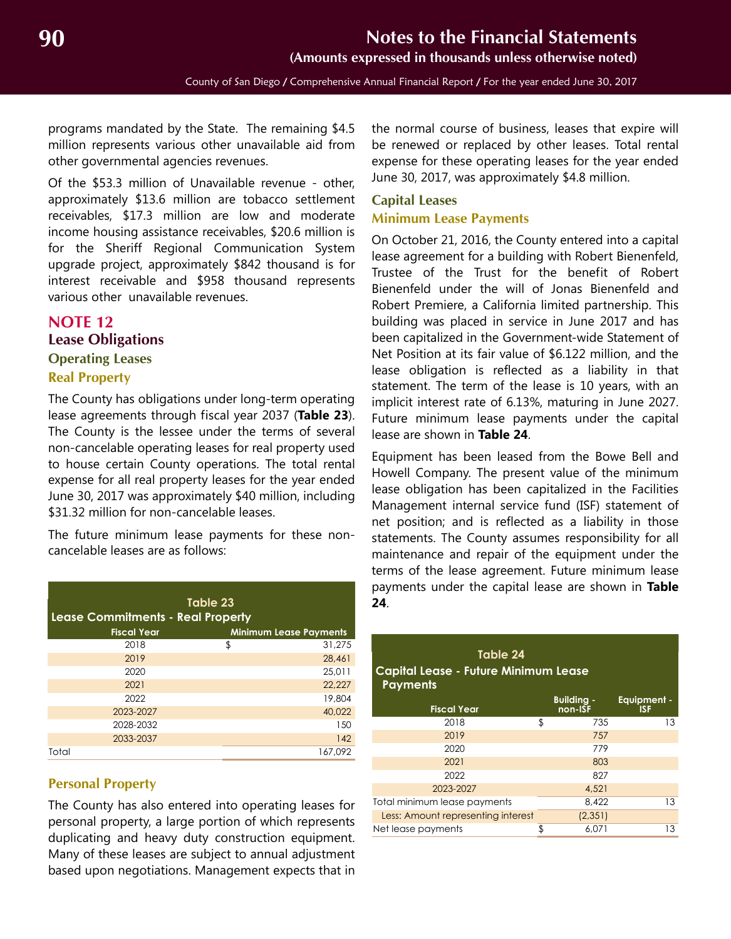County of San Diego / Comprehensive Annual Financial Report / For the year ended June 30, 2017

<span id="page-29-2"></span>programs mandated by the State. The remaining \$4.5 million represents various other unavailable aid from other governmental agencies revenues.

Of the \$53.3 million of Unavailable revenue - other, approximately \$13.6 million are tobacco settlement receivables, \$17.3 million are low and moderate income housing assistance receivables, \$20.6 million is for the Sheriff Regional Communication System upgrade project, approximately \$842 thousand is for interest receivable and \$958 thousand represents various other unavailable revenues.

## <span id="page-29-0"></span>**NOTE 12 Lease Obligations Operating Leases Real Property**

The County has obligations under long-term operating lease agreements through fiscal year 2037 (**Table 23**). The County is the lessee under the terms of several non-cancelable operating leases for real property used to house certain County operations. The total rental expense for all real property leases for the year ended June 30, 2017 was approximately \$40 million, including \$31.32 million for non-cancelable leases.

The future minimum lease payments for these noncancelable leases are as follows:

| Table 23<br><b>Lease Commitments - Real Property</b> |                    |    |                               |    |  |
|------------------------------------------------------|--------------------|----|-------------------------------|----|--|
|                                                      | <b>Fiscal Year</b> |    | <b>Minimum Lease Payments</b> |    |  |
|                                                      | 2018               | \$ | 31,275                        |    |  |
|                                                      | 2019               |    | 28,461                        |    |  |
|                                                      | 2020               |    | 25,011                        | Ξc |  |
|                                                      | 2021               |    | 22,227                        | P  |  |
|                                                      | 2022               |    | 19,804                        |    |  |
|                                                      | 2023-2027          |    | 40,022                        |    |  |
|                                                      | 2028-2032          |    | 150                           |    |  |
|                                                      | 2033-2037          |    | 142                           |    |  |
| Total                                                |                    |    | 167,092                       |    |  |
|                                                      |                    |    |                               |    |  |

#### **Personal Property**

The County has also entered into operating leases for personal property, a large portion of which represents duplicating and heavy duty construction equipment. Many of these leases are subject to annual adjustment based upon negotiations. Management expects that in

the normal course of business, leases that expire will be renewed or replaced by other leases. Total rental expense for these operating leases for the year ended June 30, 2017, was approximately \$4.8 million.

#### <span id="page-29-1"></span>**Capital Leases**

#### **Minimum Lease Payments**

On October 21, 2016, the County entered into a capital lease agreement for a building with Robert Bienenfeld, Trustee of the Trust for the benefit of Robert Bienenfeld under the will of Jonas Bienenfeld and Robert Premiere, a California limited partnership. This building was placed in service in June 2017 and has been capitalized in the Government-wide Statement of Net Position at its fair value of \$6.122 million, and the lease obligation is reflected as a liability in that statement. The term of the lease is 10 years, with an implicit interest rate of 6.13%, maturing in June 2027. Future minimum lease payments under the capital lease are shown in **Table 24**.

Equipment has been leased from the Bowe Bell and Howell Company. The present value of the minimum lease obligation has been capitalized in the Facilities Management internal service fund (ISF) statement of net position; and is reflected as a liability in those statements. The County assumes responsibility for all maintenance and repair of the equipment under the terms of the lease agreement. Future minimum lease payments under the capital lease are shown in **Table**

| Table 24<br><b>Capital Lease - Future Minimum Lease</b><br><b>Payments</b> |    |                              |                           |  |  |  |  |  |  |
|----------------------------------------------------------------------------|----|------------------------------|---------------------------|--|--|--|--|--|--|
| <b>Fiscal Year</b>                                                         |    | <b>Building -</b><br>non-ISF | <b>Equipment -</b><br>ISF |  |  |  |  |  |  |
| 2018                                                                       | \$ | 735                          | 13                        |  |  |  |  |  |  |
| 2019                                                                       |    | 757                          |                           |  |  |  |  |  |  |
| 2020                                                                       |    | 779                          |                           |  |  |  |  |  |  |
| 2021                                                                       |    | 803                          |                           |  |  |  |  |  |  |
| 2022                                                                       |    | 827                          |                           |  |  |  |  |  |  |
| 2023-2027                                                                  |    | 4,521                        |                           |  |  |  |  |  |  |
| Total minimum lease payments                                               |    | 8.422                        | 13                        |  |  |  |  |  |  |
| Less: Amount representing interest                                         |    | (2, 351)                     |                           |  |  |  |  |  |  |
| Net lease payments                                                         | \$ | 6.071                        | 13                        |  |  |  |  |  |  |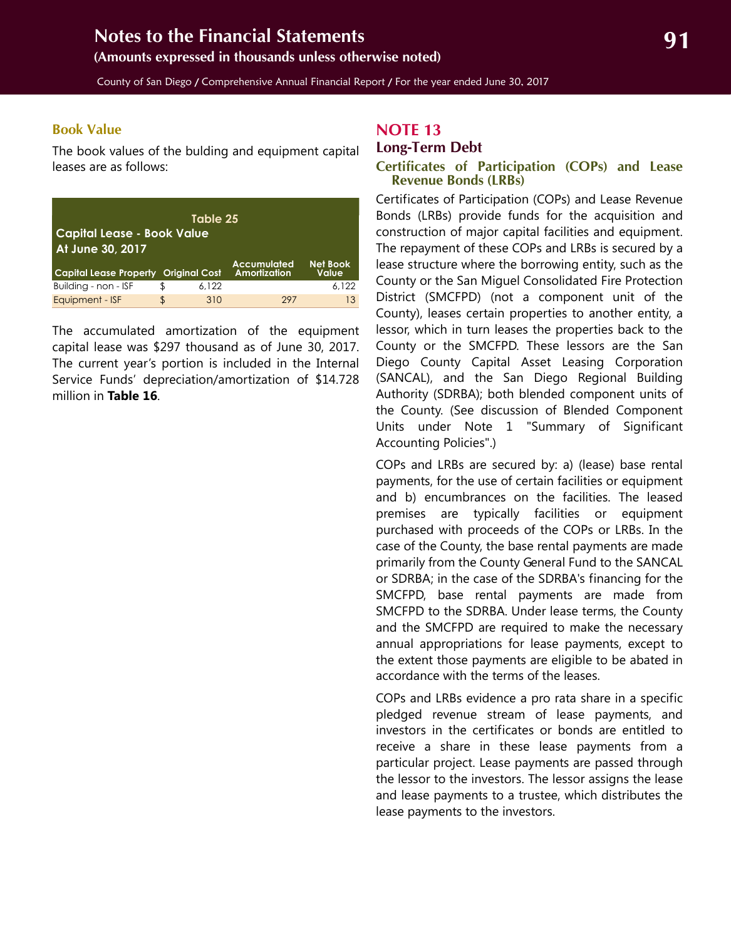<span id="page-30-2"></span>**(Amounts expressed in thousands unless otherwise noted)**

County of San Diego / Comprehensive Annual Financial Report / For the year ended June 30, 2017

#### **Book Value**

The book values of the bulding and equipment capital leases are as follows:

| Table 25<br><b>Capital Lease - Book Value</b><br>At June 30, 2017 |     |       |                                    |                          |  |  |  |  |
|-------------------------------------------------------------------|-----|-------|------------------------------------|--------------------------|--|--|--|--|
| <b>Capital Lease Property Original Cost</b>                       |     |       | <b>Accumulated</b><br>Amortization | <b>Net Book</b><br>Value |  |  |  |  |
| Building - non - ISF                                              | \$. | 6.122 |                                    | 6.122                    |  |  |  |  |
| Equipment - ISF                                                   | \$. | 310   | 297                                | 13                       |  |  |  |  |

The accumulated amortization of the equipment capital lease was \$297 thousand as of June 30, 2017. The current year's portion is included in the Internal Service Funds' depreciation/amortization of \$14.728 million in **Table 16**.

#### <span id="page-30-0"></span>**NOTE 13**

#### <span id="page-30-1"></span>**Long-Term Debt**

#### **Certificates of Participation (COPs) and Lease Revenue Bonds (LRBs)**

Certificates of Participation (COPs) and Lease Revenue Bonds (LRBs) provide funds for the acquisition and construction of major capital facilities and equipment. The repayment of these COPs and LRBs is secured by a lease structure where the borrowing entity, such as the County or the San Miguel Consolidated Fire Protection District (SMCFPD) (not a component unit of the County), leases certain properties to another entity, a lessor, which in turn leases the properties back to the County or the SMCFPD. These lessors are the San Diego County Capital Asset Leasing Corporation (SANCAL), and the San Diego Regional Building Authority (SDRBA); both blended component units of the County. (See discussion of Blended Component Units under Note 1 "Summary of Significant Accounting Policies".)

COPs and LRBs are secured by: a) (lease) base rental payments, for the use of certain facilities or equipment and b) encumbrances on the facilities. The leased premises are typically facilities or equipment purchased with proceeds of the COPs or LRBs. In the case of the County, the base rental payments are made primarily from the County General Fund to the SANCAL or SDRBA; in the case of the SDRBA's financing for the SMCFPD, base rental payments are made from SMCFPD to the SDRBA. Under lease terms, the County and the SMCFPD are required to make the necessary annual appropriations for lease payments, except to the extent those payments are eligible to be abated in accordance with the terms of the leases.

COPs and LRBs evidence a pro rata share in a specific pledged revenue stream of lease payments, and investors in the certificates or bonds are entitled to receive a share in these lease payments from a particular project. Lease payments are passed through the lessor to the investors. The lessor assigns the lease and lease payments to a trustee, which distributes the lease payments to the investors.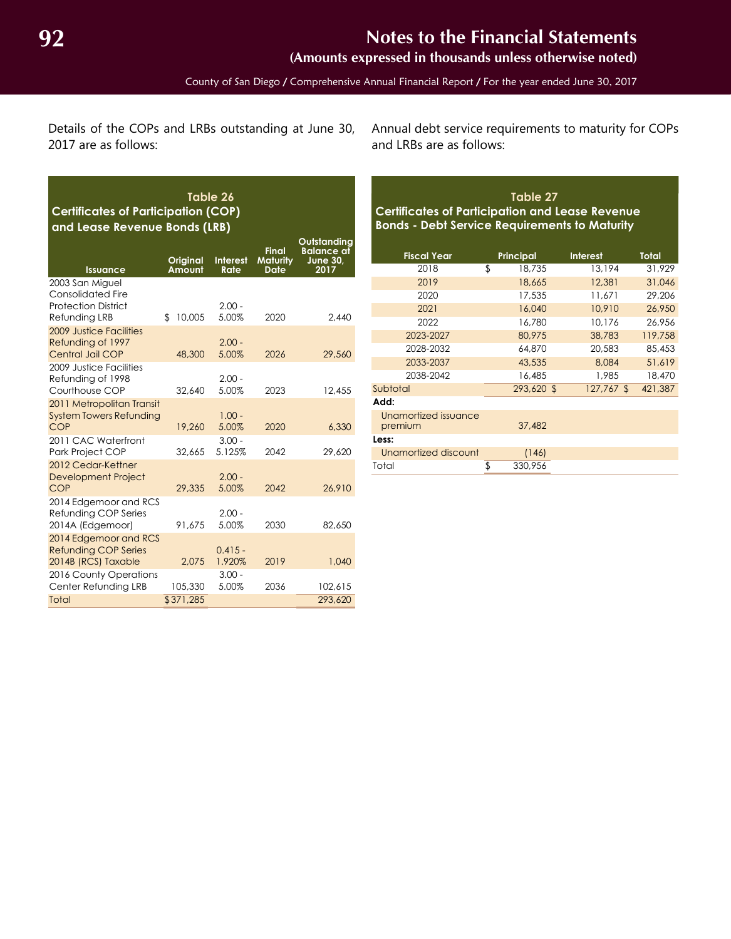**(Amounts expressed in thousands unless otherwise noted)**

Details of the COPs and LRBs outstanding at June 30, 2017 are as follows:

**Table 26**

Annual debt service requirements to maturity for COPs and LRBs are as follows:

## **Table 27 Certificates of Participation and Lease Revenue Bonds - Debt Service Requirements to Maturity**

| <b>Fiscal Year</b>   | <b>Principal</b> | <b>Interest</b> | <b>Total</b> |
|----------------------|------------------|-----------------|--------------|
| 2018                 | \$<br>18,735     | 13,194          | 31.929       |
| 2019                 | 18,665           | 12,381          | 31,046       |
| 2020                 | 17,535           | 11.671          | 29,206       |
| 2021                 | 16,040           | 10,910          | 26,950       |
| 2022                 | 16.780           | 10.176          | 26.956       |
| 2023-2027            | 80.975           | 38,783          | 119,758      |
| 2028-2032            | 64,870           | 20,583          | 85,453       |
| 2033-2037            | 43,535           | 8.084           | 51,619       |
| 2038-2042            | 16,485           | 1,985           | 18,470       |
| Subtotal             | 293,620 \$       | 127,767 \$      | 421,387      |
| Add:                 |                  |                 |              |
| Unamortized issuance |                  |                 |              |
| premium              | 37,482           |                 |              |
| Less:                |                  |                 |              |
| Unamortized discount | (146)            |                 |              |
| Total                | \$<br>330,956    |                 |              |

| <b>Certificates of Participation (COP)</b><br>and Lease Revenue Bonds (LRB)         |                           |                         |                                                |                                                             |  |  |  |  |  |
|-------------------------------------------------------------------------------------|---------------------------|-------------------------|------------------------------------------------|-------------------------------------------------------------|--|--|--|--|--|
| <b>Issuance</b>                                                                     | <b>Original</b><br>Amount | <b>Interest</b><br>Rate | <b>Final</b><br><b>Maturity</b><br><b>Date</b> | Outstanding<br><b>Balance</b> at<br><b>June 30,</b><br>2017 |  |  |  |  |  |
| 2003 San Miguel<br>Consolidated Fire<br><b>Protection District</b><br>Refunding LRB | 10,005<br>\$              | $2.00 -$<br>5.00%       | 2020                                           | 2.440                                                       |  |  |  |  |  |
| 2009 Justice Facilities<br>Refunding of 1997<br>Central Jail COP                    | 48,300                    | $2.00 -$<br>5.00%       | 2026                                           | 29,560                                                      |  |  |  |  |  |
| 2009 Justice Facilities<br>Refunding of 1998<br>Courthouse COP                      | 32,640                    | $2.00 -$<br>5.00%       | 2023                                           | 12,455                                                      |  |  |  |  |  |
| 2011 Metropolitan Transit<br><b>System Towers Refunding</b><br>COP                  | 19,260                    | $1.00 -$<br>5.00%       | 2020                                           | 6,330                                                       |  |  |  |  |  |
| 2011 CAC Waterfront<br>Park Project COP                                             | 32,665                    | $3.00 -$<br>5.125%      | 2042                                           | 29,620                                                      |  |  |  |  |  |
| 2012 Cedar-Kettner<br><b>Development Project</b><br>COP                             | 29,335                    | $2.00 -$<br>5.00%       | 2042                                           | 26,910                                                      |  |  |  |  |  |
| 2014 Edgemoor and RCS<br>Refunding COP Series<br>2014A (Edgemoor)                   | 91.675                    | $2.00 -$<br>5.00%       | 2030                                           | 82,650                                                      |  |  |  |  |  |
| 2014 Edgemoor and RCS<br><b>Refunding COP Series</b><br>2014B (RCS) Taxable         | 2.075                     | $0.415 -$<br>1.920%     | 2019                                           | 1,040                                                       |  |  |  |  |  |
| 2016 County Operations<br>Center Refunding LRB                                      | 105,330                   | $3.00 -$<br>5.00%       | 2036                                           | 102,615                                                     |  |  |  |  |  |
| Total                                                                               | \$371,285                 |                         |                                                | 293,620                                                     |  |  |  |  |  |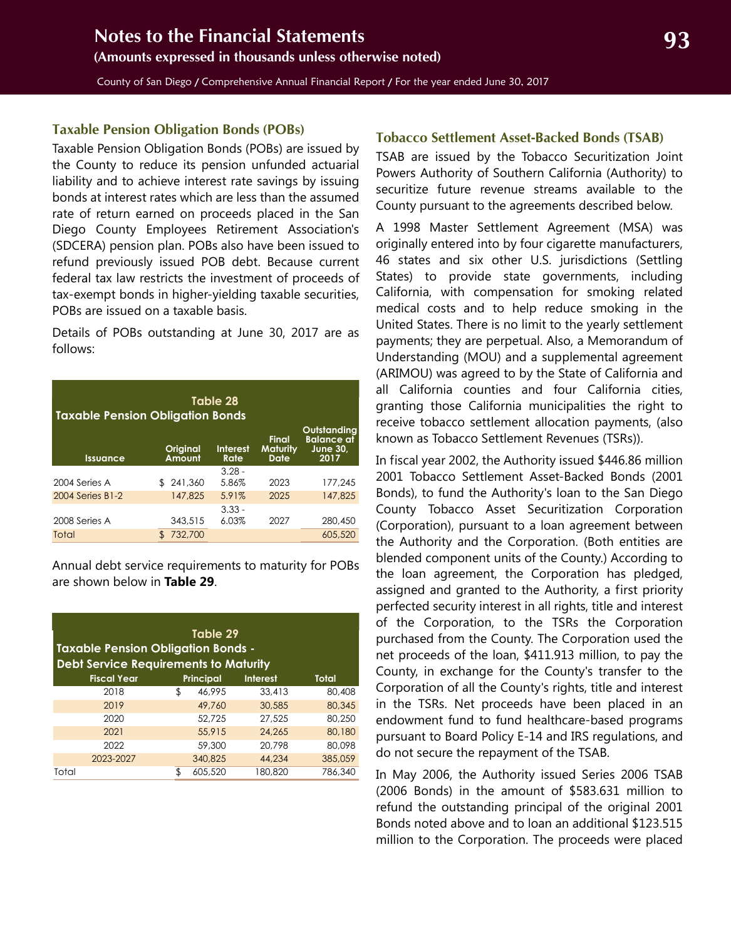<span id="page-32-0"></span>County of San Diego / Comprehensive Annual Financial Report / For the year ended June 30, 2017

#### **Taxable Pension Obligation Bonds (POBs)**

Taxable Pension Obligation Bonds (POBs) are issued by the County to reduce its pension unfunded actuarial liability and to achieve interest rate savings by issuing bonds at interest rates which are less than the assumed rate of return earned on proceeds placed in the San Diego County Employees Retirement Association's (SDCERA) pension plan. POBs also have been issued to refund previously issued POB debt. Because current federal tax law restricts the investment of proceeds of tax-exempt bonds in higher-yielding taxable securities, POBs are issued on a taxable basis.

Details of POBs outstanding at June 30, 2017 are as follows:

| Table 28<br><b>Taxable Pension Obligation Bonds</b> |                    |                  |                                         |                                                             |  |  |  |  |  |
|-----------------------------------------------------|--------------------|------------------|-----------------------------------------|-------------------------------------------------------------|--|--|--|--|--|
| <b>Issuance</b>                                     | Original<br>Amount | Interest<br>Rate | <b>Final</b><br><b>Maturity</b><br>Date | Outstandina<br><b>Balance at</b><br><b>June 30,</b><br>2017 |  |  |  |  |  |
|                                                     |                    | $3.28 -$         |                                         |                                                             |  |  |  |  |  |
| 2004 Series A                                       | 241,360<br>Æ.      | 5.86%            | 2023                                    | 177,245                                                     |  |  |  |  |  |
| 2004 Series B1-2                                    | 147,825            | 5.91%            | 2025                                    | 147,825                                                     |  |  |  |  |  |
|                                                     |                    | $3.33 -$         |                                         |                                                             |  |  |  |  |  |
| 2008 Series A                                       | 343,515            | 6.03%            | 2027                                    | 280,450                                                     |  |  |  |  |  |
| Total                                               | 732,700<br>\$.     |                  |                                         | 605,520                                                     |  |  |  |  |  |

Annual debt service requirements to maturity for POBs are shown below in **Table 29**.

| Table 29<br><b>Taxable Pension Obligation Bonds -</b><br><b>Debt Service Requirements to Maturity</b> |    |                  |                 |         |  |  |  |  |
|-------------------------------------------------------------------------------------------------------|----|------------------|-----------------|---------|--|--|--|--|
| <b>Fiscal Year</b>                                                                                    |    | <b>Principal</b> | <b>Interest</b> | Total   |  |  |  |  |
| 2018                                                                                                  | \$ | 46.995           | 33.413          | 80,408  |  |  |  |  |
| 2019                                                                                                  |    | 49,760           | 30,585          | 80,345  |  |  |  |  |
| 2020                                                                                                  |    | 52.725           | 27.525          | 80.250  |  |  |  |  |
| 2021                                                                                                  |    | 55,915           | 24.265          | 80,180  |  |  |  |  |
| 2022                                                                                                  |    | 59,300           | 20.798          | 80.098  |  |  |  |  |
| 2023-2027                                                                                             |    | 340,825          | 44,234          | 385,059 |  |  |  |  |
| Total                                                                                                 |    | 605,520          | 180,820         | 786,340 |  |  |  |  |

#### **Tobacco Settlement Asset-Backed Bonds (TSAB)**

TSAB are issued by the Tobacco Securitization Joint Powers Authority of Southern California (Authority) to securitize future revenue streams available to the County pursuant to the agreements described below.

A 1998 Master Settlement Agreement (MSA) was originally entered into by four cigarette manufacturers, 46 states and six other U.S. jurisdictions (Settling States) to provide state governments, including California, with compensation for smoking related medical costs and to help reduce smoking in the United States. There is no limit to the yearly settlement payments; they are perpetual. Also, a Memorandum of Understanding (MOU) and a supplemental agreement (ARIMOU) was agreed to by the State of California and all California counties and four California cities, granting those California municipalities the right to receive tobacco settlement allocation payments, (also known as Tobacco Settlement Revenues (TSRs)).

In fiscal year 2002, the Authority issued \$446.86 million 2001 Tobacco Settlement Asset-Backed Bonds (2001 Bonds), to fund the Authority's loan to the San Diego County Tobacco Asset Securitization Corporation (Corporation), pursuant to a loan agreement between the Authority and the Corporation. (Both entities are blended component units of the County.) According to the loan agreement, the Corporation has pledged, assigned and granted to the Authority, a first priority perfected security interest in all rights, title and interest of the Corporation, to the TSRs the Corporation purchased from the County. The Corporation used the net proceeds of the loan, \$411.913 million, to pay the County, in exchange for the County's transfer to the Corporation of all the County's rights, title and interest in the TSRs. Net proceeds have been placed in an endowment fund to fund healthcare-based programs pursuant to Board Policy E-14 and IRS regulations, and do not secure the repayment of the TSAB.

In May 2006, the Authority issued Series 2006 TSAB (2006 Bonds) in the amount of \$583.631 million to refund the outstanding principal of the original 2001 Bonds noted above and to loan an additional \$123.515 million to the Corporation. The proceeds were placed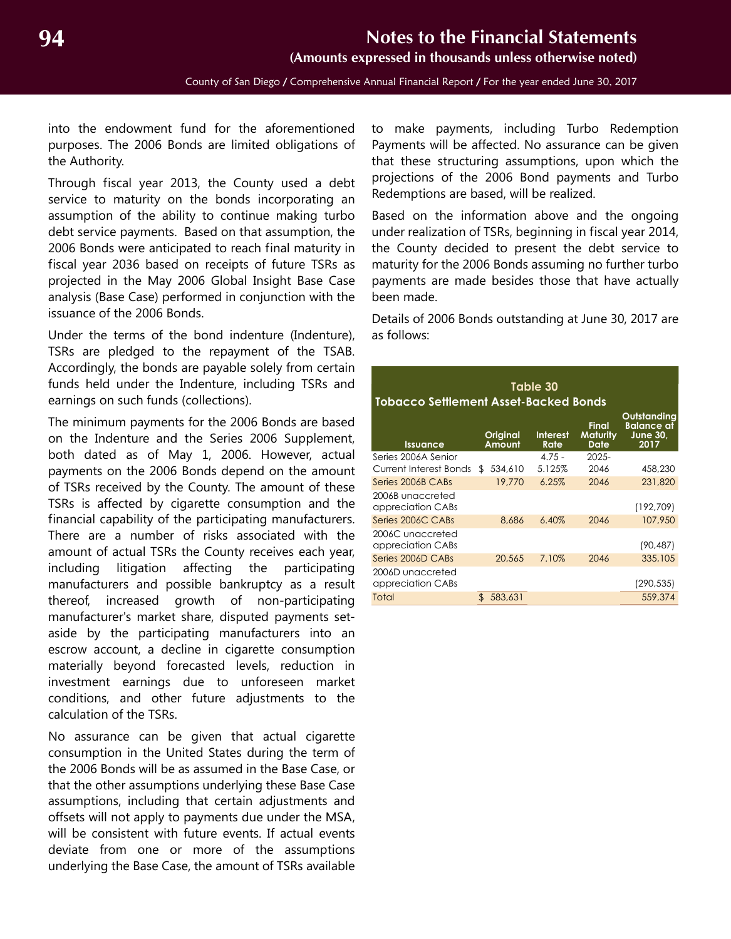**(Amounts expressed in thousands unless otherwise noted)**

County of San Diego / Comprehensive Annual Financial Report / For the year ended June 30, 2017

into the endowment fund for the aforementioned purposes. The 2006 Bonds are limited obligations of the Authority.

Through fiscal year 2013, the County used a debt service to maturity on the bonds incorporating an assumption of the ability to continue making turbo debt service payments. Based on that assumption, the 2006 Bonds were anticipated to reach final maturity in fiscal year 2036 based on receipts of future TSRs as projected in the May 2006 Global Insight Base Case analysis (Base Case) performed in conjunction with the issuance of the 2006 Bonds.

Under the terms of the bond indenture (Indenture), TSRs are pledged to the repayment of the TSAB. Accordingly, the bonds are payable solely from certain funds held under the Indenture, including TSRs and earnings on such funds (collections).

The minimum payments for the 2006 Bonds are based on the Indenture and the Series 2006 Supplement, both dated as of May 1, 2006. However, actual payments on the 2006 Bonds depend on the amount of TSRs received by the County. The amount of these TSRs is affected by cigarette consumption and the financial capability of the participating manufacturers. There are a number of risks associated with the amount of actual TSRs the County receives each year, including litigation affecting the participating manufacturers and possible bankruptcy as a result thereof, increased growth of non-participating manufacturer's market share, disputed payments setaside by the participating manufacturers into an escrow account, a decline in cigarette consumption materially beyond forecasted levels, reduction in investment earnings due to unforeseen market conditions, and other future adjustments to the calculation of the TSRs.

No assurance can be given that actual cigarette consumption in the United States during the term of the 2006 Bonds will be as assumed in the Base Case, or that the other assumptions underlying these Base Case assumptions, including that certain adjustments and offsets will not apply to payments due under the MSA, will be consistent with future events. If actual events deviate from one or more of the assumptions underlying the Base Case, the amount of TSRs available

to make payments, including Turbo Redemption Payments will be affected. No assurance can be given that these structuring assumptions, upon which the projections of the 2006 Bond payments and Turbo Redemptions are based, will be realized.

Based on the information above and the ongoing under realization of TSRs, beginning in fiscal year 2014, the County decided to present the debt service to maturity for the 2006 Bonds assuming no further turbo payments are made besides those that have actually been made.

Details of 2006 Bonds outstanding at June 30, 2017 are as follows:

| Table 30<br><b>Tobacco Settlement Asset-Backed Bonds</b> |     |                    |                         |                                  |                                                             |  |  |  |  |
|----------------------------------------------------------|-----|--------------------|-------------------------|----------------------------------|-------------------------------------------------------------|--|--|--|--|
| <b>Issuance</b>                                          |     | Original<br>Amount | <b>Interest</b><br>Rate | Final<br>Maturity<br><b>Date</b> | Outstanding<br><b>Balance</b> af<br><b>June 30,</b><br>2017 |  |  |  |  |
| Series 2006A Senior<br>Current Interest Bonds            | £.  | 534,610            | $4.75 -$<br>5.125%      | $2025 -$<br>2046                 | 458,230                                                     |  |  |  |  |
| Series 2006B CABs                                        |     | 19,770             | 6.25%                   | 2046                             | 231,820                                                     |  |  |  |  |
| 2006B unaccreted<br>appreciation CABs                    |     |                    |                         |                                  | (192, 709)                                                  |  |  |  |  |
| Series 2006C CABs                                        |     | 8.686              | $6.40\%$                | 2046                             | 107.950                                                     |  |  |  |  |
| 2006C unaccreted<br>appreciation CABs                    |     |                    |                         |                                  | (90,487)                                                    |  |  |  |  |
| Series 2006D CABs                                        |     | 20,565             | 7.10%                   | 2046                             | 335,105                                                     |  |  |  |  |
| 2006D unaccreted<br>appreciation CABs                    |     |                    |                         |                                  | (290,535)                                                   |  |  |  |  |
| Total                                                    | \$. | 583,631            |                         |                                  | 559,374                                                     |  |  |  |  |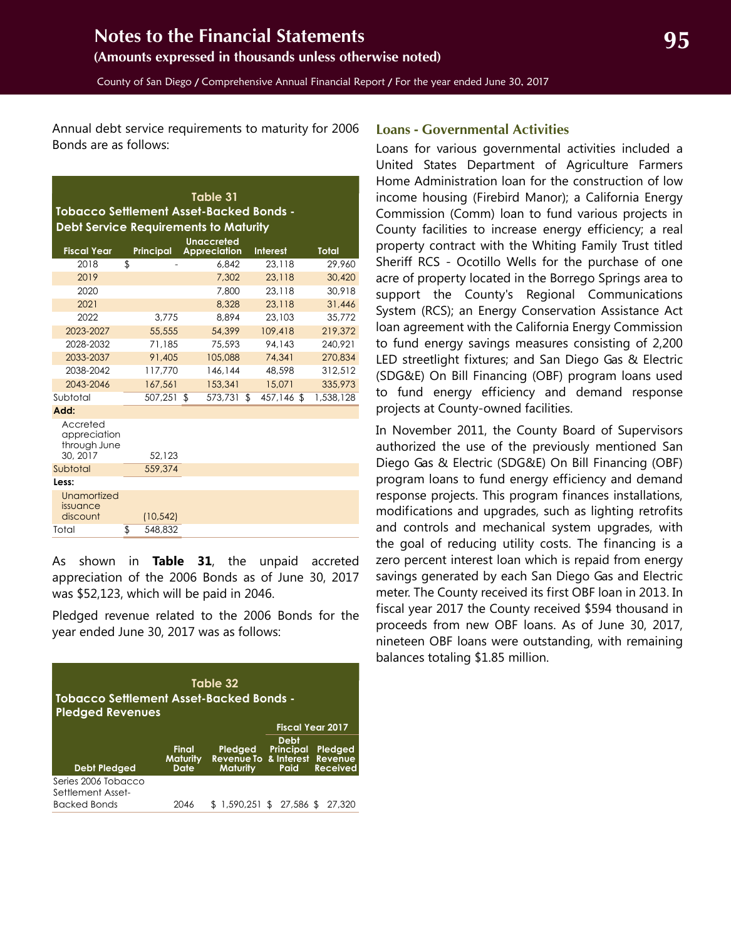<span id="page-34-0"></span>Annual debt service requirements to maturity for 2006 Bonds are as follows:

| Table 31<br><b>Tobacco Settlement Asset-Backed Bonds -</b>        |    |                  |  |                     |     |                 |  |              |  |
|-------------------------------------------------------------------|----|------------------|--|---------------------|-----|-----------------|--|--------------|--|
| <b>Debt Service Requirements to Maturity</b><br><b>Unaccreted</b> |    |                  |  |                     |     |                 |  |              |  |
| <b>Fiscal Year</b>                                                |    | <b>Principal</b> |  | <b>Appreciation</b> |     | <b>Interest</b> |  | <b>Total</b> |  |
| 2018                                                              | \$ |                  |  | 6.842               |     | 23.118          |  | 29,960       |  |
| 2019                                                              |    |                  |  | 7,302               |     | 23,118          |  | 30,420       |  |
| 2020                                                              |    |                  |  | 7,800               |     | 23,118          |  | 30.918       |  |
| 2021                                                              |    |                  |  | 8,328               |     | 23,118          |  | 31,446       |  |
| 2022                                                              |    | 3,775            |  | 8.894               |     | 23,103          |  | 35,772       |  |
| 2023-2027                                                         |    | 55,555           |  | 54,399              |     | 109,418         |  | 219,372      |  |
| 2028-2032                                                         |    | 71,185           |  | 75.593              |     | 94.143          |  | 240.921      |  |
| 2033-2037                                                         |    | 91,405           |  | 105,088             |     | 74.341          |  | 270.834      |  |
| 2038-2042                                                         |    | 117.770          |  | 146.144             |     | 48,598          |  | 312.512      |  |
| 2043-2046                                                         |    | 167.561          |  | 153,341             |     | 15.071          |  | 335,973      |  |
| Subtotal                                                          |    | 507,251 \$       |  | 573.731             | -\$ | 457,146 \$      |  | 1,538,128    |  |
| Add:                                                              |    |                  |  |                     |     |                 |  |              |  |
| Accreted<br>appreciation<br>through June<br>30, 2017              |    | 52,123           |  |                     |     |                 |  |              |  |
| Subtotal                                                          |    | 559,374          |  |                     |     |                 |  |              |  |
| Less:                                                             |    |                  |  |                     |     |                 |  |              |  |
| Unamortized<br>issuance<br>discount                               |    | (10, 542)        |  |                     |     |                 |  |              |  |
| Total                                                             | \$ | 548,832          |  |                     |     |                 |  |              |  |

As shown in **Table 31**, the unpaid accreted appreciation of the 2006 Bonds as of June 30, 2017 was \$52,123, which will be paid in 2046.

Pledged revenue related to the 2006 Bonds for the year ended June 30, 2017 was as follows:

| Table 32<br><b>Tobacco Settlement Asset-Backed Bonds -</b><br><b>Pledged Revenues</b> |                                  |                                                             |                                  |                            |  |  |  |  |
|---------------------------------------------------------------------------------------|----------------------------------|-------------------------------------------------------------|----------------------------------|----------------------------|--|--|--|--|
|                                                                                       |                                  |                                                             |                                  | <b>Fiscal Year 2017</b>    |  |  |  |  |
| <b>Debt Pledged</b>                                                                   | Final<br><b>Maturity</b><br>Date | Pledged<br>Revenue To & Interest Revenue<br><b>Maturity</b> | Debt<br><b>Principal</b><br>Paid | Pledged<br><b>Received</b> |  |  |  |  |
| Series 2006 Tobacco<br>Settlement Asset-<br><b>Backed Bonds</b>                       | 2046                             | \$1,590,251                                                 | $$27,586$ \$                     | 27.320                     |  |  |  |  |

#### **Loans - Governmental Activities**

Loans for various governmental activities included a United States Department of Agriculture Farmers Home Administration loan for the construction of low income housing (Firebird Manor); a California Energy Commission (Comm) loan to fund various projects in County facilities to increase energy efficiency; a real property contract with the Whiting Family Trust titled Sheriff RCS - Ocotillo Wells for the purchase of one acre of property located in the Borrego Springs area to support the County's Regional Communications System (RCS); an Energy Conservation Assistance Act loan agreement with the California Energy Commission to fund energy savings measures consisting of 2,200 LED streetlight fixtures; and San Diego Gas & Electric (SDG&E) On Bill Financing (OBF) program loans used to fund energy efficiency and demand response projects at County-owned facilities.

In November 2011, the County Board of Supervisors authorized the use of the previously mentioned San Diego Gas & Electric (SDG&E) On Bill Financing (OBF) program loans to fund energy efficiency and demand response projects. This program finances installations, modifications and upgrades, such as lighting retrofits and controls and mechanical system upgrades, with the goal of reducing utility costs. The financing is a zero percent interest loan which is repaid from energy savings generated by each San Diego Gas and Electric meter. The County received its first OBF loan in 2013. In fiscal year 2017 the County received \$594 thousand in proceeds from new OBF loans. As of June 30, 2017, nineteen OBF loans were outstanding, with remaining balances totaling \$1.85 million.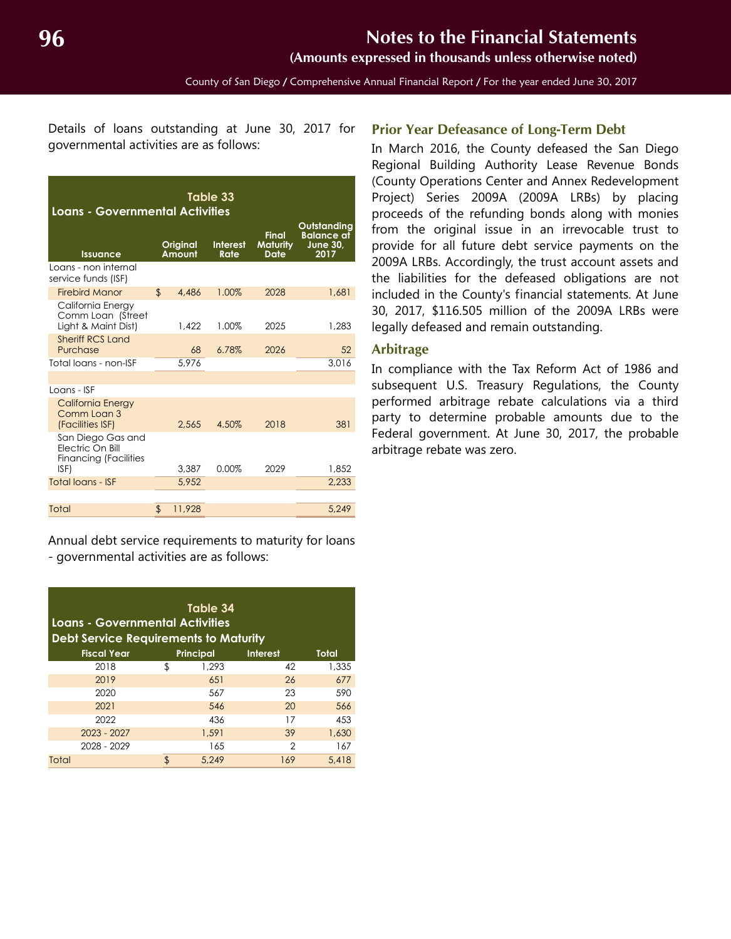**(Amounts expressed in thousands unless otherwise noted)**

County of San Diego / Comprehensive Annual Financial Report / For the year ended June 30, 2017

<span id="page-35-0"></span>Details of loans outstanding at June 30, 2017 for governmental activities are as follows:

| Table 33<br><b>Loans - Governmental Activities</b>                    |                |                    |                         |                                  |                                                             |  |  |
|-----------------------------------------------------------------------|----------------|--------------------|-------------------------|----------------------------------|-------------------------------------------------------------|--|--|
| <b>Issuance</b>                                                       |                | Original<br>Amount | <b>Interest</b><br>Rate | Final<br><b>Maturity</b><br>Date | Outstanding<br><b>Balance at</b><br><b>June 30.</b><br>2017 |  |  |
| Loans - non internal<br>service funds (ISF)                           |                |                    |                         |                                  |                                                             |  |  |
| <b>Firebird Manor</b>                                                 | $\mathbf{r}$   | 4,486              | 1.00%                   | 2028                             | 1,681                                                       |  |  |
| California Energy<br>Comm Loan (Street<br>Light & Maint Dist)         |                | 1.422              | 1.00%                   | 2025                             | 1.283                                                       |  |  |
| <b>Sheriff RCS Land</b><br>Purchase                                   |                | 68                 | 6.78%                   | 2026                             | 52                                                          |  |  |
| Total loans - non-ISF                                                 |                | 5.976              |                         |                                  | 3.016                                                       |  |  |
|                                                                       |                |                    |                         |                                  |                                                             |  |  |
| Loans - ISF                                                           |                |                    |                         |                                  |                                                             |  |  |
| <b>California Energy</b><br>Comm Loan 3<br>(Facilities ISF)           |                | 2.565              | 4.50%                   | 2018                             | 381                                                         |  |  |
| San Diego Gas and<br>Electric On Bill<br><b>Financing (Facilities</b> |                |                    | 0.00%                   | 2029                             |                                                             |  |  |
| ISF)<br><b>Total loans - ISF</b>                                      |                | 3.387              |                         |                                  | 1.852                                                       |  |  |
|                                                                       |                | 5.952              |                         |                                  | 2.233                                                       |  |  |
| Total                                                                 | $\mathfrak{L}$ | 11,928             |                         |                                  | 5,249                                                       |  |  |

Annual debt service requirements to maturity for loans - governmental activities are as follows:

| Table 34<br>Loans - Governmental Activities<br><b>Debt Service Requirements to Maturity</b> |    |                  |                 |              |  |  |  |
|---------------------------------------------------------------------------------------------|----|------------------|-----------------|--------------|--|--|--|
| <b>Fiscal Year</b>                                                                          |    | <b>Principal</b> | <b>Interest</b> | <b>Total</b> |  |  |  |
| 2018                                                                                        | \$ | 1,293            | 42              | 1,335        |  |  |  |
| 2019                                                                                        |    | 651              | 26              | 677          |  |  |  |
| 2020                                                                                        |    | 567              | 23              | 590          |  |  |  |
| 2021                                                                                        |    | 546              | 20              | 566          |  |  |  |
| 2022                                                                                        |    | 436              | 17              | 453          |  |  |  |
| $2023 - 2027$                                                                               |    | 1,591            | 39              | 1,630        |  |  |  |
| 2028 - 2029                                                                                 |    | 165              | 2               | 167          |  |  |  |
| Total                                                                                       | \$ | 5.249            | 169             | 5.418        |  |  |  |

#### **Prior Year Defeasance of Long-Term Debt**

In March 2016, the County defeased the San Diego Regional Building Authority Lease Revenue Bonds (County Operations Center and Annex Redevelopment Project) Series 2009A (2009A LRBs) by placing proceeds of the refunding bonds along with monies from the original issue in an irrevocable trust to provide for all future debt service payments on the 2009A LRBs. Accordingly, the trust account assets and the liabilities for the defeased obligations are not included in the County's financial statements. At June 30, 2017, \$116.505 million of the 2009A LRBs were legally defeased and remain outstanding.

#### **Arbitrage**

In compliance with the Tax Reform Act of 1986 and subsequent U.S. Treasury Regulations, the County performed arbitrage rebate calculations via a third party to determine probable amounts due to the Federal government. At June 30, 2017, the probable arbitrage rebate was zero.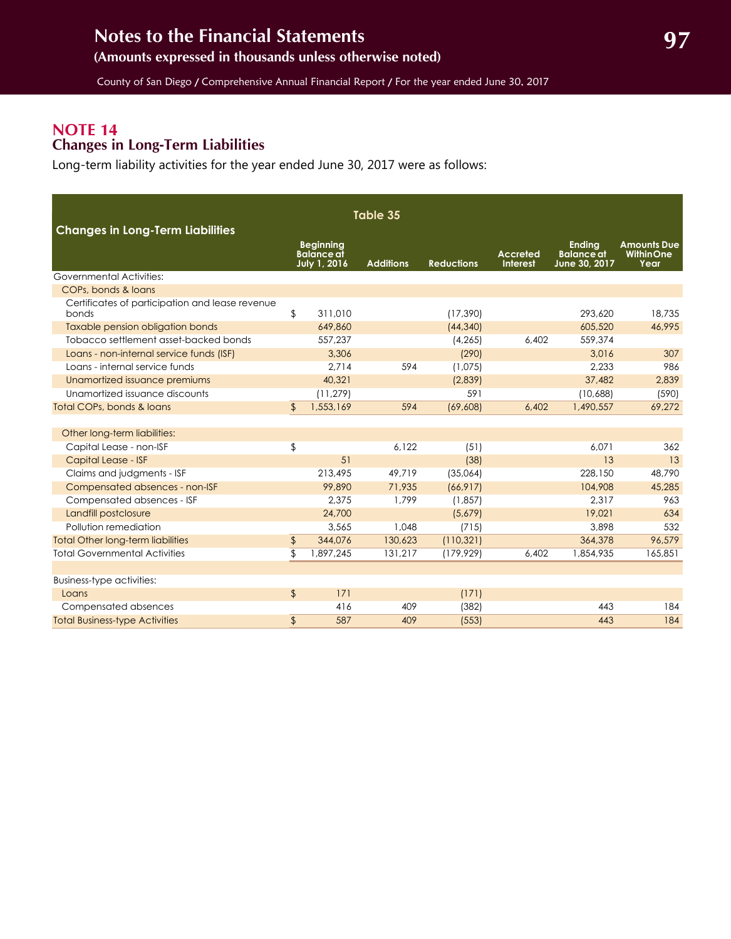### <span id="page-36-1"></span><span id="page-36-0"></span>**NOTE 14 Changes in Long-Term Liabilities**

Long-term liability activities for the year ended June 30, 2017 were as follows:

| Table 35<br><b>Changes in Long-Term Liabilities</b>      |                |                                                       |                  |                   |                                    |                                                     |                                                |
|----------------------------------------------------------|----------------|-------------------------------------------------------|------------------|-------------------|------------------------------------|-----------------------------------------------------|------------------------------------------------|
|                                                          |                | <b>Beginning</b><br><b>Balance</b> at<br>July 1, 2016 | <b>Additions</b> | <b>Reductions</b> | <b>Accreted</b><br><b>Interest</b> | <b>Ending</b><br><b>Balance</b> at<br>June 30, 2017 | <b>Amounts Due</b><br><b>WithinOne</b><br>Year |
| Governmental Activities:                                 |                |                                                       |                  |                   |                                    |                                                     |                                                |
| COPs, bonds & loans                                      |                |                                                       |                  |                   |                                    |                                                     |                                                |
| Certificates of participation and lease revenue<br>bonds | \$             | 311.010                                               |                  | (17, 390)         |                                    | 293.620                                             | 18,735                                         |
| Taxable pension obligation bonds                         |                | 649,860                                               |                  | (44, 340)         |                                    | 605,520                                             | 46,995                                         |
| Tobacco settlement asset-backed bonds                    |                | 557,237                                               |                  | (4, 265)          | 6,402                              | 559,374                                             |                                                |
| Loans - non-internal service funds (ISF)                 |                | 3,306                                                 |                  | (290)             |                                    | 3,016                                               | 307                                            |
| Loans - internal service funds                           |                | 2,714                                                 | 594              | (1,075)           |                                    | 2,233                                               | 986                                            |
| Unamortized issuance premiums                            |                | 40,321                                                |                  | (2,839)           |                                    | 37,482                                              | 2,839                                          |
| Unamortized issuance discounts                           |                | (11, 279)                                             |                  | 591               |                                    | (10,688)                                            | (590)                                          |
| Total COPs, bonds & loans                                | $\mathfrak{L}$ | 1,553,169                                             | 594              | (69, 608)         | 6,402                              | 1,490,557                                           | 69,272                                         |
|                                                          |                |                                                       |                  |                   |                                    |                                                     |                                                |
| Other long-term liabilities:                             |                |                                                       |                  |                   |                                    |                                                     |                                                |
| Capital Lease - non-ISF                                  | \$             |                                                       | 6,122            | (51)              |                                    | 6.071                                               | 362                                            |
| Capital Lease - ISF                                      |                | 51                                                    |                  | (38)              |                                    | 13                                                  | 13                                             |
| Claims and judgments - ISF                               |                | 213,495                                               | 49,719           | (35,064)          |                                    | 228,150                                             | 48,790                                         |
| Compensated absences - non-ISF                           |                | 99,890                                                | 71,935           | (66, 917)         |                                    | 104,908                                             | 45,285                                         |
| Compensated absences - ISF                               |                | 2,375                                                 | 1,799            | (1, 857)          |                                    | 2,317                                               | 963                                            |
| Landfill postclosure                                     |                | 24,700                                                |                  | (5,679)           |                                    | 19,021                                              | 634                                            |
| Pollution remediation                                    |                | 3.565                                                 | 1.048            | (715)             |                                    | 3,898                                               | 532                                            |
| <b>Total Other long-term liabilities</b>                 | \$             | 344,076                                               | 130,623          | (110, 321)        |                                    | 364,378                                             | 96,579                                         |
| <b>Total Governmental Activities</b>                     | \$             | 1,897,245                                             | 131,217          | (179, 929)        | 6,402                              | 1,854,935                                           | 165,851                                        |
|                                                          |                |                                                       |                  |                   |                                    |                                                     |                                                |
| <b>Business-type activities:</b>                         |                |                                                       |                  |                   |                                    |                                                     |                                                |
| Loans                                                    | $\sqrt{2}$     | 171                                                   |                  | (171)             |                                    |                                                     |                                                |
| Compensated absences                                     |                | 416                                                   | 409              | (382)             |                                    | 443                                                 | 184                                            |
| <b>Total Business-type Activities</b>                    | $\frac{1}{2}$  | 587                                                   | 409              | (553)             |                                    | 443                                                 | 184                                            |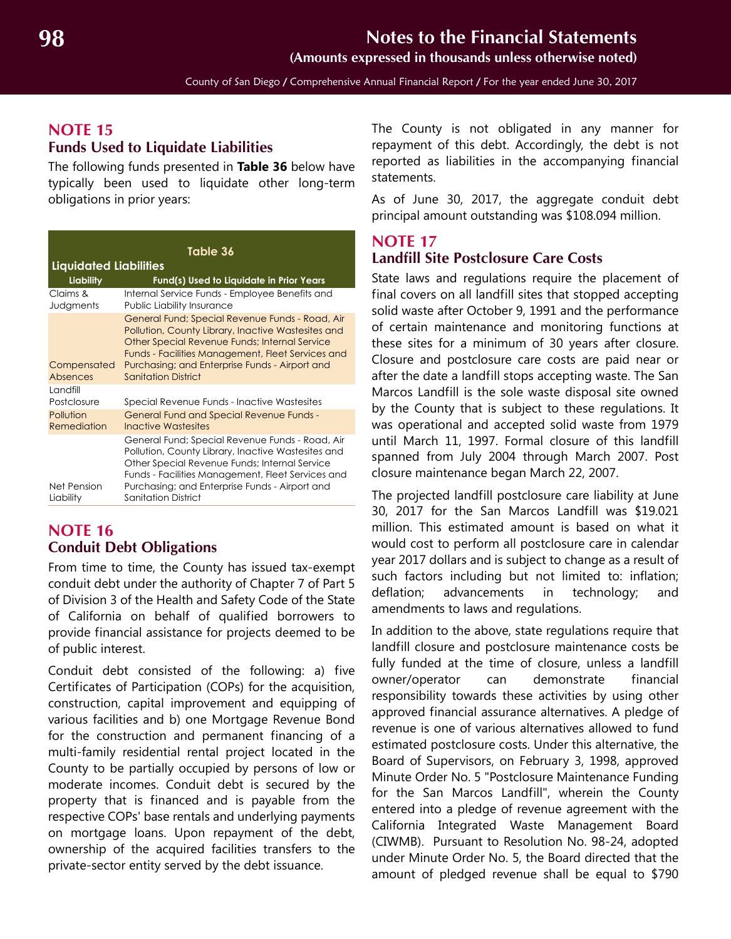## <span id="page-37-1"></span>**NOTE 15 Funds Used to Liquidate Liabilities**

The following funds presented in **Table 36** below have typically been used to liquidate other long-term obligations in prior years:

| Table 36                      |                                                                                                                                                                                                                                                                                             |  |  |  |  |  |
|-------------------------------|---------------------------------------------------------------------------------------------------------------------------------------------------------------------------------------------------------------------------------------------------------------------------------------------|--|--|--|--|--|
| <b>Liquidated Liabilities</b> |                                                                                                                                                                                                                                                                                             |  |  |  |  |  |
| Liability                     | Fund(s) Used to Liquidate in Prior Years                                                                                                                                                                                                                                                    |  |  |  |  |  |
| Claims &<br>Judgments         | Internal Service Funds - Employee Benefits and<br>Public Liability Insurance                                                                                                                                                                                                                |  |  |  |  |  |
| Compensated<br>Absences       | General Fund; Special Revenue Funds - Road, Air<br>Pollution, County Library, Inactive Wastesites and<br>Other Special Revenue Funds; Internal Service<br>Funds - Facilities Management, Fleet Services and<br>Purchasing; and Enterprise Funds - Airport and<br><b>Sanitation District</b> |  |  |  |  |  |
| Landfill<br>Postclosure       | Special Revenue Funds - Inactive Wastesites                                                                                                                                                                                                                                                 |  |  |  |  |  |
| Pollution<br>Remediation      | <b>General Fund and Special Revenue Funds -</b><br>Inactive Wastesites                                                                                                                                                                                                                      |  |  |  |  |  |
| Net Pension<br>Liability      | General Fund; Special Revenue Funds - Road, Air<br>Pollution, County Library, Inactive Wastesites and<br>Other Special Revenue Funds; Internal Service<br>Funds - Facilities Management, Fleet Services and<br>Purchasing; and Enterprise Funds - Airport and<br><b>Sanitation District</b> |  |  |  |  |  |

#### <span id="page-37-0"></span>**NOTE 16 Conduit Debt Obligations**

From time to time, the County has issued tax-exempt conduit debt under the authority of Chapter 7 of Part 5 of Division 3 of the Health and Safety Code of the State of California on behalf of qualified borrowers to provide financial assistance for projects deemed to be of public interest.

Conduit debt consisted of the following: a) five Certificates of Participation (COPs) for the acquisition, construction, capital improvement and equipping of various facilities and b) one Mortgage Revenue Bond for the construction and permanent financing of a multi-family residential rental project located in the County to be partially occupied by persons of low or moderate incomes. Conduit debt is secured by the property that is financed and is payable from the respective COPs' base rentals and underlying payments on mortgage loans. Upon repayment of the debt, ownership of the acquired facilities transfers to the private-sector entity served by the debt issuance.

The County is not obligated in any manner for repayment of this debt. Accordingly, the debt is not reported as liabilities in the accompanying financial statements.

As of June 30, 2017, the aggregate conduit debt principal amount outstanding was \$108.094 million.

## **NOTE 17 Landfill Site Postclosure Care Costs**

State laws and regulations require the placement of final covers on all landfill sites that stopped accepting solid waste after October 9, 1991 and the performance of certain maintenance and monitoring functions at these sites for a minimum of 30 years after closure. Closure and postclosure care costs are paid near or after the date a landfill stops accepting waste. The San Marcos Landfill is the sole waste disposal site owned by the County that is subject to these regulations. It was operational and accepted solid waste from 1979 until March 11, 1997. Formal closure of this landfill spanned from July 2004 through March 2007. Post closure maintenance began March 22, 2007.

The projected landfill postclosure care liability at June 30, 2017 for the San Marcos Landfill was \$19.021 million. This estimated amount is based on what it would cost to perform all postclosure care in calendar year 2017 dollars and is subject to change as a result of such factors including but not limited to: inflation; deflation; advancements in technology; and amendments to laws and regulations.

In addition to the above, state regulations require that landfill closure and postclosure maintenance costs be fully funded at the time of closure, unless a landfill owner/operator can demonstrate financial responsibility towards these activities by using other approved financial assurance alternatives. A pledge of revenue is one of various alternatives allowed to fund estimated postclosure costs. Under this alternative, the Board of Supervisors, on February 3, 1998, approved Minute Order No. 5 "Postclosure Maintenance Funding for the San Marcos Landfill", wherein the County entered into a pledge of revenue agreement with the California Integrated Waste Management Board (CIWMB). Pursuant to Resolution No. 98-24, adopted under Minute Order No. 5, the Board directed that the amount of pledged revenue shall be equal to \$790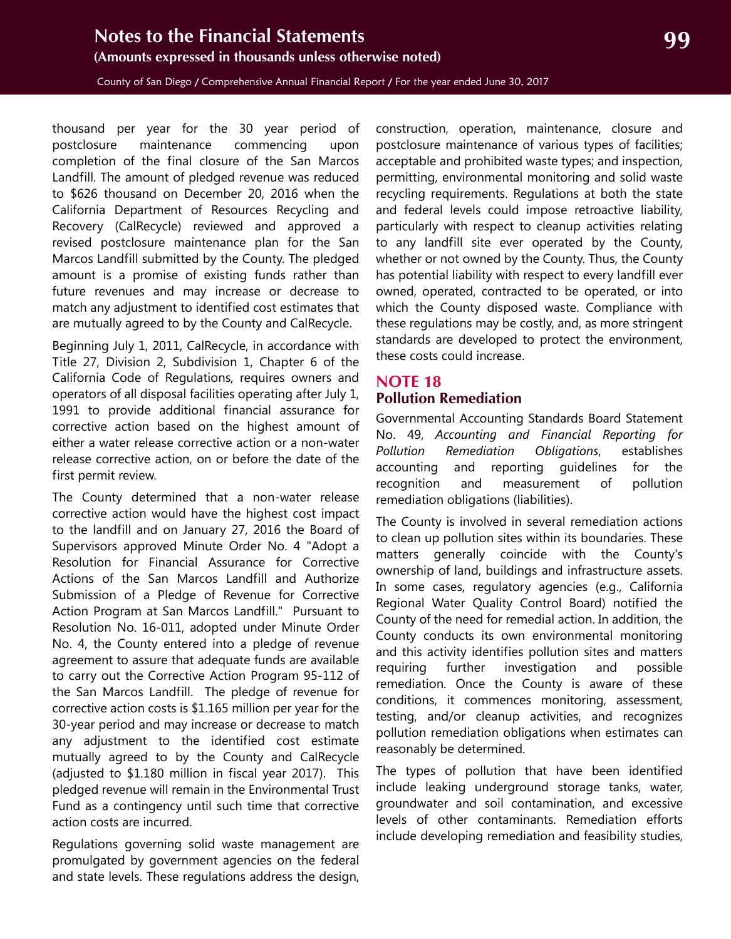<span id="page-38-1"></span>County of San Diego / Comprehensive Annual Financial Report / For the year ended June 30, 2017

thousand per year for the 30 year period of postclosure maintenance commencing upon completion of the final closure of the San Marcos Landfill. The amount of pledged revenue was reduced to \$626 thousand on December 20, 2016 when the California Department of Resources Recycling and Recovery (CalRecycle) reviewed and approved a revised postclosure maintenance plan for the San Marcos Landfill submitted by the County. The pledged amount is a promise of existing funds rather than future revenues and may increase or decrease to match any adjustment to identified cost estimates that are mutually agreed to by the County and CalRecycle.

Beginning July 1, 2011, CalRecycle, in accordance with Title 27, Division 2, Subdivision 1, Chapter 6 of the California Code of Regulations, requires owners and operators of all disposal facilities operating after July 1, 1991 to provide additional financial assurance for corrective action based on the highest amount of either a water release corrective action or a non-water release corrective action, on or before the date of the first permit review.

The County determined that a non-water release corrective action would have the highest cost impact to the landfill and on January 27, 2016 the Board of Supervisors approved Minute Order No. 4 "Adopt a Resolution for Financial Assurance for Corrective Actions of the San Marcos Landfill and Authorize Submission of a Pledge of Revenue for Corrective Action Program at San Marcos Landfill." Pursuant to Resolution No. 16-011, adopted under Minute Order No. 4, the County entered into a pledge of revenue agreement to assure that adequate funds are available to carry out the Corrective Action Program 95-112 of the San Marcos Landfill. The pledge of revenue for corrective action costs is \$1.165 million per year for the 30-year period and may increase or decrease to match any adjustment to the identified cost estimate mutually agreed to by the County and CalRecycle (adjusted to \$1.180 million in fiscal year 2017). This pledged revenue will remain in the Environmental Trust Fund as a contingency until such time that corrective action costs are incurred.

Regulations governing solid waste management are promulgated by government agencies on the federal and state levels. These regulations address the design,

construction, operation, maintenance, closure and postclosure maintenance of various types of facilities; acceptable and prohibited waste types; and inspection, permitting, environmental monitoring and solid waste recycling requirements. Regulations at both the state and federal levels could impose retroactive liability, particularly with respect to cleanup activities relating to any landfill site ever operated by the County, whether or not owned by the County. Thus, the County has potential liability with respect to every landfill ever owned, operated, contracted to be operated, or into which the County disposed waste. Compliance with these regulations may be costly, and, as more stringent standards are developed to protect the environment, these costs could increase.

## <span id="page-38-0"></span>**NOTE 18 Pollution Remediation**

Governmental Accounting Standards Board Statement No. 49, *Accounting and Financial Reporting for Pollution Remediation Obligations*, establishes accounting and reporting guidelines for the recognition and measurement of pollution remediation obligations (liabilities).

The County is involved in several remediation actions to clean up pollution sites within its boundaries. These matters generally coincide with the County's ownership of land, buildings and infrastructure assets. In some cases, regulatory agencies (e.g., California Regional Water Quality Control Board) notified the County of the need for remedial action. In addition, the County conducts its own environmental monitoring and this activity identifies pollution sites and matters requiring further investigation and possible remediation. Once the County is aware of these conditions, it commences monitoring, assessment, testing, and/or cleanup activities, and recognizes pollution remediation obligations when estimates can reasonably be determined.

The types of pollution that have been identified include leaking underground storage tanks, water, groundwater and soil contamination, and excessive levels of other contaminants. Remediation efforts include developing remediation and feasibility studies,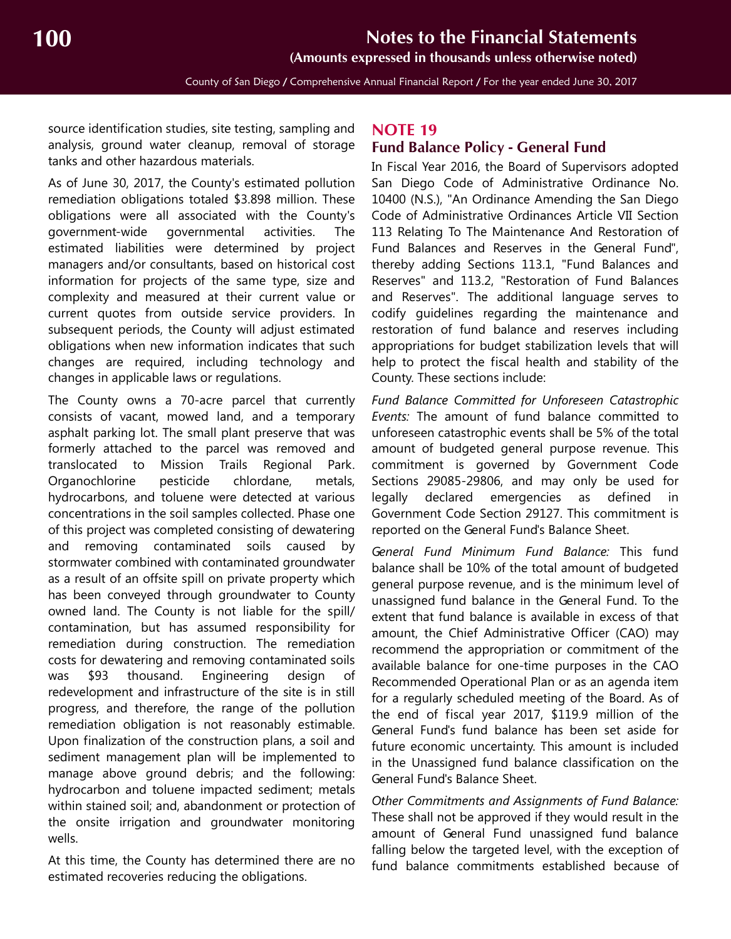**(Amounts expressed in thousands unless otherwise noted)**

County of San Diego / Comprehensive Annual Financial Report / For the year ended June 30, 2017

source identification studies, site testing, sampling and analysis, ground water cleanup, removal of storage tanks and other hazardous materials.

As of June 30, 2017, the County's estimated pollution remediation obligations totaled \$3.898 million. These obligations were all associated with the County's government-wide governmental activities. The estimated liabilities were determined by project managers and/or consultants, based on historical cost information for projects of the same type, size and complexity and measured at their current value or current quotes from outside service providers. In subsequent periods, the County will adjust estimated obligations when new information indicates that such changes are required, including technology and changes in applicable laws or regulations.

The County owns a 70-acre parcel that currently consists of vacant, mowed land, and a temporary asphalt parking lot. The small plant preserve that was formerly attached to the parcel was removed and translocated to Mission Trails Regional Park. Organochlorine pesticide chlordane, metals, hydrocarbons, and toluene were detected at various concentrations in the soil samples collected. Phase one of this project was completed consisting of dewatering and removing contaminated soils caused by stormwater combined with contaminated groundwater as a result of an offsite spill on private property which has been conveyed through groundwater to County owned land. The County is not liable for the spill/ contamination, but has assumed responsibility for remediation during construction. The remediation costs for dewatering and removing contaminated soils was \$93 thousand. Engineering design of redevelopment and infrastructure of the site is in still progress, and therefore, the range of the pollution remediation obligation is not reasonably estimable. Upon finalization of the construction plans, a soil and sediment management plan will be implemented to manage above ground debris; and the following: hydrocarbon and toluene impacted sediment; metals within stained soil; and, abandonment or protection of the onsite irrigation and groundwater monitoring wells.

At this time, the County has determined there are no estimated recoveries reducing the obligations.

## <span id="page-39-0"></span>**NOTE 19**

#### <span id="page-39-1"></span>**Fund Balance Policy - General Fund**

In Fiscal Year 2016, the Board of Supervisors adopted San Diego Code of Administrative Ordinance No. 10400 (N.S.), "An Ordinance Amending the San Diego Code of Administrative Ordinances Article VII Section 113 Relating To The Maintenance And Restoration of Fund Balances and Reserves in the General Fund", thereby adding Sections 113.1, "Fund Balances and Reserves" and 113.2, "Restoration of Fund Balances and Reserves". The additional language serves to codify guidelines regarding the maintenance and restoration of fund balance and reserves including appropriations for budget stabilization levels that will help to protect the fiscal health and stability of the County. These sections include:

*Fund Balance Committed for Unforeseen Catastrophic Events:* The amount of fund balance committed to unforeseen catastrophic events shall be 5% of the total amount of budgeted general purpose revenue. This commitment is governed by Government Code Sections 29085-29806, and may only be used for legally declared emergencies as defined in Government Code Section 29127. This commitment is reported on the General Fund's Balance Sheet.

*General Fund Minimum Fund Balance:* This fund balance shall be 10% of the total amount of budgeted general purpose revenue, and is the minimum level of unassigned fund balance in the General Fund. To the extent that fund balance is available in excess of that amount, the Chief Administrative Officer (CAO) may recommend the appropriation or commitment of the available balance for one-time purposes in the CAO Recommended Operational Plan or as an agenda item for a regularly scheduled meeting of the Board. As of the end of fiscal year 2017, \$119.9 million of the General Fund's fund balance has been set aside for future economic uncertainty. This amount is included in the Unassigned fund balance classification on the General Fund's Balance Sheet.

*Other Commitments and Assignments of Fund Balance:* These shall not be approved if they would result in the amount of General Fund unassigned fund balance falling below the targeted level, with the exception of fund balance commitments established because of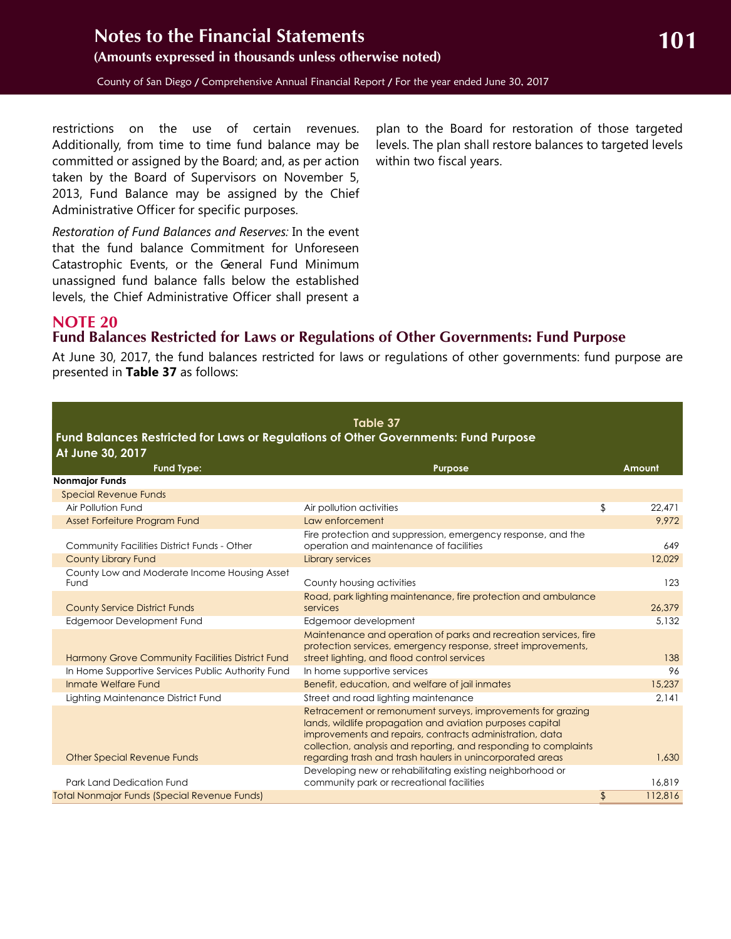<span id="page-40-1"></span>restrictions on the use of certain revenues. Additionally, from time to time fund balance may be committed or assigned by the Board; and, as per action taken by the Board of Supervisors on November 5, 2013, Fund Balance may be assigned by the Chief Administrative Officer for specific purposes.

*Restoration of Fund Balances and Reserves:* In the event that the fund balance Commitment for Unforeseen Catastrophic Events, or the General Fund Minimum unassigned fund balance falls below the established levels, the Chief Administrative Officer shall present a

plan to the Board for restoration of those targeted levels. The plan shall restore balances to targeted levels within two fiscal years.

## <span id="page-40-0"></span>**NOTE 20 Fund Balances Restricted for Laws or Regulations of Other Governments: Fund Purpose**

At June 30, 2017, the fund balances restricted for laws or regulations of other governments: fund purpose are presented in **Table 37** as follows:

|                                                                                     | Table 37                                                                                                                     |               |
|-------------------------------------------------------------------------------------|------------------------------------------------------------------------------------------------------------------------------|---------------|
| Fund Balances Restricted for Laws or Regulations of Other Governments: Fund Purpose |                                                                                                                              |               |
| At June 30, 2017                                                                    |                                                                                                                              |               |
| <b>Fund Type:</b>                                                                   | <b>Purpose</b>                                                                                                               | Amount        |
| <b>Nonmajor Funds</b><br><b>Special Revenue Funds</b>                               |                                                                                                                              |               |
| Air Pollution Fund                                                                  | Air pollution activities                                                                                                     | \$<br>22,471  |
| Asset Forfeiture Program Fund                                                       | Law enforcement                                                                                                              | 9.972         |
|                                                                                     | Fire protection and suppression, emergency response, and the                                                                 |               |
| Community Facilities District Funds - Other                                         | operation and maintenance of facilities                                                                                      | 649           |
| <b>County Library Fund</b>                                                          | Library services                                                                                                             | 12,029        |
| County Low and Moderate Income Housing Asset                                        |                                                                                                                              |               |
| Fund                                                                                | County housing activities                                                                                                    | 123           |
|                                                                                     | Road, park lighting maintenance, fire protection and ambulance                                                               |               |
| <b>County Service District Funds</b>                                                | services                                                                                                                     | 26,379        |
| Edgemoor Development Fund                                                           | Edgemoor development                                                                                                         | 5,132         |
|                                                                                     | Maintenance and operation of parks and recreation services, fire                                                             |               |
|                                                                                     | protection services, emergency response, street improvements,                                                                |               |
| Harmony Grove Community Facilities District Fund                                    | street lighting, and flood control services                                                                                  | 138           |
| In Home Supportive Services Public Authority Fund                                   | In home supportive services                                                                                                  | 96            |
| Inmate Welfare Fund                                                                 | Benefit, education, and welfare of jail inmates                                                                              | 15,237        |
| Lighting Maintenance District Fund                                                  | Street and road lighting maintenance                                                                                         | 2,141         |
|                                                                                     | Retracement or remonument surveys, improvements for grazing                                                                  |               |
|                                                                                     | lands, wildlife propagation and aviation purposes capital                                                                    |               |
|                                                                                     | improvements and repairs, contracts administration, data<br>collection, analysis and reporting, and responding to complaints |               |
| <b>Other Special Revenue Funds</b>                                                  | regarding trash and trash haulers in unincorporated areas                                                                    | 1.630         |
|                                                                                     | Developing new or rehabilitating existing neighborhood or                                                                    |               |
| Park Land Dedication Fund                                                           | community park or recreational facilities                                                                                    | 16.819        |
| <b>Total Nonmajor Funds (Special Revenue Funds)</b>                                 |                                                                                                                              | \$<br>112,816 |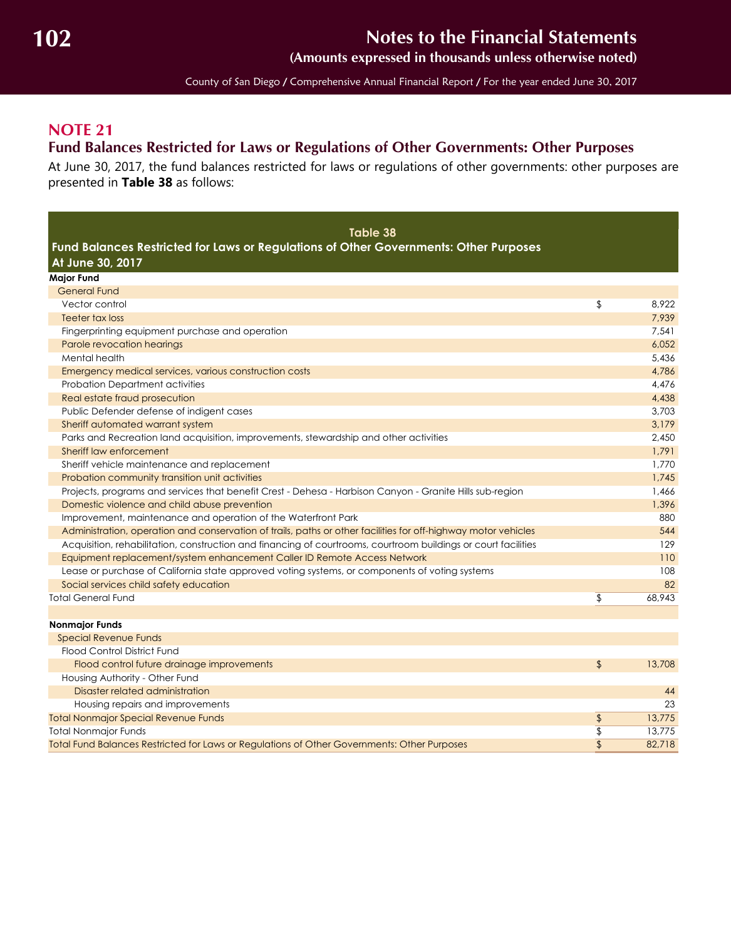**(Amounts expressed in thousands unless otherwise noted)**

County of San Diego / Comprehensive Annual Financial Report / For the year ended June 30, 2017

## <span id="page-41-1"></span><span id="page-41-0"></span>**NOTE 21 Fund Balances Restricted for Laws or Regulations of Other Governments: Other Purposes**

At June 30, 2017, the fund balances restricted for laws or regulations of other governments: other purposes are presented in **Table 38** as follows:

| Table 38<br>Fund Balances Restricted for Laws or Regulations of Other Governments: Other Purposes              |                           |        |
|----------------------------------------------------------------------------------------------------------------|---------------------------|--------|
| At June 30, 2017                                                                                               |                           |        |
| <b>Major Fund</b>                                                                                              |                           |        |
| <b>General Fund</b>                                                                                            |                           |        |
| Vector control                                                                                                 | \$                        | 8.922  |
| Teeter tax loss                                                                                                |                           | 7,939  |
| Fingerprinting equipment purchase and operation                                                                |                           | 7,541  |
| Parole revocation hearings                                                                                     |                           | 6,052  |
| Mental health                                                                                                  |                           | 5.436  |
| Emergency medical services, various construction costs                                                         |                           | 4.786  |
| <b>Probation Department activities</b>                                                                         |                           | 4,476  |
| Real estate fraud prosecution                                                                                  |                           | 4,438  |
| Public Defender defense of indigent cases                                                                      |                           | 3,703  |
| Sheriff automated warrant system                                                                               |                           | 3,179  |
| Parks and Recreation land acquisition, improvements, stewardship and other activities                          |                           | 2.450  |
| Sheriff law enforcement                                                                                        |                           | 1.791  |
| Sheriff vehicle maintenance and replacement                                                                    |                           | 1,770  |
| Probation community transition unit activities                                                                 |                           | 1.745  |
| Projects, programs and services that benefit Crest - Dehesa - Harbison Canyon - Granite Hills sub-region       |                           | 1,466  |
| Domestic violence and child abuse prevention                                                                   |                           | 1.396  |
| Improvement, maintenance and operation of the Waterfront Park                                                  |                           | 880    |
| Administration, operation and conservation of trails, paths or other facilities for off-highway motor vehicles |                           | 544    |
| Acquisition, rehabilitation, construction and financing of courtrooms, courtroom buildings or court facilities |                           | 129    |
| Equipment replacement/system enhancement Caller ID Remote Access Network                                       |                           | 110    |
| Lease or purchase of California state approved voting systems, or components of voting systems                 |                           | 108    |
| Social services child safety education                                                                         |                           | 82     |
| <b>Total General Fund</b>                                                                                      | \$                        | 68.943 |
|                                                                                                                |                           |        |
| <b>Nonmajor Funds</b>                                                                                          |                           |        |
| <b>Special Revenue Funds</b>                                                                                   |                           |        |
| Flood Control District Fund                                                                                    |                           |        |
| Flood control future drainage improvements                                                                     | $\sqrt{2}$                | 13,708 |
| Housing Authority - Other Fund                                                                                 |                           |        |
| Disaster related administration                                                                                |                           | 44     |
| Housing repairs and improvements                                                                               |                           | 23     |
| <b>Total Nonmajor Special Revenue Funds</b>                                                                    | \$                        | 13,775 |
| <b>Total Nonmajor Funds</b>                                                                                    | $\overline{\mathfrak{s}}$ | 13,775 |
| Total Fund Balances Restricted for Laws or Regulations of Other Governments: Other Purposes                    | $\overline{\mathcal{L}}$  | 82.718 |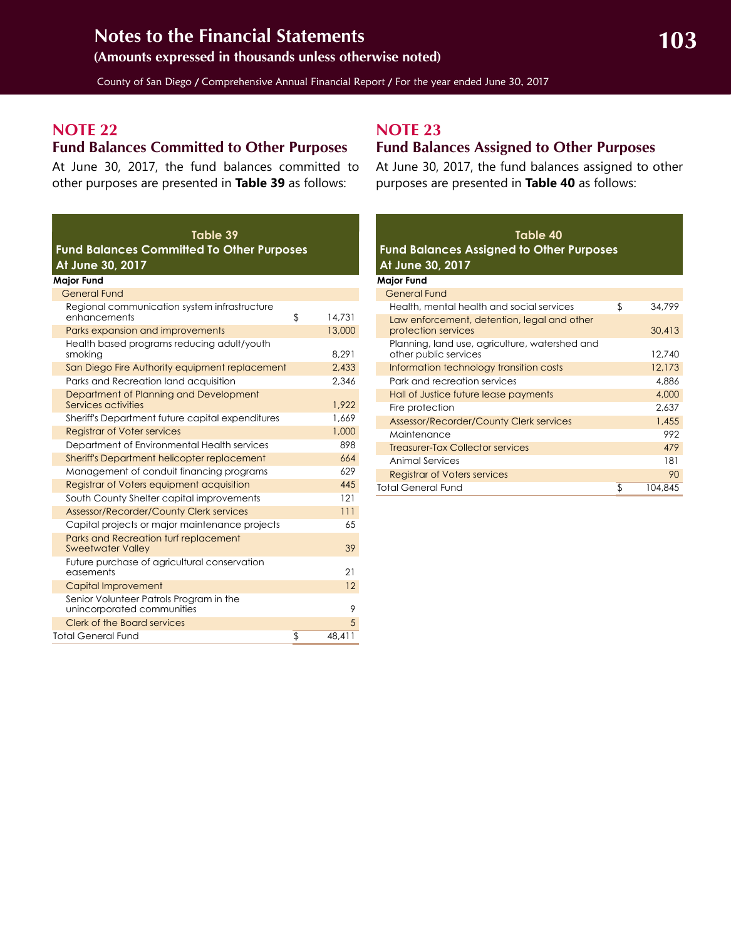<span id="page-42-2"></span>County of San Diego / Comprehensive Annual Financial Report / For the year ended June 30, 2017

## **NOTE 22**

### <span id="page-42-1"></span>**Fund Balances Committed to Other Purposes**

At June 30, 2017, the fund balances committed to other purposes are presented in **Table 39** as follows:

#### **Table 39 Fund Balances Committed To Other Purposes At June 30, 2017**

| <b>Major Fund</b>                                                     |              |
|-----------------------------------------------------------------------|--------------|
| <b>General Fund</b>                                                   |              |
| Regional communication system infrastructure<br>enhancements          | \$<br>14,731 |
| Parks expansion and improvements                                      | 13,000       |
| Health based programs reducing adult/youth<br>smokina                 | 8.291        |
| San Diego Fire Authority equipment replacement                        | 2,433        |
| Parks and Recreation land acquisition                                 | 2.346        |
| Department of Planning and Development<br>Services activities         | 1,922        |
| Sheriff's Department future capital expenditures                      | 1.669        |
| <b>Registrar of Voter services</b>                                    | 1,000        |
| Department of Environmental Health services                           | 898          |
| Sheriff's Department helicopter replacement                           | 664          |
| Management of conduit financing programs                              | 629          |
| Registrar of Voters equipment acquisition                             | 445          |
| South County Shelter capital improvements                             | 121          |
| <b>Assessor/Recorder/County Clerk services</b>                        | 111          |
| Capital projects or major maintenance projects                        | 65           |
| Parks and Recreation turf replacement<br><b>Sweetwater Valley</b>     | 39           |
| Future purchase of agricultural conservation<br>easements             | 21           |
| Capital Improvement                                                   | 12           |
| Senior Volunteer Patrols Program in the<br>unincorporated communities | 9            |
| <b>Clerk of the Board services</b>                                    | 5            |
| <b>Total General Fund</b>                                             | \$<br>48.411 |

## **NOTE 23**

## <span id="page-42-0"></span>**Fund Balances Assigned to Other Purposes**

At June 30, 2017, the fund balances assigned to other purposes are presented in **Table 40** as follows:

| Table 40<br><b>Fund Balances Assigned to Other Purposes</b><br>At June 30, 2017 |               |
|---------------------------------------------------------------------------------|---------------|
| <b>Major Fund</b>                                                               |               |
| <b>General Fund</b>                                                             |               |
| Health, mental health and social services                                       | \$<br>34,799  |
| Law enforcement, detention, legal and other<br>protection services              | 30,413        |
| Planning, land use, agriculture, watershed and<br>other public services         | 12,740        |
| Information technology transition costs                                         | 12,173        |
| Park and recreation services                                                    | 4,886         |
| Hall of Justice future lease payments                                           | 4,000         |
| Fire protection                                                                 | 2,637         |
| Assessor/Recorder/County Clerk services                                         | 1,455         |
| Maintenance                                                                     | 992           |
| <b>Treasurer-Tax Collector services</b>                                         | 479           |
| Animal Services                                                                 | 181           |
| <b>Registrar of Voters services</b>                                             | 90            |
| Total General Fund                                                              | \$<br>104,845 |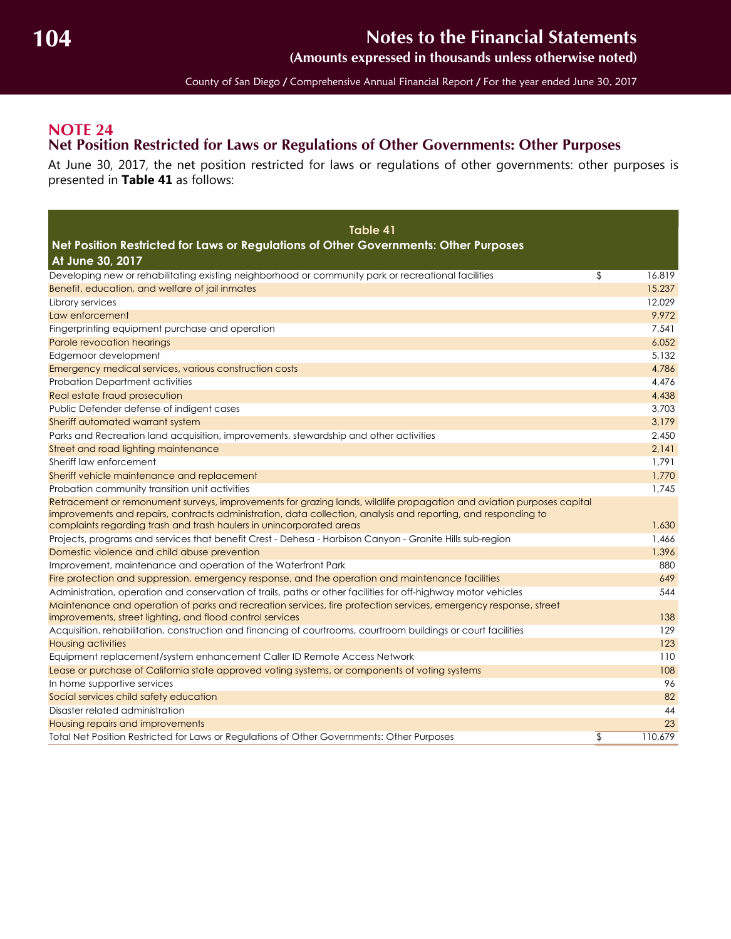**(Amounts expressed in thousands unless otherwise noted)**

County of San Diego / Comprehensive Annual Financial Report / For the year ended June 30, 2017

### <span id="page-43-2"></span><span id="page-43-1"></span><span id="page-43-0"></span>**NOTE 24 Net Position Restricted for Laws or Regulations of Other Governments: Other Purposes**

At June 30, 2017, the net position restricted for laws or regulations of other governments: other purposes is presented in **Table 41** as follows:

| Table 41<br>Net Position Restricted for Laws or Regulations of Other Governments: Other Purposes<br>At June 30, 2017                                                                                                                                                                                            |               |
|-----------------------------------------------------------------------------------------------------------------------------------------------------------------------------------------------------------------------------------------------------------------------------------------------------------------|---------------|
| Developing new or rehabilitating existing neighborhood or community park or recreational facilities                                                                                                                                                                                                             | \$<br>16,819  |
| Benefit, education, and welfare of jail inmates                                                                                                                                                                                                                                                                 | 15,237        |
| Library services                                                                                                                                                                                                                                                                                                | 12,029        |
| Law enforcement                                                                                                                                                                                                                                                                                                 | 9.972         |
| Fingerprinting equipment purchase and operation                                                                                                                                                                                                                                                                 | 7,541         |
| Parole revocation hearings                                                                                                                                                                                                                                                                                      | 6,052         |
| Edgemoor development                                                                                                                                                                                                                                                                                            | 5.132         |
| Emergency medical services, various construction costs                                                                                                                                                                                                                                                          | 4,786         |
| Probation Department activities                                                                                                                                                                                                                                                                                 | 4,476         |
| Real estate fraud prosecution                                                                                                                                                                                                                                                                                   | 4,438         |
| Public Defender defense of indigent cases                                                                                                                                                                                                                                                                       | 3,703         |
| Sheriff automated warrant system                                                                                                                                                                                                                                                                                | 3,179         |
| Parks and Recreation land acquisition, improvements, stewardship and other activities                                                                                                                                                                                                                           | 2,450         |
| Street and road lighting maintenance                                                                                                                                                                                                                                                                            | 2,141         |
| Sheriff law enforcement                                                                                                                                                                                                                                                                                         | 1,791         |
| Sheriff vehicle maintenance and replacement                                                                                                                                                                                                                                                                     | 1,770         |
| Probation community transition unit activities                                                                                                                                                                                                                                                                  | 1.745         |
| Retracement or remonument surveys, improvements for grazing lands, wildlife propagation and aviation purposes capital<br>improvements and repairs, contracts administration, data collection, analysis and reporting, and responding to<br>complaints regarding trash and trash haulers in unincorporated areas | 1,630         |
| Projects, programs and services that benefit Crest - Dehesa - Harbison Canyon - Granite Hills sub-region                                                                                                                                                                                                        | 1,466         |
| Domestic violence and child abuse prevention                                                                                                                                                                                                                                                                    | 1,396         |
| Improvement, maintenance and operation of the Waterfront Park                                                                                                                                                                                                                                                   | 880           |
| Fire protection and suppression, emergency response, and the operation and maintenance facilities                                                                                                                                                                                                               | 649           |
| Administration, operation and conservation of trails, paths or other facilities for off-highway motor vehicles                                                                                                                                                                                                  | 544           |
| Maintenance and operation of parks and recreation services, fire protection services, emergency response, street<br>improvements, street lighting, and flood control services                                                                                                                                   | 138           |
| Acquisition, rehabilitation, construction and financing of courtrooms, courtroom buildings or court facilities                                                                                                                                                                                                  | 129           |
| <b>Housing activities</b>                                                                                                                                                                                                                                                                                       | 123           |
| Equipment replacement/system enhancement Caller ID Remote Access Network                                                                                                                                                                                                                                        | 110           |
| Lease or purchase of California state approved voting systems, or components of voting systems                                                                                                                                                                                                                  | 108           |
| In home supportive services                                                                                                                                                                                                                                                                                     | 96            |
| Social services child safety education                                                                                                                                                                                                                                                                          | 82            |
| Disaster related administration                                                                                                                                                                                                                                                                                 | 44            |
| Housing repairs and improvements                                                                                                                                                                                                                                                                                | 23            |
| Total Net Position Restricted for Laws or Regulations of Other Governments: Other Purposes                                                                                                                                                                                                                      | \$<br>110.679 |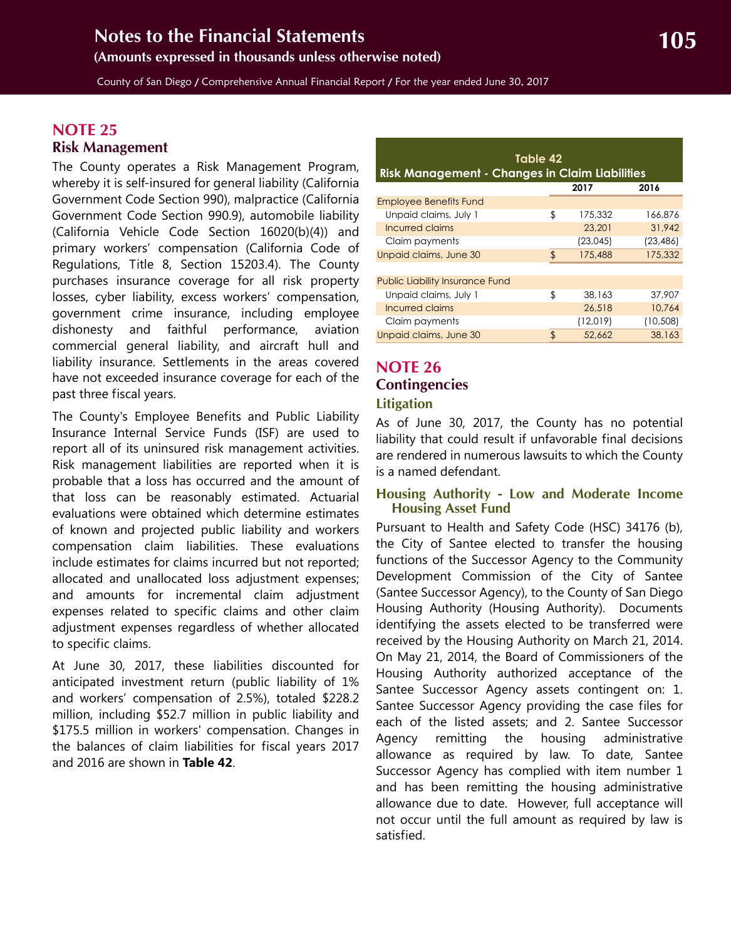<span id="page-44-3"></span>County of San Diego / Comprehensive Annual Financial Report / For the year ended June 30, 2017

### <span id="page-44-0"></span>**NOTE 25 Risk Management**

The County operates a Risk Management Program, whereby it is self-insured for general liability (California Government Code Section 990), malpractice (California Government Code Section 990.9), automobile liability (California Vehicle Code Section 16020(b)(4)) and primary workers' compensation (California Code of Regulations, Title 8, Section 15203.4). The County purchases insurance coverage for all risk property losses, cyber liability, excess workers' compensation, government crime insurance, including employee dishonesty and faithful performance, aviation commercial general liability, and aircraft hull and liability insurance. Settlements in the areas covered have not exceeded insurance coverage for each of the past three fiscal years.

The County's Employee Benefits and Public Liability Insurance Internal Service Funds (ISF) are used to report all of its uninsured risk management activities. Risk management liabilities are reported when it is probable that a loss has occurred and the amount of that loss can be reasonably estimated. Actuarial evaluations were obtained which determine estimates of known and projected public liability and workers compensation claim liabilities. These evaluations include estimates for claims incurred but not reported; allocated and unallocated loss adjustment expenses; and amounts for incremental claim adjustment expenses related to specific claims and other claim adjustment expenses regardless of whether allocated to specific claims.

At June 30, 2017, these liabilities discounted for anticipated investment return (public liability of 1% and workers' compensation of 2.5%), totaled \$228.2 million, including \$52.7 million in public liability and \$175.5 million in workers' compensation. Changes in the balances of claim liabilities for fiscal years 2017 and 2016 are shown in **Table 42**.

| Table 42<br><b>Risk Management - Changes in Claim Liabilities</b> |              |           |           |  |  |  |  |
|-------------------------------------------------------------------|--------------|-----------|-----------|--|--|--|--|
|                                                                   |              | 2017      | 2016      |  |  |  |  |
| <b>Employee Benefits Fund</b>                                     |              |           |           |  |  |  |  |
| Unpaid claims, July 1                                             | \$           | 175,332   | 166.876   |  |  |  |  |
| Incurred claims                                                   |              | 23,201    | 31,942    |  |  |  |  |
| Claim payments                                                    |              | (23, 045) | (23, 486) |  |  |  |  |
| Unpaid claims, June 30                                            | $\mathbf{f}$ | 175,488   | 175,332   |  |  |  |  |
|                                                                   |              |           |           |  |  |  |  |
| <b>Public Liability Insurance Fund</b>                            |              |           |           |  |  |  |  |
| Unpaid claims, July 1                                             | \$           | 38,163    | 37.907    |  |  |  |  |
| Incurred claims                                                   |              | 26,518    | 10.764    |  |  |  |  |
| Claim payments                                                    |              | (12,019)  | (10, 508) |  |  |  |  |
| Unpaid claims, June 30                                            | \$           | 52.662    | 38,163    |  |  |  |  |

## <span id="page-44-1"></span>**NOTE 26 Contingencies**

#### <span id="page-44-2"></span>**Litigation**

As of June 30, 2017, the County has no potential liability that could result if unfavorable final decisions are rendered in numerous lawsuits to which the County is a named defendant.

#### **Housing Authority - Low and Moderate Income Housing Asset Fund**

Pursuant to Health and Safety Code (HSC) 34176 (b), the City of Santee elected to transfer the housing functions of the Successor Agency to the Community Development Commission of the City of Santee (Santee Successor Agency), to the County of San Diego Housing Authority (Housing Authority). Documents identifying the assets elected to be transferred were received by the Housing Authority on March 21, 2014. On May 21, 2014, the Board of Commissioners of the Housing Authority authorized acceptance of the Santee Successor Agency assets contingent on: 1. Santee Successor Agency providing the case files for each of the listed assets; and 2. Santee Successor Agency remitting the housing administrative allowance as required by law. To date, Santee Successor Agency has complied with item number 1 and has been remitting the housing administrative allowance due to date. However, full acceptance will not occur until the full amount as required by law is satisfied.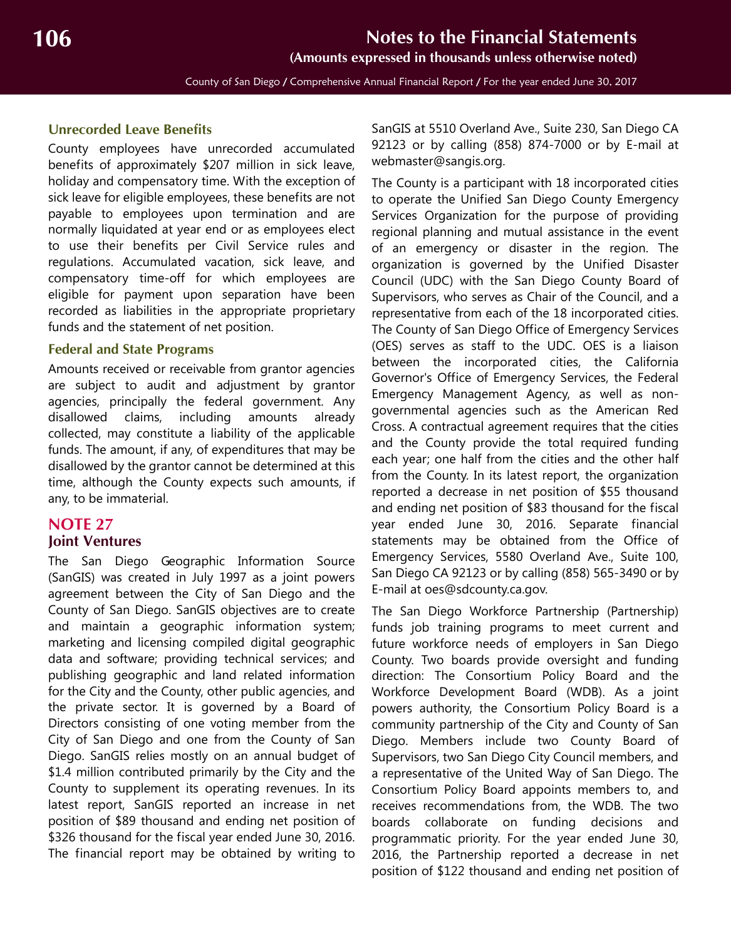#### <span id="page-45-1"></span>**Unrecorded Leave Benefits**

County employees have unrecorded accumulated benefits of approximately \$207 million in sick leave, holiday and compensatory time. With the exception of sick leave for eligible employees, these benefits are not payable to employees upon termination and are normally liquidated at year end or as employees elect to use their benefits per Civil Service rules and regulations. Accumulated vacation, sick leave, and compensatory time-off for which employees are eligible for payment upon separation have been recorded as liabilities in the appropriate proprietary funds and the statement of net position.

#### **Federal and State Programs**

Amounts received or receivable from grantor agencies are subject to audit and adjustment by grantor agencies, principally the federal government. Any disallowed claims, including amounts already collected, may constitute a liability of the applicable funds. The amount, if any, of expenditures that may be disallowed by the grantor cannot be determined at this time, although the County expects such amounts, if any, to be immaterial.

#### <span id="page-45-0"></span>**NOTE 27 Joint Ventures**

The San Diego Geographic Information Source (SanGIS) was created in July 1997 as a joint powers agreement between the City of San Diego and the County of San Diego. SanGIS objectives are to create and maintain a geographic information system; marketing and licensing compiled digital geographic data and software; providing technical services; and publishing geographic and land related information for the City and the County, other public agencies, and the private sector. It is governed by a Board of Directors consisting of one voting member from the City of San Diego and one from the County of San Diego. SanGIS relies mostly on an annual budget of \$1.4 million contributed primarily by the City and the County to supplement its operating revenues. In its latest report, SanGIS reported an increase in net position of \$89 thousand and ending net position of \$326 thousand for the fiscal year ended June 30, 2016. The financial report may be obtained by writing to

SanGIS at 5510 Overland Ave., Suite 230, San Diego CA 92123 or by calling (858) 874-7000 or by E-mail at webmaster@sangis.org.

The County is a participant with 18 incorporated cities to operate the Unified San Diego County Emergency Services Organization for the purpose of providing regional planning and mutual assistance in the event of an emergency or disaster in the region. The organization is governed by the Unified Disaster Council (UDC) with the San Diego County Board of Supervisors, who serves as Chair of the Council, and a representative from each of the 18 incorporated cities. The County of San Diego Office of Emergency Services (OES) serves as staff to the UDC. OES is a liaison between the incorporated cities, the California Governor's Office of Emergency Services, the Federal Emergency Management Agency, as well as nongovernmental agencies such as the American Red Cross. A contractual agreement requires that the cities and the County provide the total required funding each year; one half from the cities and the other half from the County. In its latest report, the organization reported a decrease in net position of \$55 thousand and ending net position of \$83 thousand for the fiscal year ended June 30, 2016. Separate financial statements may be obtained from the Office of Emergency Services, 5580 Overland Ave., Suite 100, San Diego CA 92123 or by calling (858) 565-3490 or by E-mail at oes@sdcounty.ca.gov.

The San Diego Workforce Partnership (Partnership) funds job training programs to meet current and future workforce needs of employers in San Diego County. Two boards provide oversight and funding direction: The Consortium Policy Board and the Workforce Development Board (WDB). As a joint powers authority, the Consortium Policy Board is a community partnership of the City and County of San Diego. Members include two County Board of Supervisors, two San Diego City Council members, and a representative of the United Way of San Diego. The Consortium Policy Board appoints members to, and receives recommendations from, the WDB. The two boards collaborate on funding decisions and programmatic priority. For the year ended June 30, 2016, the Partnership reported a decrease in net position of \$122 thousand and ending net position of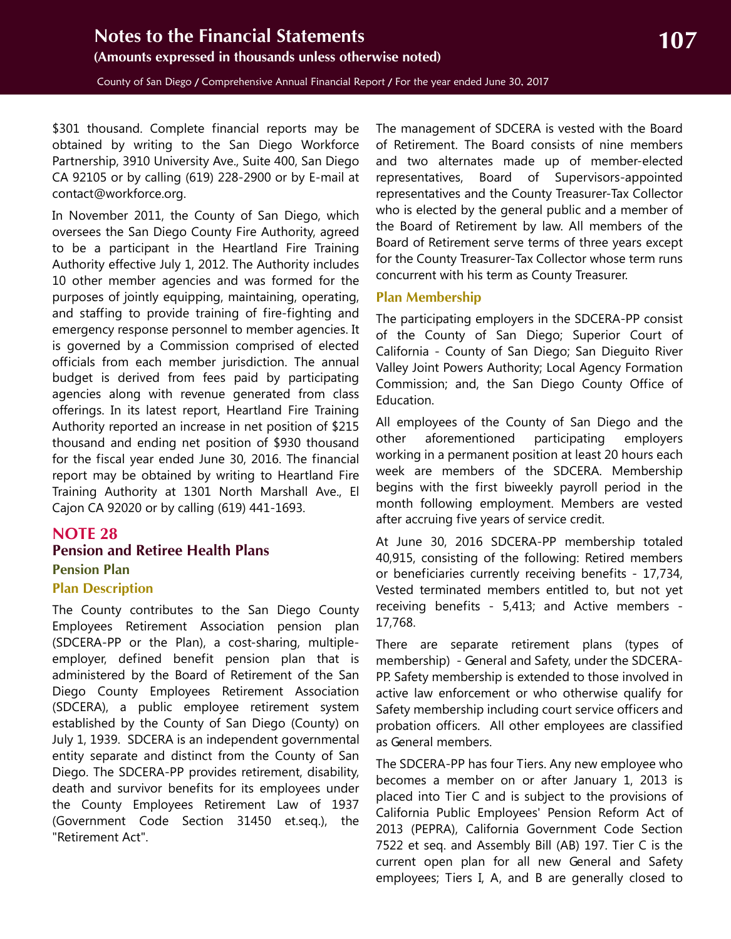<span id="page-46-2"></span>\$301 thousand. Complete financial reports may be obtained by writing to the San Diego Workforce Partnership, 3910 University Ave., Suite 400, San Diego CA 92105 or by calling (619) 228-2900 or by E-mail at contact@workforce.org.

In November 2011, the County of San Diego, which oversees the San Diego County Fire Authority, agreed to be a participant in the Heartland Fire Training Authority effective July 1, 2012. The Authority includes 10 other member agencies and was formed for the purposes of jointly equipping, maintaining, operating, and staffing to provide training of fire-fighting and emergency response personnel to member agencies. It is governed by a Commission comprised of elected officials from each member jurisdiction. The annual budget is derived from fees paid by participating agencies along with revenue generated from class offerings. In its latest report, Heartland Fire Training Authority reported an increase in net position of \$215 thousand and ending net position of \$930 thousand for the fiscal year ended June 30, 2016. The financial report may be obtained by writing to Heartland Fire Training Authority at 1301 North Marshall Ave., El Cajon CA 92020 or by calling (619) 441-1693.

## **NOTE 28**

## <span id="page-46-1"></span><span id="page-46-0"></span>**Pension and Retiree Health Plans Pension Plan Plan Description**

The County contributes to the San Diego County Employees Retirement Association pension plan (SDCERA-PP or the Plan), a cost-sharing, multipleemployer, defined benefit pension plan that is administered by the Board of Retirement of the San Diego County Employees Retirement Association (SDCERA), a public employee retirement system established by the County of San Diego (County) on July 1, 1939. SDCERA is an independent governmental entity separate and distinct from the County of San Diego. The SDCERA-PP provides retirement, disability, death and survivor benefits for its employees under the County Employees Retirement Law of 1937 (Government Code Section 31450 et.seq.), the "Retirement Act".

The management of SDCERA is vested with the Board of Retirement. The Board consists of nine members and two alternates made up of member-elected representatives, Board of Supervisors-appointed representatives and the County Treasurer-Tax Collector who is elected by the general public and a member of the Board of Retirement by law. All members of the Board of Retirement serve terms of three years except for the County Treasurer-Tax Collector whose term runs concurrent with his term as County Treasurer.

#### **Plan Membership**

The participating employers in the SDCERA-PP consist of the County of San Diego; Superior Court of California - County of San Diego; San Dieguito River Valley Joint Powers Authority; Local Agency Formation Commission; and, the San Diego County Office of Education.

All employees of the County of San Diego and the other aforementioned participating employers working in a permanent position at least 20 hours each week are members of the SDCERA. Membership begins with the first biweekly payroll period in the month following employment. Members are vested after accruing five years of service credit.

At June 30, 2016 SDCERA-PP membership totaled 40,915, consisting of the following: Retired members or beneficiaries currently receiving benefits - 17,734, Vested terminated members entitled to, but not yet receiving benefits - 5,413; and Active members - 17,768.

There are separate retirement plans (types of membership) - General and Safety, under the SDCERA-PP. Safety membership is extended to those involved in active law enforcement or who otherwise qualify for Safety membership including court service officers and probation officers. All other employees are classified as General members.

The SDCERA-PP has four Tiers. Any new employee who becomes a member on or after January 1, 2013 is placed into Tier C and is subject to the provisions of California Public Employees' Pension Reform Act of 2013 (PEPRA), California Government Code Section 7522 et seq. and Assembly Bill (AB) 197. Tier C is the current open plan for all new General and Safety employees; Tiers I, A, and B are generally closed to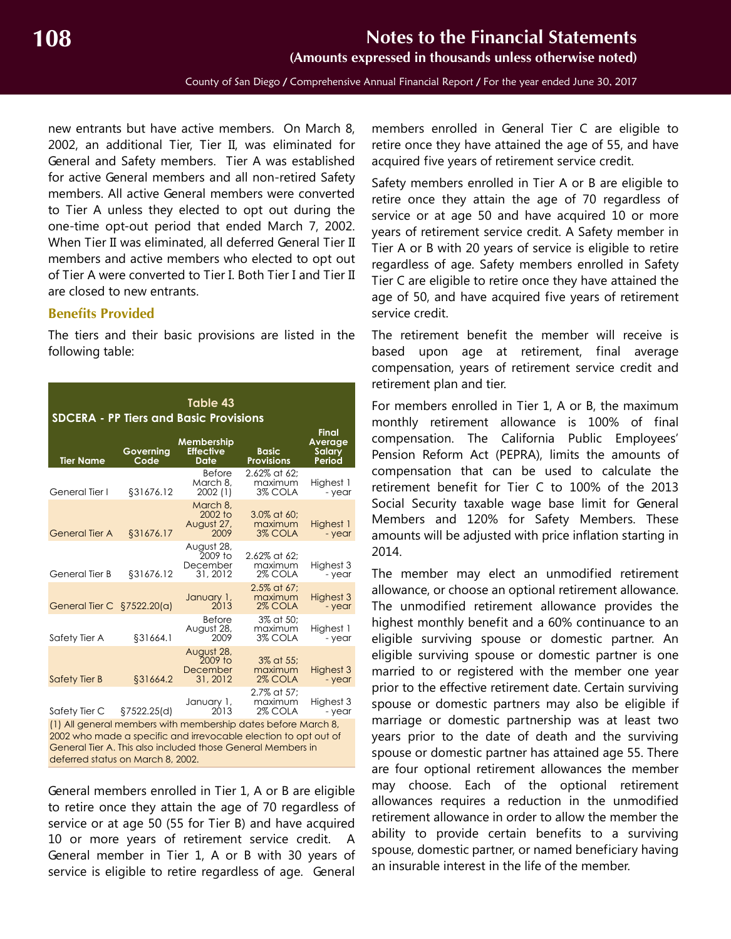**(Amounts expressed in thousands unless otherwise noted)**

County of San Diego / Comprehensive Annual Financial Report / For the year ended June 30, 2017

new entrants but have active members. On March 8, 2002, an additional Tier, Tier II, was eliminated for General and Safety members. Tier A was established for active General members and all non-retired Safety members. All active General members were converted to Tier A unless they elected to opt out during the one-time opt-out period that ended March 7, 2002. When Tier II was eliminated, all deferred General Tier II members and active members who elected to opt out of Tier A were converted to Tier I. Both Tier I and Tier II are closed to new entrants.

#### **Benefits Provided**

The tiers and their basic provisions are listed in the following table:

| Table 43<br><b>SDCERA - PP Tiers and Basic Provisions</b>                                                                                                                                                                            |                   |                                               |                                    |                                             |  |  |  |
|--------------------------------------------------------------------------------------------------------------------------------------------------------------------------------------------------------------------------------------|-------------------|-----------------------------------------------|------------------------------------|---------------------------------------------|--|--|--|
| <b>Tier Name</b>                                                                                                                                                                                                                     | Governing<br>Code | Membership<br><b>Effective</b><br>Date        | <b>Basic</b><br><b>Provisions</b>  | <b>Final</b><br>Average<br>Salary<br>Period |  |  |  |
| General Tier I                                                                                                                                                                                                                       | \$31676.12        | <b>Before</b><br>March 8,<br>2002(1)          | 2.62% at 62:<br>maximum<br>3% COLA | Highest 1<br>- year                         |  |  |  |
| <b>General Tier A</b>                                                                                                                                                                                                                | §31676.17         | March 8.<br>2002 to<br>August 27,<br>2009     | 3.0% at 60;<br>maximum<br>3% COLA  | Highest 1<br>- year                         |  |  |  |
| General Tier B                                                                                                                                                                                                                       | \$31676.12        | August 28,<br>2009 to<br>December<br>31, 2012 | 2.62% at 62:<br>maximum<br>2% COLA | Highest 3<br>- year                         |  |  |  |
| General Tier C §7522.20(a)                                                                                                                                                                                                           |                   | January 1,<br>2013                            | 2.5% at 67:<br>maximum<br>2% COLA  | Highest 3<br>- year                         |  |  |  |
| Safety Tier A                                                                                                                                                                                                                        | §31664.1          | <b>Before</b><br>August 28,<br>2009           | 3% at 50:<br>maximum<br>3% COLA    | Highest 1<br>- year                         |  |  |  |
| <b>Safety Tier B</b>                                                                                                                                                                                                                 | §31664.2          | August 28,<br>2009 to<br>December<br>31, 2012 | 3% at 55:<br>maximum<br>2% COLA    | Highest 3<br>- year                         |  |  |  |
| Safety Tier C                                                                                                                                                                                                                        | §7522.25(d)       | January 1,<br>2013                            | 2.7% at 57:<br>maximum<br>2% COLA  | Highest 3<br>- year                         |  |  |  |
| (1) All general members with membership dates before March 8,<br>2002 who made a specific and irrevocable election to opt out of<br>General Tier A. This also included those General Members in<br>deferred status on March 8, 2002. |                   |                                               |                                    |                                             |  |  |  |

General members enrolled in Tier 1, A or B are eligible to retire once they attain the age of 70 regardless of service or at age 50 (55 for Tier B) and have acquired 10 or more years of retirement service credit. A General member in Tier 1, A or B with 30 years of service is eligible to retire regardless of age. General

members enrolled in General Tier C are eligible to retire once they have attained the age of 55, and have acquired five years of retirement service credit.

Safety members enrolled in Tier A or B are eligible to retire once they attain the age of 70 regardless of service or at age 50 and have acquired 10 or more years of retirement service credit. A Safety member in Tier A or B with 20 years of service is eligible to retire regardless of age. Safety members enrolled in Safety Tier C are eligible to retire once they have attained the age of 50, and have acquired five years of retirement service credit.

The retirement benefit the member will receive is based upon age at retirement, final average compensation, years of retirement service credit and retirement plan and tier.

For members enrolled in Tier 1, A or B, the maximum monthly retirement allowance is 100% of final compensation. The California Public Employees' Pension Reform Act (PEPRA), limits the amounts of compensation that can be used to calculate the retirement benefit for Tier C to 100% of the 2013 Social Security taxable wage base limit for General Members and 120% for Safety Members. These amounts will be adjusted with price inflation starting in 2014.

The member may elect an unmodified retirement allowance, or choose an optional retirement allowance. The unmodified retirement allowance provides the highest monthly benefit and a 60% continuance to an eligible surviving spouse or domestic partner. An eligible surviving spouse or domestic partner is one married to or registered with the member one year prior to the effective retirement date. Certain surviving spouse or domestic partners may also be eligible if marriage or domestic partnership was at least two years prior to the date of death and the surviving spouse or domestic partner has attained age 55. There are four optional retirement allowances the member may choose. Each of the optional retirement allowances requires a reduction in the unmodified retirement allowance in order to allow the member the ability to provide certain benefits to a surviving spouse, domestic partner, or named beneficiary having an insurable interest in the life of the member.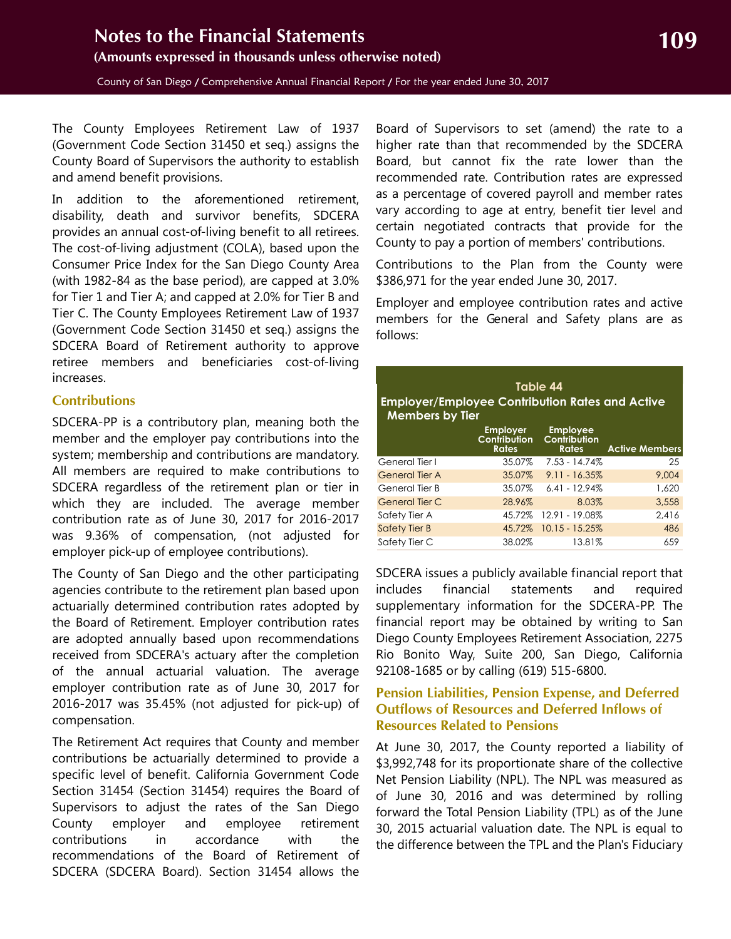The County Employees Retirement Law of 1937 (Government Code Section 31450 et seq.) assigns the County Board of Supervisors the authority to establish and amend benefit provisions.

In addition to the aforementioned retirement, disability, death and survivor benefits, SDCERA provides an annual cost-of-living benefit to all retirees. The cost-of-living adjustment (COLA), based upon the Consumer Price Index for the San Diego County Area (with 1982-84 as the base period), are capped at 3.0% for Tier 1 and Tier A; and capped at 2.0% for Tier B and Tier C. The County Employees Retirement Law of 1937 (Government Code Section 31450 et seq.) assigns the SDCERA Board of Retirement authority to approve retiree members and beneficiaries cost-of-living increases.

#### **Contributions**

SDCERA-PP is a contributory plan, meaning both the member and the employer pay contributions into the system; membership and contributions are mandatory. All members are required to make contributions to SDCERA regardless of the retirement plan or tier in which they are included. The average member contribution rate as of June 30, 2017 for 2016-2017 was 9.36% of compensation, (not adjusted for employer pick-up of employee contributions).

The County of San Diego and the other participating agencies contribute to the retirement plan based upon actuarially determined contribution rates adopted by the Board of Retirement. Employer contribution rates are adopted annually based upon recommendations received from SDCERA's actuary after the completion of the annual actuarial valuation. The average employer contribution rate as of June 30, 2017 for 2016-2017 was 35.45% (not adjusted for pick-up) of compensation.

The Retirement Act requires that County and member contributions be actuarially determined to provide a specific level of benefit. California Government Code Section 31454 (Section 31454) requires the Board of Supervisors to adjust the rates of the San Diego County employer and employee retirement contributions in accordance with the recommendations of the Board of Retirement of SDCERA (SDCERA Board). Section 31454 allows the

Board of Supervisors to set (amend) the rate to a higher rate than that recommended by the SDCERA Board, but cannot fix the rate lower than the recommended rate. Contribution rates are expressed as a percentage of covered payroll and member rates vary according to age at entry, benefit tier level and certain negotiated contracts that provide for the County to pay a portion of members' contributions.

Contributions to the Plan from the County were \$386,971 for the year ended June 30, 2017.

Employer and employee contribution rates and active members for the General and Safety plans are as follows:

| Table 44<br><b>Employer/Employee Contribution Rates and Active</b><br><b>Members by Tier</b> |                                                        |                                                 |                       |  |  |  |  |
|----------------------------------------------------------------------------------------------|--------------------------------------------------------|-------------------------------------------------|-----------------------|--|--|--|--|
|                                                                                              | <b>Employer</b><br><b>Contribution</b><br><b>Rates</b> | <b>Employee</b><br>Contribution<br><b>Rates</b> | <b>Active Members</b> |  |  |  |  |
| General Tier I                                                                               | 35.07%                                                 | $7.53 - 14.74%$                                 | 25                    |  |  |  |  |
| <b>General Tier A</b>                                                                        | 35.07%                                                 | $9.11 - 16.35\%$                                | 9,004                 |  |  |  |  |
| General Tier B                                                                               | 35.07%                                                 | $6.41 - 12.94\%$                                | 1,620                 |  |  |  |  |
| <b>General Tier C</b>                                                                        | 28.96%                                                 | 8.03%                                           | 3.558                 |  |  |  |  |
| Safety Tier A                                                                                | 45.72%                                                 | 12.91 - 19.08%                                  | 2.416                 |  |  |  |  |
| Safety Tier B                                                                                | 45.72%                                                 | $10.15 - 15.25\%$                               | 486                   |  |  |  |  |
| Safety Tier C                                                                                | 38.02%                                                 | 13.81%                                          | 659                   |  |  |  |  |

SDCERA issues a publicly available financial report that includes financial statements and required supplementary information for the SDCERA-PP. The financial report may be obtained by writing to San Diego County Employees Retirement Association, 2275 Rio Bonito Way, Suite 200, San Diego, California 92108-1685 or by calling (619) 515-6800.

#### **Pension Liabilities, Pension Expense, and Deferred Outflows of Resources and Deferred Inflows of Resources Related to Pensions**

At June 30, 2017, the County reported a liability of \$3,992,748 for its proportionate share of the collective Net Pension Liability (NPL). The NPL was measured as of June 30, 2016 and was determined by rolling forward the Total Pension Liability (TPL) as of the June 30, 2015 actuarial valuation date. The NPL is equal to the difference between the TPL and the Plan's Fiduciary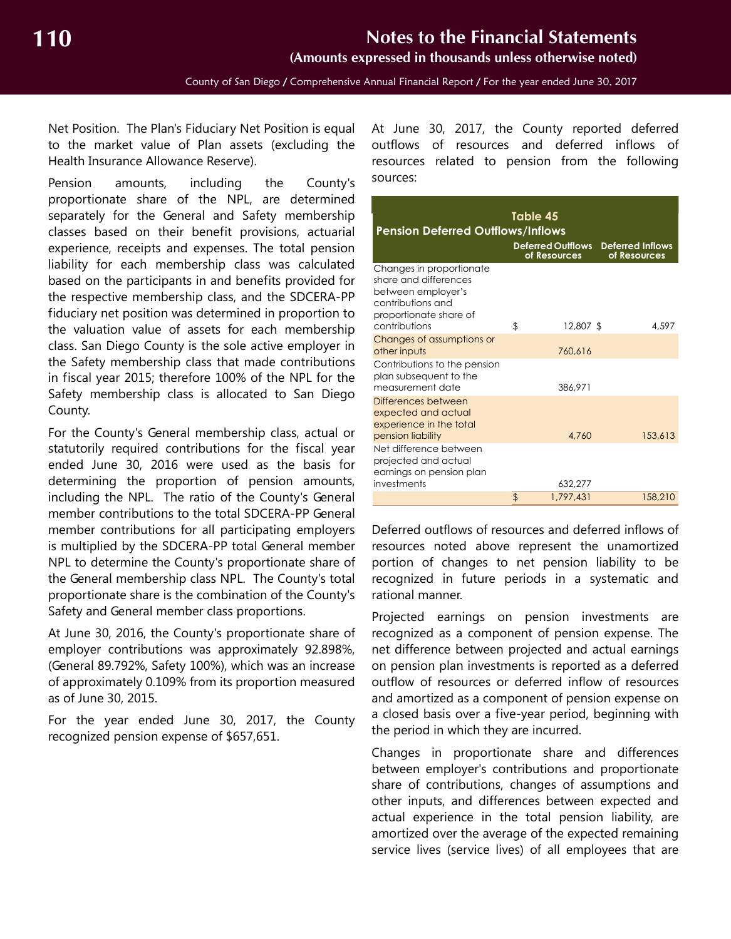Net Position. The Plan's Fiduciary Net Position is equal to the market value of Plan assets (excluding the Health Insurance Allowance Reserve).

Pension amounts, including the County's proportionate share of the NPL, are determined separately for the General and Safety membership classes based on their benefit provisions, actuarial experience, receipts and expenses. The total pension liability for each membership class was calculated based on the participants in and benefits provided for the respective membership class, and the SDCERA-PP fiduciary net position was determined in proportion to the valuation value of assets for each membership class. San Diego County is the sole active employer in the Safety membership class that made contributions in fiscal year 2015; therefore 100% of the NPL for the Safety membership class is allocated to San Diego County.

For the County's General membership class, actual or statutorily required contributions for the fiscal year ended June 30, 2016 were used as the basis for determining the proportion of pension amounts, including the NPL. The ratio of the County's General member contributions to the total SDCERA-PP General member contributions for all participating employers is multiplied by the SDCERA-PP total General member NPL to determine the County's proportionate share of the General membership class NPL. The County's total proportionate share is the combination of the County's Safety and General member class proportions.

At June 30, 2016, the County's proportionate share of employer contributions was approximately 92.898%, (General 89.792%, Safety 100%), which was an increase of approximately 0.109% from its proportion measured as of June 30, 2015.

For the year ended June 30, 2017, the County recognized pension expense of \$657,651.

At June 30, 2017, the County reported deferred outflows of resources and deferred inflows of resources related to pension from the following sources:

| <b>Pension Deferred Outflows/Inflows</b>                                                   | Table 45<br><b>Deferred Outflows</b> | <b>Deferred Inflows</b> |         |
|--------------------------------------------------------------------------------------------|--------------------------------------|-------------------------|---------|
| Changes in proportionate<br>share and differences<br>between employer's                    | of Resources                         | of Resources            |         |
| contributions and<br>proportionate share of<br>contributions                               | \$<br>12,807 \$                      |                         | 4.597   |
| Changes of assumptions or<br>other inputs                                                  | 760.616                              |                         |         |
| Contributions to the pension<br>plan subsequent to the<br>measurement date                 | 386.971                              |                         |         |
| Differences between<br>expected and actual<br>experience in the total<br>pension liability | 4.760                                |                         | 153,613 |
| Net difference between<br>projected and actual<br>earnings on pension plan<br>investments  | 632.277                              |                         |         |
|                                                                                            | \$<br>1.797.431                      |                         | 158,210 |

Deferred outflows of resources and deferred inflows of resources noted above represent the unamortized portion of changes to net pension liability to be recognized in future periods in a systematic and rational manner.

Projected earnings on pension investments are recognized as a component of pension expense. The net difference between projected and actual earnings on pension plan investments is reported as a deferred outflow of resources or deferred inflow of resources and amortized as a component of pension expense on a closed basis over a five-year period, beginning with the period in which they are incurred.

Changes in proportionate share and differences between employer's contributions and proportionate share of contributions, changes of assumptions and other inputs, and differences between expected and actual experience in the total pension liability, are amortized over the average of the expected remaining service lives (service lives) of all employees that are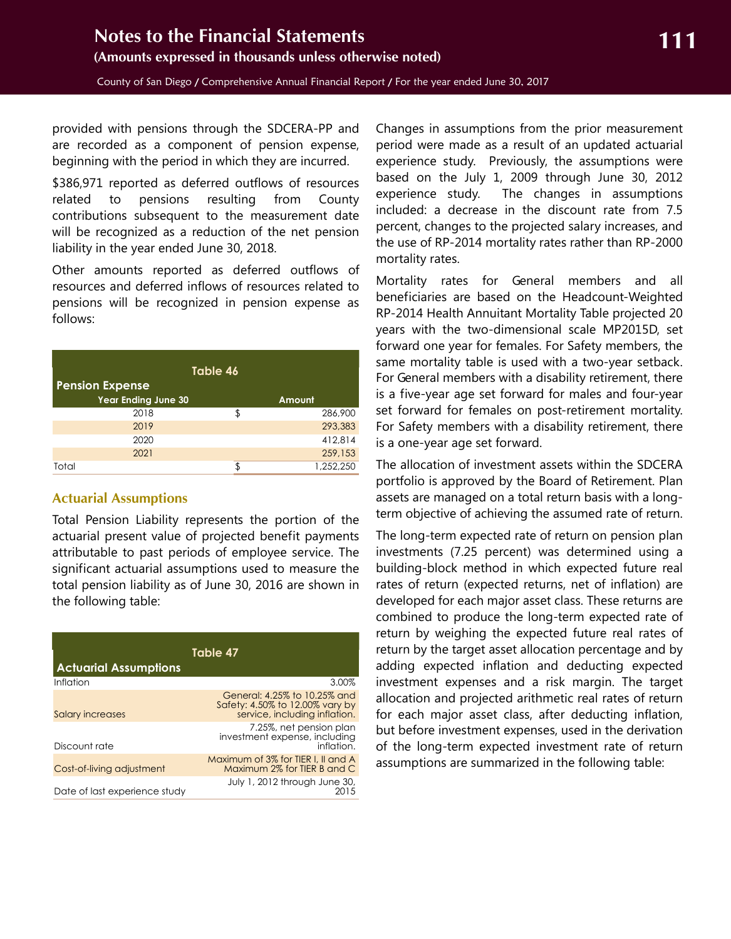provided with pensions through the SDCERA-PP and are recorded as a component of pension expense, beginning with the period in which they are incurred.

\$386,971 reported as deferred outflows of resources related to pensions resulting from County contributions subsequent to the measurement date will be recognized as a reduction of the net pension liability in the year ended June 30, 2018.

Other amounts reported as deferred outflows of resources and deferred inflows of resources related to pensions will be recognized in pension expense as follows:

| Table 46                   |    |           |  |  |  |  |  |
|----------------------------|----|-----------|--|--|--|--|--|
| <b>Pension Expense</b>     |    |           |  |  |  |  |  |
| <b>Year Ending June 30</b> |    | Amount    |  |  |  |  |  |
| 2018                       | \$ | 286,900   |  |  |  |  |  |
| 2019                       |    | 293,383   |  |  |  |  |  |
| 2020                       |    | 412,814   |  |  |  |  |  |
| 2021                       |    | 259,153   |  |  |  |  |  |
| Total                      | ፍ  | 1,252,250 |  |  |  |  |  |

#### **Actuarial Assumptions**

Total Pension Liability represents the portion of the actuarial present value of projected benefit payments attributable to past periods of employee service. The significant actuarial assumptions used to measure the total pension liability as of June 30, 2016 are shown in the following table:

| Table 47<br><b>Actuarial Assumptions</b> |                                                                                                  |  |  |  |  |  |  |
|------------------------------------------|--------------------------------------------------------------------------------------------------|--|--|--|--|--|--|
| Inflation                                | 3.00%                                                                                            |  |  |  |  |  |  |
| Salary increases                         | General: 4.25% to 10.25% and<br>Safety: 4.50% to 12.00% vary by<br>service, including inflation. |  |  |  |  |  |  |
| Discount rate                            | 7.25%, net pension plan<br>investment expense, including<br>inflation.                           |  |  |  |  |  |  |
| Cost-of-living adjustment                | Maximum of 3% for TIER I. II and A<br>Maximum 2% for TIER B and C                                |  |  |  |  |  |  |
| Date of last experience study            | July 1, 2012 through June 30,<br>2015                                                            |  |  |  |  |  |  |

Changes in assumptions from the prior measurement period were made as a result of an updated actuarial experience study. Previously, the assumptions were based on the July 1, 2009 through June 30, 2012 experience study. The changes in assumptions included: a decrease in the discount rate from 7.5 percent, changes to the projected salary increases, and the use of RP-2014 mortality rates rather than RP-2000 mortality rates.

Mortality rates for General members and all beneficiaries are based on the Headcount-Weighted RP-2014 Health Annuitant Mortality Table projected 20 years with the two-dimensional scale MP2015D, set forward one year for females. For Safety members, the same mortality table is used with a two-year setback. For General members with a disability retirement, there is a five-year age set forward for males and four-year set forward for females on post-retirement mortality. For Safety members with a disability retirement, there is a one-year age set forward.

The allocation of investment assets within the SDCERA portfolio is approved by the Board of Retirement. Plan assets are managed on a total return basis with a longterm objective of achieving the assumed rate of return.

The long-term expected rate of return on pension plan investments (7.25 percent) was determined using a building-block method in which expected future real rates of return (expected returns, net of inflation) are developed for each major asset class. These returns are combined to produce the long-term expected rate of return by weighing the expected future real rates of return by the target asset allocation percentage and by adding expected inflation and deducting expected investment expenses and a risk margin. The target allocation and projected arithmetic real rates of return for each major asset class, after deducting inflation, but before investment expenses, used in the derivation of the long-term expected investment rate of return assumptions are summarized in the following table: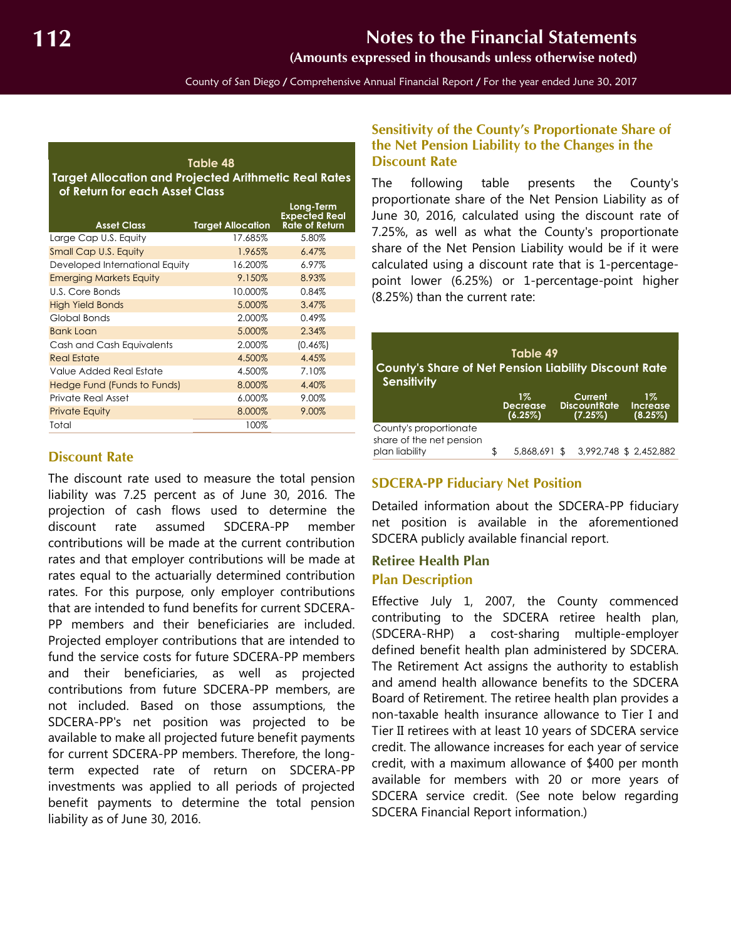**(Amounts expressed in thousands unless otherwise noted)**

County of San Diego / Comprehensive Annual Financial Report / For the year ended June 30, 2017

<span id="page-51-0"></span>

| Table 48<br><b>Target Allocation and Projected Arithmetic Real Rates</b><br>of Return for each Asset Class |                          |                                                            |  |  |  |  |  |  |  |
|------------------------------------------------------------------------------------------------------------|--------------------------|------------------------------------------------------------|--|--|--|--|--|--|--|
| <b>Asset Class</b>                                                                                         | <b>Target Allocation</b> | Long-Term<br><b>Expected Real</b><br><b>Rate of Return</b> |  |  |  |  |  |  |  |
| Large Cap U.S. Equity                                                                                      | 17.685%                  | 5.80%                                                      |  |  |  |  |  |  |  |
| Small Cap U.S. Equity                                                                                      | 1.965%                   | 6.47%                                                      |  |  |  |  |  |  |  |
| Developed International Equity                                                                             | 16.200%                  | 6.97%                                                      |  |  |  |  |  |  |  |
| <b>Emerging Markets Equity</b>                                                                             | 9.150%                   | 8.93%                                                      |  |  |  |  |  |  |  |
| U.S. Core Bonds                                                                                            | 10.000%                  | 0.84%                                                      |  |  |  |  |  |  |  |
| <b>High Yield Bonds</b>                                                                                    | 5.000%                   | 3.47%                                                      |  |  |  |  |  |  |  |
| Global Bonds                                                                                               | 2.000%                   | 0.49%                                                      |  |  |  |  |  |  |  |
| <b>Bank Loan</b>                                                                                           | 5.000%                   | 2.34%                                                      |  |  |  |  |  |  |  |
| Cash and Cash Equivalents                                                                                  | 2.000%                   | $(0.46\%)$                                                 |  |  |  |  |  |  |  |
| <b>Real Estate</b>                                                                                         | 4.500%                   | 4.45%                                                      |  |  |  |  |  |  |  |
| Value Added Real Estate                                                                                    | 4.500%                   | 7.10%                                                      |  |  |  |  |  |  |  |
| Hedge Fund (Funds to Funds)                                                                                | 8.000%                   | 4.40%                                                      |  |  |  |  |  |  |  |
| Private Real Asset                                                                                         | 6.000%                   | 9.00%                                                      |  |  |  |  |  |  |  |
| <b>Private Equity</b>                                                                                      | 8.000%                   | 9.00%                                                      |  |  |  |  |  |  |  |
| Total                                                                                                      | 100%                     |                                                            |  |  |  |  |  |  |  |

#### **Discount Rate**

The discount rate used to measure the total pension liability was 7.25 percent as of June 30, 2016. The projection of cash flows used to determine the discount rate assumed SDCERA-PP member contributions will be made at the current contribution rates and that employer contributions will be made at rates equal to the actuarially determined contribution rates. For this purpose, only employer contributions that are intended to fund benefits for current SDCERA-PP members and their beneficiaries are included. Projected employer contributions that are intended to fund the service costs for future SDCERA-PP members and their beneficiaries, as well as projected contributions from future SDCERA-PP members, are not included. Based on those assumptions, the SDCERA-PP's net position was projected to be available to make all projected future benefit payments for current SDCERA-PP members. Therefore, the longterm expected rate of return on SDCERA-PP investments was applied to all periods of projected benefit payments to determine the total pension liability as of June 30, 2016.

#### **Sensitivity of the County's Proportionate Share of the Net Pension Liability to the Changes in the Discount Rate**

The following table presents the County's proportionate share of the Net Pension Liability as of June 30, 2016, calculated using the discount rate of 7.25%, as well as what the County's proportionate share of the Net Pension Liability would be if it were calculated using a discount rate that is 1-percentagepoint lower (6.25%) or 1-percentage-point higher (8.25%) than the current rate:

| Table 49<br><b>County's Share of Net Pension Liability Discount Rate</b><br><b>Sensitivity</b> |     |                                     |  |                                           |                                     |  |  |  |  |
|------------------------------------------------------------------------------------------------|-----|-------------------------------------|--|-------------------------------------------|-------------------------------------|--|--|--|--|
|                                                                                                |     | $1\%$<br><b>Decrease</b><br>(6.25%) |  | Current<br><b>DiscountRate</b><br>(7.25%) | $1\%$<br><b>Increase</b><br>(8.25%) |  |  |  |  |
| County's proportionate<br>share of the net pension<br>plan liability                           | \$. | 5,868,691 \$                        |  |                                           | 3,992,748 \$ 2,452,882              |  |  |  |  |

### **SDCERA-PP Fiduciary Net Position**

Detailed information about the SDCERA-PP fiduciary net position is available in the aforementioned SDCERA publicly available financial report.

#### **Retiree Health Plan Plan Description**

Effective July 1, 2007, the County commenced contributing to the SDCERA retiree health plan, (SDCERA-RHP) a cost-sharing multiple-employer defined benefit health plan administered by SDCERA. The Retirement Act assigns the authority to establish and amend health allowance benefits to the SDCERA Board of Retirement. The retiree health plan provides a non-taxable health insurance allowance to Tier I and Tier II retirees with at least 10 years of SDCERA service credit. The allowance increases for each year of service credit, with a maximum allowance of \$400 per month available for members with 20 or more years of SDCERA service credit. (See note below regarding SDCERA Financial Report information.)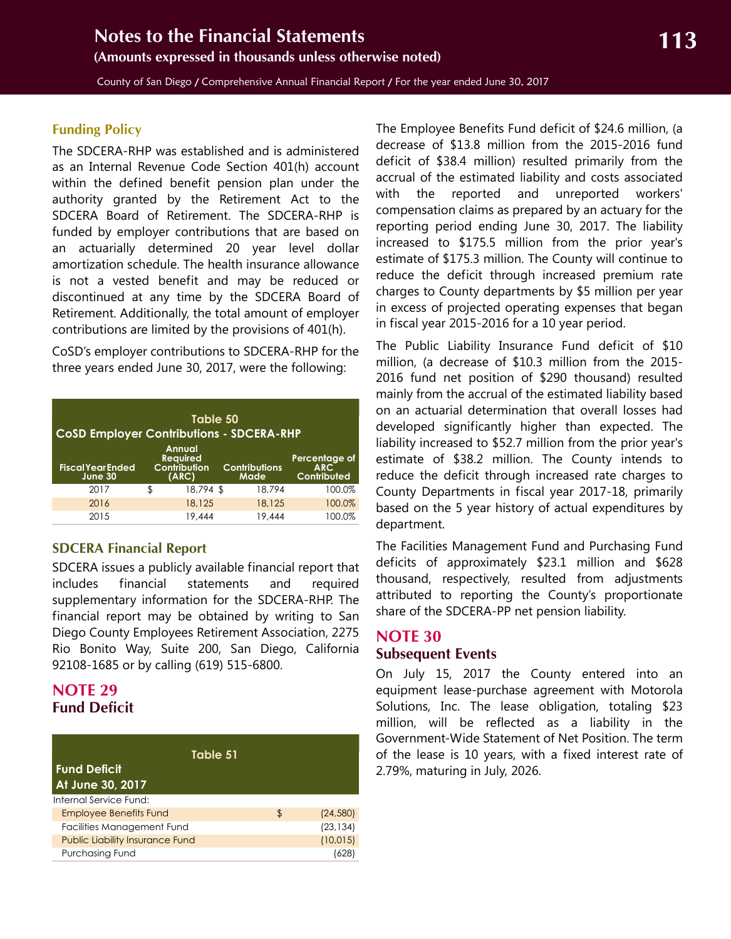<span id="page-52-1"></span>County of San Diego / Comprehensive Annual Financial Report / For the year ended June 30, 2017

#### **Funding Policy**

The SDCERA-RHP was established and is administered as an Internal Revenue Code Section 401(h) account within the defined benefit pension plan under the authority granted by the Retirement Act to the SDCERA Board of Retirement. The SDCERA-RHP is funded by employer contributions that are based on an actuarially determined 20 year level dollar amortization schedule. The health insurance allowance is not a vested benefit and may be reduced or discontinued at any time by the SDCERA Board of Retirement. Additionally, the total amount of employer contributions are limited by the provisions of 401(h).

CoSD's employer contributions to SDCERA-RHP for the three years ended June 30, 2017, were the following:

| Table 50<br><b>CoSD Employer Contributions - SDCERA-RHP</b> |    |                                                           |                              |                                            |  |  |  |  |
|-------------------------------------------------------------|----|-----------------------------------------------------------|------------------------------|--------------------------------------------|--|--|--|--|
| <b>Fiscal Year Ended</b><br>June 30                         |    | <b>Annual</b><br><b>Required</b><br>Contribution<br>(ARC) | <b>Contributions</b><br>Made | Percentage of<br><b>ARC</b><br>Contributed |  |  |  |  |
| 2017                                                        | \$ | 18,794 \$                                                 | 18,794                       | 100.0%                                     |  |  |  |  |
| 2016                                                        |    | 18,125                                                    | 18,125                       | 100.0%                                     |  |  |  |  |
| 2015                                                        |    | 19,444                                                    | 19,444                       | 100.0%                                     |  |  |  |  |

#### **SDCERA Financial Report**

SDCERA issues a publicly available financial report that includes financial statements and required supplementary information for the SDCERA-RHP. The financial report may be obtained by writing to San Diego County Employees Retirement Association, 2275 Rio Bonito Way, Suite 200, San Diego, California 92108-1685 or by calling (619) 515-6800.

## <span id="page-52-0"></span>**NOTE 29 Fund Deficit**

| Table 51                                |                 |
|-----------------------------------------|-----------------|
| <b>Fund Deficit</b><br>At June 30, 2017 |                 |
| Internal Service Fund:                  |                 |
| <b>Employee Benefits Fund</b>           | \$<br>(24, 580) |
| Facilities Management Fund              | (23, 134)       |
| <b>Public Liability Insurance Fund</b>  | (10, 015)       |
| <b>Purchasing Fund</b>                  | 1628            |

The Employee Benefits Fund deficit of \$24.6 million, (a decrease of \$13.8 million from the 2015-2016 fund deficit of \$38.4 million) resulted primarily from the accrual of the estimated liability and costs associated with the reported and unreported workers' compensation claims as prepared by an actuary for the reporting period ending June 30, 2017. The liability increased to \$175.5 million from the prior year's estimate of \$175.3 million. The County will continue to reduce the deficit through increased premium rate charges to County departments by \$5 million per year in excess of projected operating expenses that began in fiscal year 2015-2016 for a 10 year period.

The Public Liability Insurance Fund deficit of \$10 million, (a decrease of \$10.3 million from the 2015- 2016 fund net position of \$290 thousand) resulted mainly from the accrual of the estimated liability based on an actuarial determination that overall losses had developed significantly higher than expected. The liability increased to \$52.7 million from the prior year's estimate of \$38.2 million. The County intends to reduce the deficit through increased rate charges to County Departments in fiscal year 2017-18, primarily based on the 5 year history of actual expenditures by department.

The Facilities Management Fund and Purchasing Fund deficits of approximately \$23.1 million and \$628 thousand, respectively, resulted from adjustments attributed to reporting the County's proportionate share of the SDCERA-PP net pension liability.

### **NOTE 30 Subsequent Events**

On July 15, 2017 the County entered into an equipment lease-purchase agreement with Motorola Solutions, Inc. The lease obligation, totaling \$23 million, will be reflected as a liability in the Government-Wide Statement of Net Position. The term of the lease is 10 years, with a fixed interest rate of 2.79%, maturing in July, 2026.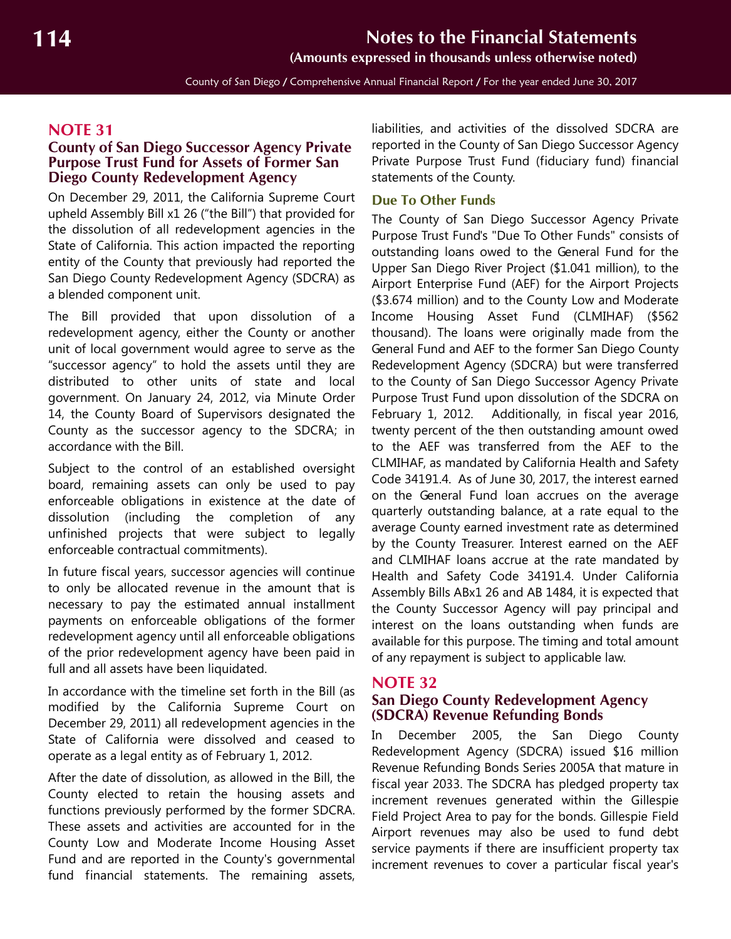**(Amounts expressed in thousands unless otherwise noted)**

County of San Diego / Comprehensive Annual Financial Report / For the year ended June 30, 2017

## <span id="page-53-1"></span>**NOTE 31**

#### <span id="page-53-0"></span>**County of San Diego Successor Agency Private Purpose Trust Fund for Assets of Former San Diego County Redevelopment Agency**

On December 29, 2011, the California Supreme Court upheld Assembly Bill x1 26 ("the Bill") that provided for the dissolution of all redevelopment agencies in the State of California. This action impacted the reporting entity of the County that previously had reported the San Diego County Redevelopment Agency (SDCRA) as a blended component unit.

The Bill provided that upon dissolution of a redevelopment agency, either the County or another unit of local government would agree to serve as the "successor agency" to hold the assets until they are distributed to other units of state and local government. On January 24, 2012, via Minute Order 14, the County Board of Supervisors designated the County as the successor agency to the SDCRA; in accordance with the Bill.

Subject to the control of an established oversight board, remaining assets can only be used to pay enforceable obligations in existence at the date of dissolution (including the completion of any unfinished projects that were subject to legally enforceable contractual commitments).

In future fiscal years, successor agencies will continue to only be allocated revenue in the amount that is necessary to pay the estimated annual installment payments on enforceable obligations of the former redevelopment agency until all enforceable obligations of the prior redevelopment agency have been paid in full and all assets have been liquidated.

In accordance with the timeline set forth in the Bill (as modified by the California Supreme Court on December 29, 2011) all redevelopment agencies in the State of California were dissolved and ceased to operate as a legal entity as of February 1, 2012.

After the date of dissolution, as allowed in the Bill, the County elected to retain the housing assets and functions previously performed by the former SDCRA. These assets and activities are accounted for in the County Low and Moderate Income Housing Asset Fund and are reported in the County's governmental fund financial statements. The remaining assets,

liabilities, and activities of the dissolved SDCRA are reported in the County of San Diego Successor Agency Private Purpose Trust Fund (fiduciary fund) financial statements of the County.

#### **Due To Other Funds**

The County of San Diego Successor Agency Private Purpose Trust Fund's "Due To Other Funds" consists of outstanding loans owed to the General Fund for the Upper San Diego River Project (\$1.041 million), to the Airport Enterprise Fund (AEF) for the Airport Projects (\$3.674 million) and to the County Low and Moderate Income Housing Asset Fund (CLMIHAF) (\$562 thousand). The loans were originally made from the General Fund and AEF to the former San Diego County Redevelopment Agency (SDCRA) but were transferred to the County of San Diego Successor Agency Private Purpose Trust Fund upon dissolution of the SDCRA on February 1, 2012. Additionally, in fiscal year 2016, twenty percent of the then outstanding amount owed to the AEF was transferred from the AEF to the CLMIHAF, as mandated by California Health and Safety Code 34191.4. As of June 30, 2017, the interest earned on the General Fund loan accrues on the average quarterly outstanding balance, at a rate equal to the average County earned investment rate as determined by the County Treasurer. Interest earned on the AEF and CLMIHAF loans accrue at the rate mandated by Health and Safety Code 34191.4. Under California Assembly Bills ABx1 26 and AB 1484, it is expected that the County Successor Agency will pay principal and interest on the loans outstanding when funds are available for this purpose. The timing and total amount of any repayment is subject to applicable law.

#### **NOTE 32**

#### **San Diego County Redevelopment Agency (SDCRA) Revenue Refunding Bonds**

In December 2005, the San Diego County Redevelopment Agency (SDCRA) issued \$16 million Revenue Refunding Bonds Series 2005A that mature in fiscal year 2033. The SDCRA has pledged property tax increment revenues generated within the Gillespie Field Project Area to pay for the bonds. Gillespie Field Airport revenues may also be used to fund debt service payments if there are insufficient property tax increment revenues to cover a particular fiscal year's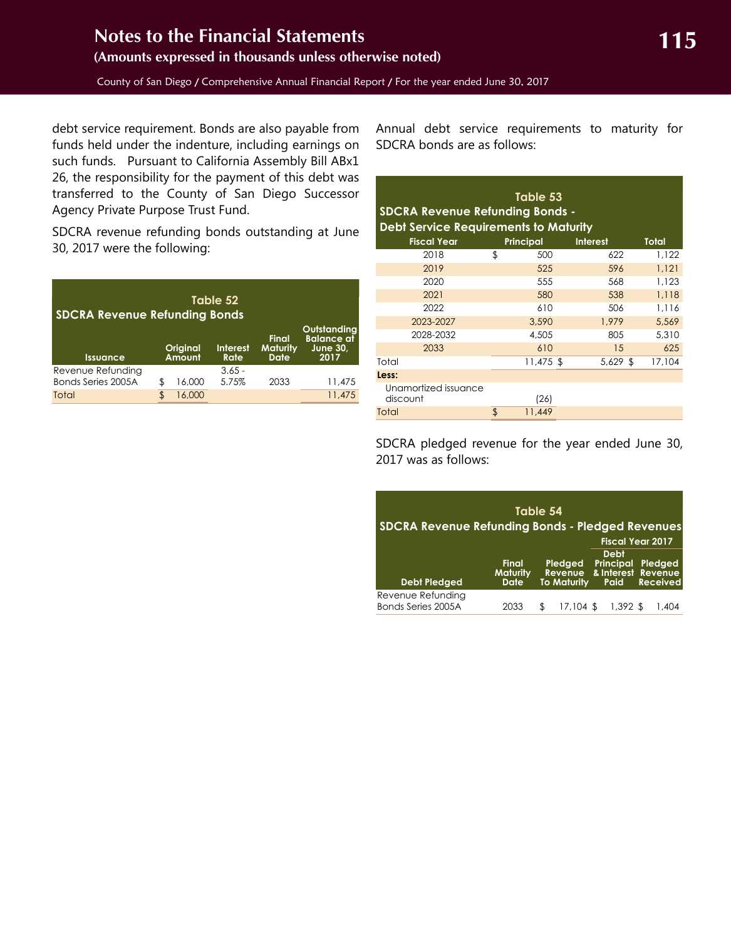debt service requirement. Bonds are also payable from funds held under the indenture, including earnings on such funds. Pursuant to California Assembly Bill ABx1 26, the responsibility for the payment of this debt was transferred to the County of San Diego Successor Agency Private Purpose Trust Fund.

SDCRA revenue refunding bonds outstanding at June 30, 2017 were the following:

| Table 52<br><b>SDCRA Revenue Refunding Bonds</b> |    |                           |                         |                                                |                                                             |  |  |  |  |  |
|--------------------------------------------------|----|---------------------------|-------------------------|------------------------------------------------|-------------------------------------------------------------|--|--|--|--|--|
| <b>Issuance</b>                                  |    | <b>Original</b><br>Amount | <b>Interest</b><br>Rate | <b>Final</b><br><b>Maturity</b><br><b>Date</b> | Outstandina<br><b>Balance</b> af<br><b>June 30,</b><br>2017 |  |  |  |  |  |
| Revenue Refunding<br>Bonds Series 2005A          | \$ | 16.000                    | $3.65 -$<br>5.75%       | 2033                                           | 11,475                                                      |  |  |  |  |  |
| Total                                            | \$ | 16,000                    |                         |                                                | 11,475                                                      |  |  |  |  |  |

Annual debt service requirements to maturity for SDCRA bonds are as follows:

| Table 53<br><b>SDCRA Revenue Refunding Bonds -</b><br><b>Debt Service Requirements to Maturity</b> |    |                  |                 |              |  |  |  |  |  |  |
|----------------------------------------------------------------------------------------------------|----|------------------|-----------------|--------------|--|--|--|--|--|--|
| <b>Fiscal Year</b>                                                                                 |    | <b>Principal</b> | <b>Interest</b> | <b>Total</b> |  |  |  |  |  |  |
| 2018                                                                                               | \$ | 500              | 622             | 1.122        |  |  |  |  |  |  |
| 2019                                                                                               |    | 525              | 596             | 1,121        |  |  |  |  |  |  |
| 2020                                                                                               |    | 555              | 568             | 1,123        |  |  |  |  |  |  |
| 2021                                                                                               |    | 580              | 538             | 1,118        |  |  |  |  |  |  |
| 2022                                                                                               |    | 610              | 506             | 1,116        |  |  |  |  |  |  |
| 2023-2027                                                                                          |    | 3,590            | 1.979           | 5.569        |  |  |  |  |  |  |
| 2028-2032                                                                                          |    | 4,505            | 805             | 5,310        |  |  |  |  |  |  |
| 2033                                                                                               |    | 610              | 15              | 625          |  |  |  |  |  |  |
| Total                                                                                              |    | $11,475$ \$      | $5,629$ \$      | 17.104       |  |  |  |  |  |  |
| Less:                                                                                              |    |                  |                 |              |  |  |  |  |  |  |
| Unamortized issuance<br>discount                                                                   |    | (26)             |                 |              |  |  |  |  |  |  |
| Total                                                                                              | \$ | 11,449           |                 |              |  |  |  |  |  |  |

SDCRA pledged revenue for the year ended June 30, 2017 was as follows:

| Table 54<br><b>SDCRA Revenue Refunding Bonds - Pledged Revenues</b> |                                         |    |                                          |  |                                                       |  |                                       |
|---------------------------------------------------------------------|-----------------------------------------|----|------------------------------------------|--|-------------------------------------------------------|--|---------------------------------------|
|                                                                     |                                         |    |                                          |  | <b>Fiscal Year 2017</b>                               |  |                                       |
| <b>Debt Pledged</b>                                                 | <b>Final</b><br><b>Maturity</b><br>Date |    | Pledged<br>Revenue<br><b>To Maturity</b> |  | <b>Debt</b><br><b>Principal</b><br>& Interest<br>Paid |  | Pledged<br>Revenue<br><b>Received</b> |
| Revenue Refunding<br>Bonds Series 2005A                             | 2033                                    | ß. | 17.104                                   |  | 1,392 \$                                              |  | 404. ا                                |
|                                                                     |                                         |    |                                          |  |                                                       |  |                                       |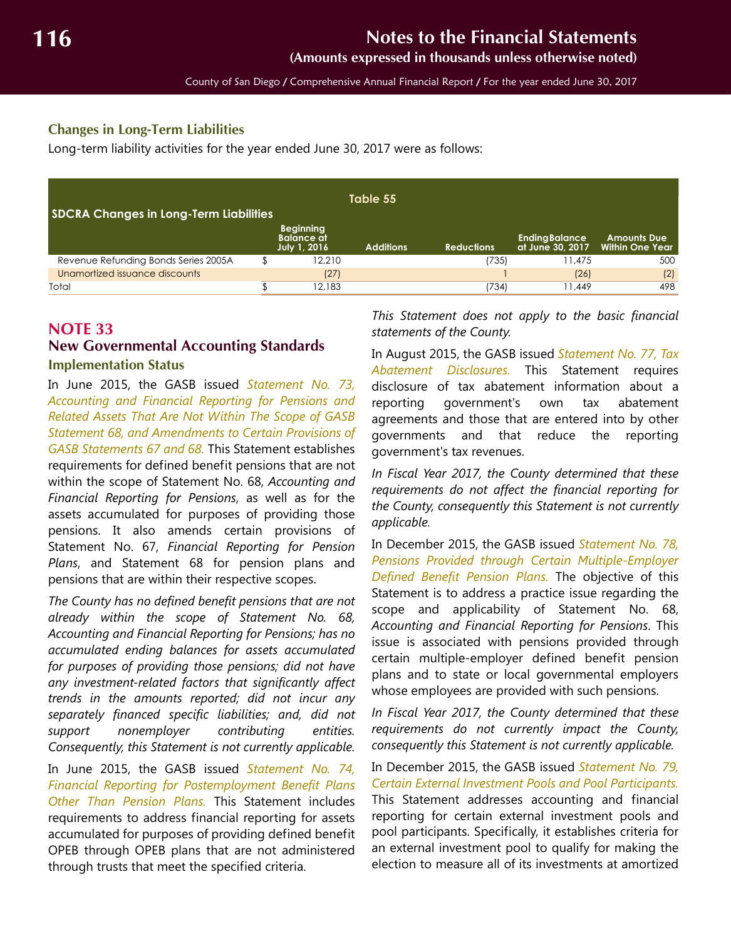**(Amounts expressed in thousands unless otherwise noted)**

County of San Diego / Comprehensive Annual Financial Report / For the year ended June 30, 2017

#### <span id="page-55-1"></span>**Changes in Long-Term Liabilities**

Long-term liability activities for the year ended June 30, 2017 were as follows:

| Table 55<br><b>SDCRA Changes in Long-Term Liabilities</b> |  |                                                              |                  |                   |                                           |                                       |  |
|-----------------------------------------------------------|--|--------------------------------------------------------------|------------------|-------------------|-------------------------------------------|---------------------------------------|--|
|                                                           |  | <b>Beginning</b><br><b>Balance</b> at<br><b>July 1, 2016</b> | <b>Additions</b> | <b>Reductions</b> | <b>Ending Balance</b><br>at June 30, 2017 | <b>Amounts Due</b><br>Within One Year |  |
| Revenue Refunding Bonds Series 2005A                      |  | 12.210                                                       |                  | (735)             | 11.475                                    | 500                                   |  |
| Unamortized issuance discounts                            |  | (27)                                                         |                  |                   | (26)                                      | (2)                                   |  |
| Total                                                     |  | 12.183                                                       |                  | 734)              | 11.449                                    | 498                                   |  |

#### <span id="page-55-0"></span>**NOTE 33 New Governmental Accounting Standards**

#### **Implementation Status**

In June 2015, the GASB issued *Statement No. 73, Accounting and Financial Reporting for Pensions and Related Assets That Are Not Within The Scope of GASB Statement 68, and Amendments to Certain Provisions of GASB Statements 67 and 68.* This Statement establishes requirements for defined benefit pensions that are not within the scope of Statement No. 68, *Accounting and Financial Reporting for Pensions*, as well as for the assets accumulated for purposes of providing those pensions. It also amends certain provisions of Statement No. 67, *Financial Reporting for Pension Plans*, and Statement 68 for pension plans and pensions that are within their respective scopes.

*The County has no defined benefit pensions that are not already within the scope of Statement No. 68, Accounting and Financial Reporting for Pensions; has no accumulated ending balances for assets accumulated for purposes of providing those pensions; did not have any investment-related factors that significantly affect trends in the amounts reported; did not incur any separately financed specific liabilities; and, did not support nonemployer contributing entities. Consequently, this Statement is not currently applicable.*

In June 2015, the GASB issued *Statement No. 74, Financial Reporting for Postemployment Benefit Plans Other Than Pension Plans.* This Statement includes requirements to address financial reporting for assets accumulated for purposes of providing defined benefit OPEB through OPEB plans that are not administered through trusts that meet the specified criteria.

*This Statement does not apply to the basic financial statements of the County.* 

In August 2015, the GASB issued *Statement No. 77, Tax Abatement Disclosures.* This Statement requires disclosure of tax abatement information about a reporting government's own tax abatement agreements and those that are entered into by other governments and that reduce the reporting government's tax revenues.

*In Fiscal Year 2017, the County determined that these requirements do not affect the financial reporting for the County, consequently this Statement is not currently applicable.*

In December 2015, the GASB issued *Statement No. 78, Pensions Provided through Certain Multiple-Employer Defined Benefit Pension Plans.* The objective of this Statement is to address a practice issue regarding the scope and applicability of Statement No. 68, *Accounting and Financial Reporting for Pensions*. This issue is associated with pensions provided through certain multiple-employer defined benefit pension plans and to state or local governmental employers whose employees are provided with such pensions.

*In Fiscal Year 2017, the County determined that these requirements do not currently impact the County, consequently this Statement is not currently applicable.* 

In December 2015, the GASB issued *Statement No. 79, Certain External Investment Pools and Pool Participants.* This Statement addresses accounting and financial reporting for certain external investment pools and pool participants. Specifically, it establishes criteria for an external investment pool to qualify for making the election to measure all of its investments at amortized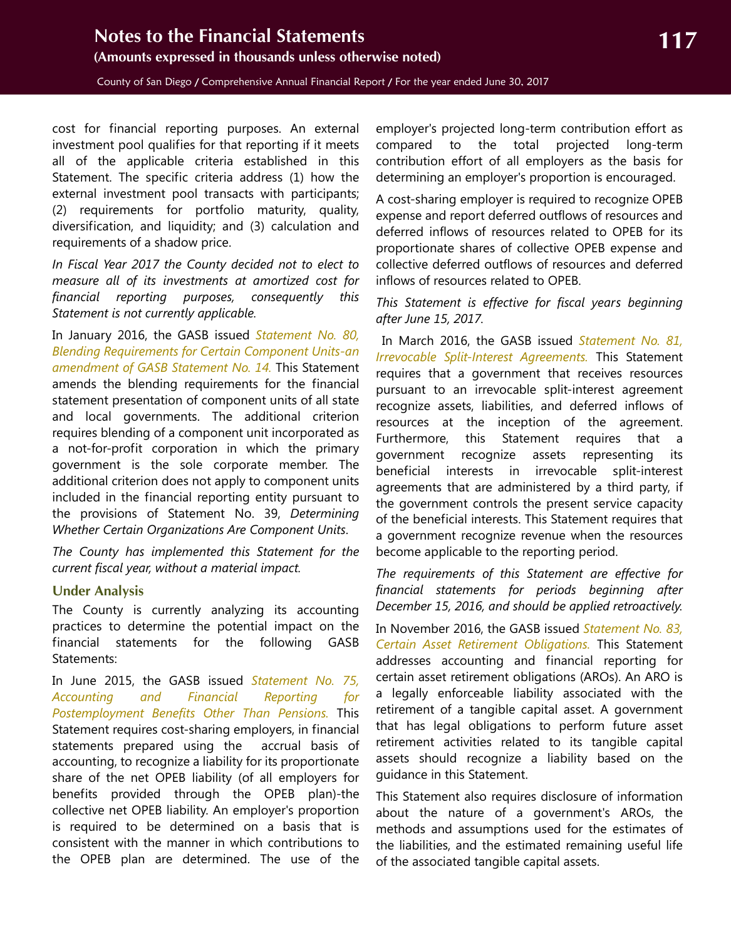<span id="page-56-0"></span>County of San Diego / Comprehensive Annual Financial Report / For the year ended June 30, 2017

cost for financial reporting purposes. An external investment pool qualifies for that reporting if it meets all of the applicable criteria established in this Statement. The specific criteria address (1) how the external investment pool transacts with participants; (2) requirements for portfolio maturity, quality, diversification, and liquidity; and (3) calculation and requirements of a shadow price.

*In Fiscal Year 2017 the County decided not to elect to measure all of its investments at amortized cost for financial reporting purposes, consequently this Statement is not currently applicable.* 

In January 2016, the GASB issued *Statement No. 80, Blending Requirements for Certain Component Units-an amendment of GASB Statement No. 14.* This Statement amends the blending requirements for the financial statement presentation of component units of all state and local governments. The additional criterion requires blending of a component unit incorporated as a not-for-profit corporation in which the primary government is the sole corporate member. The additional criterion does not apply to component units included in the financial reporting entity pursuant to the provisions of Statement No. 39, *Determining Whether Certain Organizations Are Component Units*.

*The County has implemented this Statement for the current fiscal year, without a material impact.*

#### **Under Analysis**

The County is currently analyzing its accounting practices to determine the potential impact on the financial statements for the following GASB Statements:

In June 2015, the GASB issued *Statement No. 75, Accounting and Financial Reporting for Postemployment Benefits Other Than Pensions.* This Statement requires cost-sharing employers, in financial statements prepared using the accrual basis of accounting, to recognize a liability for its proportionate share of the net OPEB liability (of all employers for benefits provided through the OPEB plan)-the collective net OPEB liability. An employer's proportion is required to be determined on a basis that is consistent with the manner in which contributions to the OPEB plan are determined. The use of the

employer's projected long-term contribution effort as compared to the total projected long-term contribution effort of all employers as the basis for determining an employer's proportion is encouraged.

A cost-sharing employer is required to recognize OPEB expense and report deferred outflows of resources and deferred inflows of resources related to OPEB for its proportionate shares of collective OPEB expense and collective deferred outflows of resources and deferred inflows of resources related to OPEB.

#### *This Statement is effective for fiscal years beginning after June 15, 2017.*

 In March 2016, the GASB issued *Statement No. 81, Irrevocable Split-Interest Agreements.* This Statement requires that a government that receives resources pursuant to an irrevocable split-interest agreement recognize assets, liabilities, and deferred inflows of resources at the inception of the agreement. Furthermore, this Statement requires that a government recognize assets representing its beneficial interests in irrevocable split-interest agreements that are administered by a third party, if the government controls the present service capacity of the beneficial interests. This Statement requires that a government recognize revenue when the resources become applicable to the reporting period.

*The requirements of this Statement are effective for financial statements for periods beginning after December 15, 2016, and should be applied retroactively.*

In November 2016, the GASB issued *Statement No. 83, Certain Asset Retirement Obligations.* This Statement addresses accounting and financial reporting for certain asset retirement obligations (AROs). An ARO is a legally enforceable liability associated with the retirement of a tangible capital asset. A government that has legal obligations to perform future asset retirement activities related to its tangible capital assets should recognize a liability based on the guidance in this Statement.

This Statement also requires disclosure of information about the nature of a government's AROs, the methods and assumptions used for the estimates of the liabilities, and the estimated remaining useful life of the associated tangible capital assets.